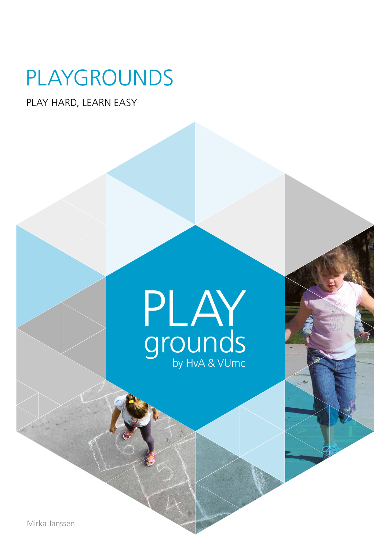# PLAYGROUNDS

PLAY HARD, LEARN EASY



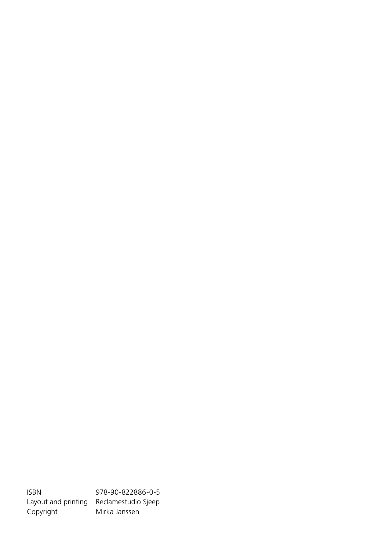ISBN 978-90-822886-0-5 Layout and printing Reclamestudio Sjeep<br>Copyright Mirka Janssen Mirka Janssen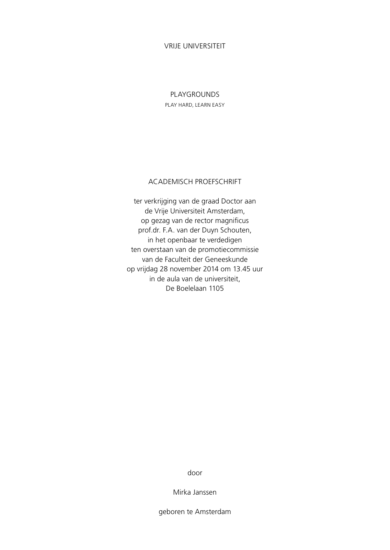# VRIJE UNIVERSITEIT

PLAYGROUNDS PLAY HARD, LEARN EASY

# ACADEMISCH PROEFSCHRIFT

ter verkrijging van de graad Doctor aan de Vrije Universiteit Amsterdam, op gezag van de rector magnificus prof.dr. F.A. van der Duyn Schouten, in het openbaar te verdedigen ten overstaan van de promotiecommissie van de Faculteit der Geneeskunde op vrijdag 28 november 2014 om 13.45 uur in de aula van de universiteit, De Boelelaan 1105

door

Mirka Janssen

geboren te Amsterdam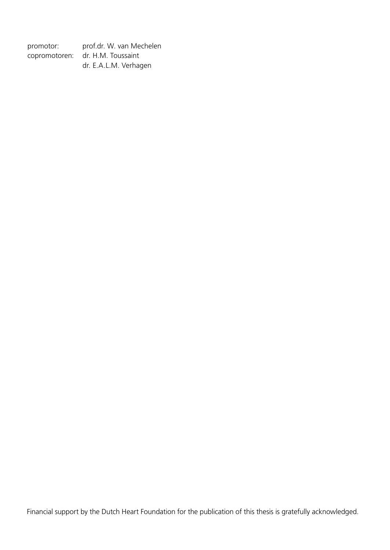| promotor: | prof.dr. W. van Mechelen         |
|-----------|----------------------------------|
|           | copromotoren: dr. H.M. Toussaint |
|           | dr. E.A.L.M. Verhagen            |

Financial support by the Dutch Heart Foundation for the publication of this thesis is gratefully acknowledged.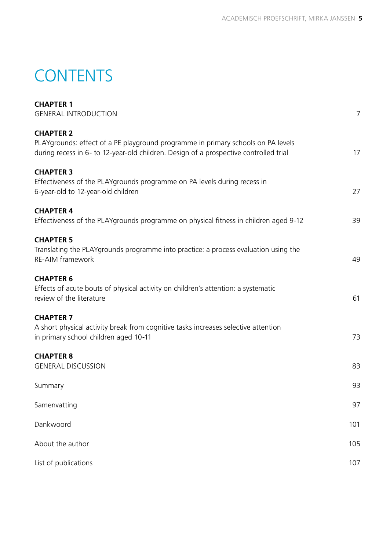# **CONTENTS**

| <b>CHAPTER 1</b><br><b>GENERAL INTRODUCTION</b>                                                                                                                                               | 7   |
|-----------------------------------------------------------------------------------------------------------------------------------------------------------------------------------------------|-----|
| <b>CHAPTER 2</b><br>PLAYgrounds: effect of a PE playground programme in primary schools on PA levels<br>during recess in 6- to 12-year-old children. Design of a prospective controlled trial | 17  |
| <b>CHAPTER 3</b><br>Effectiveness of the PLAYgrounds programme on PA levels during recess in<br>6-year-old to 12-year-old children                                                            | 27  |
| <b>CHAPTER 4</b><br>Effectiveness of the PLAYgrounds programme on physical fitness in children aged 9-12                                                                                      | 39  |
| <b>CHAPTER 5</b><br>Translating the PLAYgrounds programme into practice: a process evaluation using the<br>RE-AIM framework                                                                   | 49  |
| <b>CHAPTER 6</b><br>Effects of acute bouts of physical activity on children's attention: a systematic<br>review of the literature                                                             | 61  |
| <b>CHAPTER 7</b><br>A short physical activity break from cognitive tasks increases selective attention<br>in primary school children aged 10-11                                               | 73  |
| <b>CHAPTER 8</b><br><b>GENERAL DISCUSSION</b>                                                                                                                                                 | 83  |
| Summary                                                                                                                                                                                       | 93  |
| Samenvatting                                                                                                                                                                                  | 97  |
| Dankwoord                                                                                                                                                                                     | 101 |
| About the author                                                                                                                                                                              | 105 |
| List of publications                                                                                                                                                                          | 107 |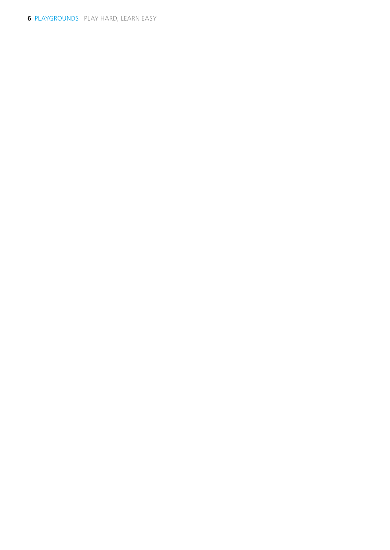PLAYGROUNDS PLAY HARD, LEARN EASY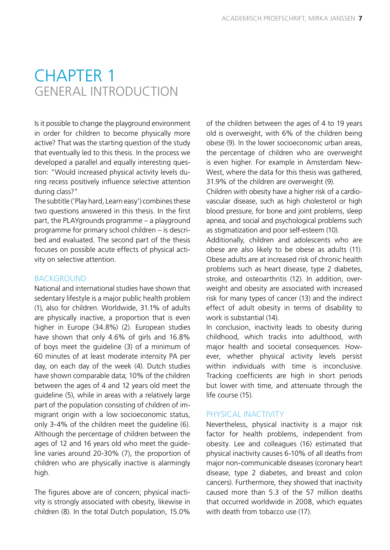# CHAPTER 1 GENERAL INTRODUCTION

Is it possible to change the playground environment in order for children to become physically more active? That was the starting question of the study that eventually led to this thesis. In the process we developed a parallel and equally interesting question: "Would increased physical activity levels during recess positively influence selective attention during class?"

The subtitle ('Play hard, Learn easy') combines these two questions answered in this thesis. In the first part, the PLAYgrounds programme – a playground programme for primary school children – is described and evaluated. The second part of the thesis focuses on possible acute effects of physical activity on selective attention.

# **BACKGROUND**

National and international studies have shown that sedentary lifestyle is a major public health problem (1), also for children. Worldwide, 31.1% of adults are physically inactive, a proportion that is even higher in Europe (34.8%) (2). European studies have shown that only 4.6% of girls and 16.8% of boys meet the guideline (3) of a minimum of 60 minutes of at least moderate intensity PA per day, on each day of the week (4). Dutch studies have shown comparable data; 10% of the children between the ages of 4 and 12 years old meet the guideline (5), while in areas with a relatively large part of the population consisting of children of immigrant origin with a low socioeconomic status, only 3-4% of the children meet the guideline (6). Although the percentage of children between the ages of 12 and 16 years old who meet the guideline varies around 20-30% (7), the proportion of children who are physically inactive is alarmingly high.

The figures above are of concern; physical inactivity is strongly associated with obesity, likewise in children (8). In the total Dutch population, 15.0% of the children between the ages of 4 to 19 years old is overweight, with 6% of the children being obese (9). In the lower socioeconomic urban areas, the percentage of children who are overweight is even higher. For example in Amsterdam New-West, where the data for this thesis was gathered, 31.9% of the children are overweight (9).

Children with obesity have a higher risk of a cardiovascular disease, such as high cholesterol or high blood pressure, for bone and joint problems, sleep apnea, and social and psychological problems such as stigmatization and poor self-esteem (10).

Additionally, children and adolescents who are obese are also likely to be obese as adults (11). Obese adults are at increased risk of chronic health problems such as heart disease, type 2 diabetes, stroke, and osteoarthritis (12). In addition, overweight and obesity are associated with increased risk for many types of cancer (13) and the indirect effect of adult obesity in terms of disability to work is substantial (14).

In conclusion, inactivity leads to obesity during childhood, which tracks into adulthood, with major health and societal consequences. However, whether physical activity levels persist within individuals with time is inconclusive. Tracking coefficients are high in short periods but lower with time, and attenuate through the life course (15).

# PHYSICAL INACTIVITY

Nevertheless, physical inactivity is a major risk factor for health problems, independent from obesity. Lee and colleagues (16) estimated that physical inactivity causes 6-10% of all deaths from major non-communicable diseases (coronary heart disease, type 2 diabetes, and breast and colon cancers). Furthermore, they showed that inactivity caused more than 5.3 of the 57 million deaths that occurred worldwide in 2008, which equates with death from tobacco use (17).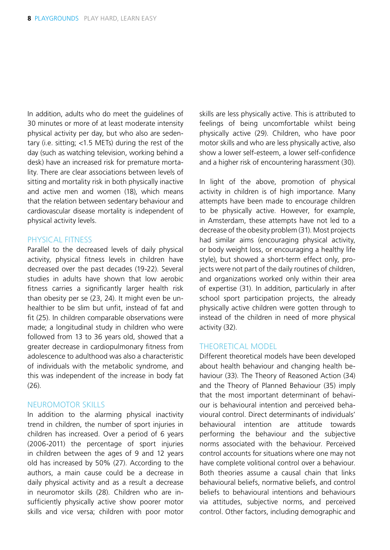In addition, adults who do meet the guidelines of 30 minutes or more of at least moderate intensity physical activity per day, but who also are sedentary (i.e. sitting; <1.5 METs) during the rest of the day (such as watching television, working behind a desk) have an increased risk for premature mortality. There are clear associations between levels of sitting and mortality risk in both physically inactive and active men and women (18), which means that the relation between sedentary behaviour and cardiovascular disease mortality is independent of physical activity levels.

# PHYSICAL FITNESS

Parallel to the decreased levels of daily physical activity, physical fitness levels in children have decreased over the past decades (19-22). Several studies in adults have shown that low aerobic fitness carries a significantly larger health risk than obesity per se (23, 24). It might even be unhealthier to be slim but unfit, instead of fat and fit (25). In children comparable observations were made; a longitudinal study in children who were followed from 13 to 36 years old, showed that a greater decrease in cardiopulmonary fitness from adolescence to adulthood was also a characteristic of individuals with the metabolic syndrome, and this was independent of the increase in body fat (26).

#### NEUROMOTOR SKILLS

In addition to the alarming physical inactivity trend in children, the number of sport injuries in children has increased. Over a period of 6 years (2006-2011) the percentage of sport injuries in children between the ages of 9 and 12 years old has increased by 50% (27). According to the authors, a main cause could be a decrease in daily physical activity and as a result a decrease in neuromotor skills (28). Children who are insufficiently physically active show poorer motor skills and vice versa; children with poor motor skills are less physically active. This is attributed to feelings of being uncomfortable whilst being physically active (29). Children, who have poor motor skills and who are less physically active, also show a lower self-esteem, a lower self-confidence and a higher risk of encountering harassment (30).

In light of the above, promotion of physical activity in children is of high importance. Many attempts have been made to encourage children to be physically active. However, for example, in Amsterdam, these attempts have not led to a decrease of the obesity problem (31). Most projects had similar aims (encouraging physical activity, or body weight loss, or encouraging a healthy life style), but showed a short-term effect only, projects were not part of the daily routines of children, and organizations worked only within their area of expertise (31). In addition, particularly in after school sport participation projects, the already physically active children were gotten through to instead of the children in need of more physical activity (32).

### THEORETICAL MODEL

Different theoretical models have been developed about health behaviour and changing health behaviour (33). The Theory of Reasoned Action (34) and the Theory of Planned Behaviour (35) imply that the most important determinant of behaviour is behavioural intention and perceived behavioural control. Direct determinants of individuals' behavioural intention are attitude towards performing the behaviour and the subjective norms associated with the behaviour. Perceived control accounts for situations where one may not have complete volitional control over a behaviour. Both theories assume a causal chain that links behavioural beliefs, normative beliefs, and control beliefs to behavioural intentions and behaviours via attitudes, subjective norms, and perceived control. Other factors, including demographic and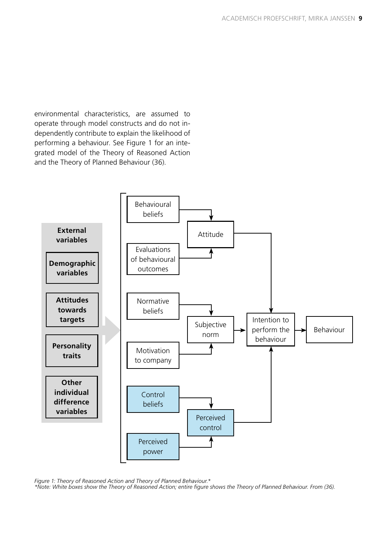environmental characteristics, are assumed to operate through model constructs and do not independently contribute to explain the likelihood of performing a behaviour. See Figure 1 for an integrated model of the Theory of Reasoned Action and the Theory of Planned Behaviour (36).



*Figure 1: Theory of Reasoned Action and Theory of Planned Behaviour.\* \*Note: White boxes show the Theory of Reasoned Action; entire figure shows the Theory of Planned Behaviour. From (36).*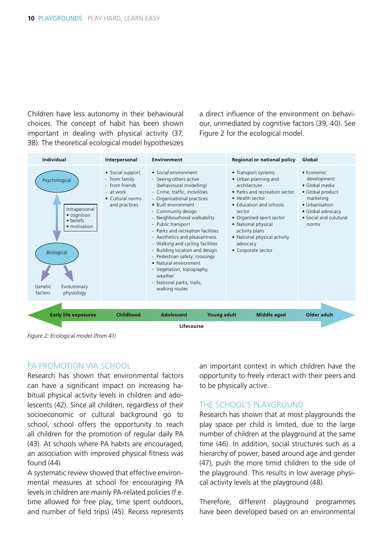Children have less autonomy in their behavioural choices. The concept of habit has been shown important in dealing with physical activity (37, 38). The theoretical ecological model hypothesizes a direct influence of the environment on behaviour, unmediated by cognitive factors (39, 40). See Figure 2 for the ecological model.

| Individual                                                                                                                                   | Interpersonal                                                                                         | Environment                                                                                                                                                                                                                                                                                                                                                                                                                                                                                                                               | <b>Regional or national policy</b>                                                                                                                                                                                                                                                          | Global                                                                                                                                                         |
|----------------------------------------------------------------------------------------------------------------------------------------------|-------------------------------------------------------------------------------------------------------|-------------------------------------------------------------------------------------------------------------------------------------------------------------------------------------------------------------------------------------------------------------------------------------------------------------------------------------------------------------------------------------------------------------------------------------------------------------------------------------------------------------------------------------------|---------------------------------------------------------------------------------------------------------------------------------------------------------------------------------------------------------------------------------------------------------------------------------------------|----------------------------------------------------------------------------------------------------------------------------------------------------------------|
| Psychological<br>Intrapersonal<br>· cognition<br>· beliefs<br>• motivation<br>Biological<br>Evolutionary<br>Genetic<br>physiology<br>factors | • Social support<br>- from family<br>- from friends<br>- at work<br>• Cultural norms<br>and practices | • Social environment<br>- Seeing others active<br>(behavioural modelling)<br>- Crime, traffic, incivilities<br>- Organisational practices<br>· Built environment<br>- Community design<br>- Neighbourhood walkability<br>- Public transport<br>- Parks and recreation facilities<br>- Aesthetics and pleasantness<br>- Walking and cycling facilities<br>- Building location and design<br>- Pedestrian safety; crossings<br>· Natural environment<br>- Vegetation, topography,<br>weather<br>- National parks, trails,<br>walking routes | • Transport systems<br>• Urban planning and<br>architecture<br>• Parks and recreation sector<br>• Health sector<br>• Education and schools<br>sector<br>• Organised sport sector<br>• National physical<br>activity plans<br>• National physical activity<br>advocacy<br>• Corporate sector | $\bullet$ Fronomic<br>development<br>· Global media<br>· Global product<br>marketing<br>• Urbanisation<br>• Global advocacy<br>• Social and culutural<br>norms |
| <b>Early life exposures</b>                                                                                                                  | Childhood                                                                                             | <b>Adolescent</b><br>Young adult                                                                                                                                                                                                                                                                                                                                                                                                                                                                                                          | <b>Middle aged</b>                                                                                                                                                                                                                                                                          | Older adult                                                                                                                                                    |
| Lifecourse                                                                                                                                   |                                                                                                       |                                                                                                                                                                                                                                                                                                                                                                                                                                                                                                                                           |                                                                                                                                                                                                                                                                                             |                                                                                                                                                                |

*Figure 2: Ecological model (from 41)*

### PA PROMOTION VIA SCHOOL

Research has shown that environmental factors can have a significant impact on increasing habitual physical activity levels in children and adolescents (42). Since all children, regardless of their socioeconomic or cultural background go to school, school offers the opportunity to reach all children for the promotion of regular daily PA (43). At schools where PA habits are encouraged, an association with improved physical fitness was found (44).

A systematic review showed that effective environmental measures at school for encouraging PA levels in children are mainly PA-related policies (f.e. time allowed for free play, time spent outdoors, and number of field trips) (45). Recess represents an important context in which children have the opportunity to freely interact with their peers and to be physically active.

# THE SCHOOL'S PLAYGROUND

Research has shown that at most playgrounds the play space per child is limited, due to the large number of children at the playground at the same time (46). In addition, social structures such as a hierarchy of power, based around age and gender (47), push the more timid children to the side of the playground. This results in low average physical activity levels at the playground (48).

Therefore, different playground programmes have been developed based on an environmental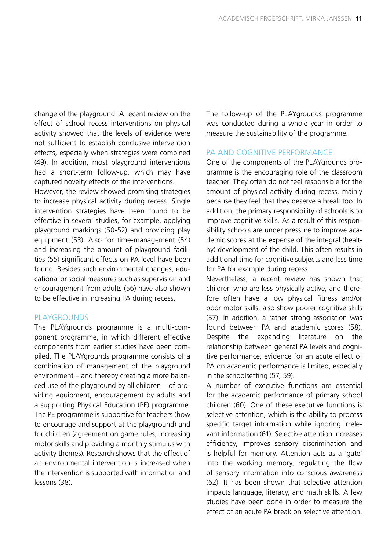change of the playground. A recent review on the effect of school recess interventions on physical activity showed that the levels of evidence were not sufficient to establish conclusive intervention effects, especially when strategies were combined (49). In addition, most playground interventions had a short-term follow-up, which may have captured novelty effects of the interventions.

However, the review showed promising strategies to increase physical activity during recess. Single intervention strategies have been found to be effective in several studies, for example, applying playground markings (50-52) and providing play equipment (53). Also for time-management (54) and increasing the amount of playground facilities (55) significant effects on PA level have been found. Besides such environmental changes, educational or social measures such as supervision and encouragement from adults (56) have also shown to be effective in increasing PA during recess.

#### PLAYGROUNDS

The PLAYgrounds programme is a multi-component programme, in which different effective components from earlier studies have been compiled. The PLAYgrounds programme consists of a combination of management of the playground environment – and thereby creating a more balanced use of the playground by all children – of providing equipment, encouragement by adults and a supporting Physical Education (PE) programme. The PE programme is supportive for teachers (how to encourage and support at the playground) and for children (agreement on game rules, increasing motor skills and providing a monthly stimulus with activity themes). Research shows that the effect of an environmental intervention is increased when the intervention is supported with information and lessons (38).

The follow-up of the PLAYgrounds programme was conducted during a whole year in order to measure the sustainability of the programme.

#### PA AND COGNITIVE PERFORMANCE

One of the components of the PLAYgrounds programme is the encouraging role of the classroom teacher. They often do not feel responsible for the amount of physical activity during recess, mainly because they feel that they deserve a break too. In addition, the primary responsibility of schools is to improve cognitive skills. As a result of this responsibility schools are under pressure to improve academic scores at the expense of the integral (healthy) development of the child. This often results in additional time for cognitive subjects and less time for PA for example during recess.

Nevertheless, a recent review has shown that children who are less physically active, and therefore often have a low physical fitness and/or poor motor skills, also show poorer cognitive skills (57). In addition, a rather strong association was found between PA and academic scores (58). Despite the expanding literature on the relationship between general PA levels and cognitive performance, evidence for an acute effect of PA on academic performance is limited, especially in the schoolsetting (57, 59).

A number of executive functions are essential for the academic performance of primary school children (60). One of these executive functions is selective attention, which is the ability to process specific target information while ignoring irrelevant information (61). Selective attention increases efficiency, improves sensory discrimination and is helpful for memory. Attention acts as a 'gate' into the working memory, regulating the flow of sensory information into conscious awareness (62). It has been shown that selective attention impacts language, literacy, and math skills. A few studies have been done in order to measure the effect of an acute PA break on selective attention.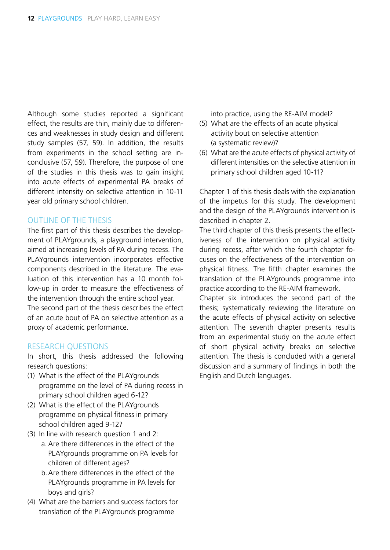Although some studies reported a significant effect, the results are thin, mainly due to differences and weaknesses in study design and different study samples (57, 59). In addition, the results from experiments in the school setting are inconclusive (57, 59). Therefore, the purpose of one of the studies in this thesis was to gain insight into acute effects of experimental PA breaks of different intensity on selective attention in 10-11 year old primary school children.

# OUTLINE OF THE THESIS

The first part of this thesis describes the development of PLAYgrounds, a playground intervention, aimed at increasing levels of PA during recess. The PLAYgrounds intervention incorporates effective components described in the literature. The evaluation of this intervention has a 10 month follow-up in order to measure the effectiveness of the intervention through the entire school year. The second part of the thesis describes the effect of an acute bout of PA on selective attention as a proxy of academic performance.

#### RESEARCH QUESTIONS

In short, this thesis addressed the following research questions:

- (1) What is the effect of the PLAYgrounds programme on the level of PA during recess in primary school children aged 6-12?
- (2) What is the effect of the PLAYgrounds programme on physical fitness in primary school children aged 9-12?
- (3) In line with research question 1 and 2:
	- a. Are there differences in the effect of the PLAYgrounds programme on PA levels for children of different ages?
	- b.Are there differences in the effect of the PLAYgrounds programme in PA levels for boys and girls?
- (4) What are the barriers and success factors for translation of the PLAYgrounds programme

into practice, using the RE-AIM model?

- (5) What are the effects of an acute physical activity bout on selective attention (a systematic review)?
- (6) What are the acute effects of physical activity of different intensities on the selective attention in primary school children aged 10-11?

Chapter 1 of this thesis deals with the explanation of the impetus for this study. The development and the design of the PLAYgrounds intervention is described in chapter 2.

The third chapter of this thesis presents the effectiveness of the intervention on physical activity during recess, after which the fourth chapter focuses on the effectiveness of the intervention on physical fitness. The fifth chapter examines the translation of the PLAYgrounds programme into practice according to the RE-AIM framework.

Chapter six introduces the second part of the thesis; systematically reviewing the literature on the acute effects of physical activity on selective attention. The seventh chapter presents results from an experimental study on the acute effect of short physical activity breaks on selective attention. The thesis is concluded with a general discussion and a summary of findings in both the English and Dutch languages.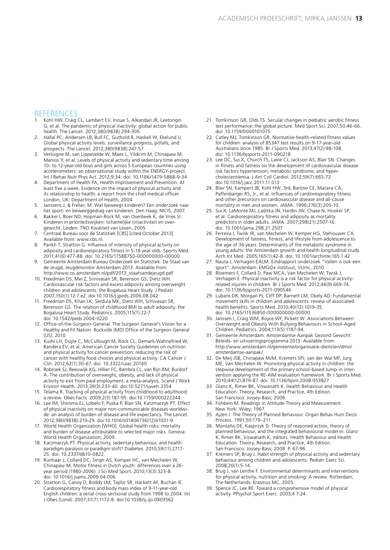#### **REFERENCES**

- Kohl HW, Craig CL, Lambert EV, Inoue S, Alkandari JR, Leetongin G, et al. The pandemic of physical inactivity: global action for public health. The Lancet. 2012;380(9838):294-305.
- Hallal PC, Andersen LB, Bull FC, Guthold R, Haskell W, Ekelund U. Global physical activity levels: surveillance progress, pitfalls, and prospects. The Lancet. 2012;380(9838):247-57.
- 3. Verloigne M, van Lippevelde W, Maes L, Yildirim M, Chinapaw M, Manios Y, et al. Levels of physical activity and sedentary time among 10- to 12-year-old boys and girls across 5 European countries using accelerometers: an observational study within the ENERGY-project. Int J Behav Nutr Phys Act. 2012;9:34. doi: 10.1186/1479-5868-9-34
- 4. Department of Health PA, Health Improvement and Prevention. At least five a week. Evidence on the impact of physical activity and its relationship to health: a report from the chief medical officer. London, UK: Department of Health, 2004.
- Janssens J, & Frelier, M. Wat beweegt kinderen? Een onderzoek naar het sport- en beweeggedrag van kinderen. Den Haag: NICIS, 2007.
- Bakker I, Boer ND, Hopman-Rock M, van Overbeek K, de Vries SI. Kinderen in prioriteitswijken: lichamelijke (in)activiteit en overgewicht. Leiden: TNO Kwaliteit van Leven, 2005.
- 7. Centraal Bureau voor de Statistiek [CBS] [cited October 2013]. Available from: www.cbs.nl.
- 8. Parikh T, Stratton G. Influence of intensity of physical activity on adiposity and cardiorespiratory fitness in 5-18 year olds. Sports Med. 2011;41(6):477-88. doi: 10.2165/11588750-000000000-00000
- 9. Gemeente Amsterdam Bureau Onderzoek en Statistiek. De Staat van de Jeugd, Jeugdmonitor Amsterdam 2013. Available from: http://www.os.amsterdam.nl/pdf/2013\_staatvandejeugd.pdf
- 10. Freedman DS, Mei Z, Srinivasan SR, Berenson GS, Dietz WH. Cardiovascular risk factors and excess adiposity among overweight children and adolescents: the Bogalusa Heart Study. J Pediatr. 2007;150(1):12-7 e2. doi:10.1016/j.jpeds.2006.08.042
- 11. Freedman DS, Khan LK, Serdula MK, Dietz WH, Srinivasan SR, Berenson GS. The relation of childhood BMI to adult adiposity: the Bogalusa Heart Study. Pediatrics. 2005;115(1):22-7. doi: 10.1542/peds.2004-0220
- 12. Office-of-the-Surgeon-General. The Surgeon General's Vision for a Healthy and Fit Nation. Rockville (MD) Office of the Surgeon General  $(115)$ ; 2010.
- 13. Kushi LH, Doyle C, McCullough M, Rock CL, Demark-Wahnefried W, Bandera EV, et al. American Cancer Society Guidelines on nutrition and physical activity for cancer prevention: reducing the risk of cancer with healthy food choices and physical activity. CA Cancer J Clin. 2012;62(1):30-67. doi: 10.3322/caac.20140
- 14. Robroek SJ, Reeuwijk KG, Hillier FC, Bambra CL, van Rijn RM, Burdorf A. The contribution of overweight, obesity, and lack of physical activity to exit from paid employment: a meta-analysis. Scand J Work Environ Health. 2013;39(3):233-40. doi:10.5271/sjweh.3354
- 15. Telama R. Tracking of physical activity from childhood to adulthood: a review. Obes Facts. 2009;2(3):187-95. doi:10.1159/000222244
- 16. Lee IM, Shiroma EJ, Lobelo F, Puska P, Blair SN, Katzmarzyk PT. Effect of physical inactivity on major non-communicable diseases worldwide: an analysis of burden of disease and life expectancy. The Lancet. 2012;380(9838):219-29. doi:10.1016/s01406736(12)61031-9
- 17. World Health Organization [WHO]. Global health risks: mortality and burden of disease attributable to selected major risks. Geneva: World Health Organization; 2009.
- 18. Katzmarzyk PT. Physical activity, sedentary behaviour, and health: paradigm paralysis or paradigm shift? Diabetes. 2010;59(11):2717- 25. doi: 10.2337/db10-0822.
- 19. Runhaar J, Collard DC, Singh AS, Kemper HC, van Mechelen W, Chinapaw M. Motor fitness in Dutch youth: differences over a 26 year period (1980-2006). J Sci Med Sport. 2010;13(3):323-8. doi: 10.1016/j.jsams.2009.04.006
- 20. Stratton G, Canoy D, Boddy LM, Taylor SR, Hackett AF, Buchan IE. Cardiorespiratory fitness and body mass index of 9-11-year-old English children: a serial cross-sectional study from 1998 to 2004. Int J Obes (Lond). 2007;31(7):1172-8. doi:10.1038/sj.ijo.0803562
- 21. Tomkinson GR, Olds TS. Secular changes in pediatric aerobic fitness test performance: the global picture. Med Sport Sci. 2007;50:46-66. doi: 10.1159/0000101075
- 22. Catley MJ, Tomkinson GR. Normative health-related fitness values for children: analysis of 85347 test results on 9-17-year-old Australians since 1985. Br J Sports Med. 2013;47(2):98-108. doi: 10.1136/bjsports-2011-090218
- 23. Lee DC, Sui X, Church TS, Lavie CJ, Jackson AS, Blair SN. Changes in fitness and fatness on the development of cardiovascular disease risk factors hypertension, metabolic syndrome, and hypercholesterolemia. J Am Coll Cardiol. 2012;59(7):665-72. doi:10.1016/j.jacc.2011.11.013
- 24. Blair SN, Kampert JB, Kohl HW, 3rd, Barlow CE, Macera CA, Paffenbarger RS, Jr., et al. Influences of cardiorespiratory fitness and other precursors on cardiovascular disease and all-cause mortality in men and women. JAMA. 1996;276(3):205-10.
- 25. Sui X, LaMonte MJ, Laditka JN, Hardin JW, Chase N, Hooker SP, et al. Cardiorespiratory fitness and adiposity as mortality predictors in older adults. JAMA. 2007;298(21):2507-16. doi: 10.1001/jama.298.21.2507
- 26. Ferreira I, Twisk JR, van Mechelen W, Kemper HG, Stehouwer CA. Development of fatness, fitness, and lifestyle from adolescence to the age of 36 years: Determinants of the metabolic syndrome in young adults: the Amsterdam growth and health longitudinal study. Arch Int Med. 2005;165(1):42-8. doi: 10.1001/archinte.165.1.42
- 27. Nauta J, Verhagen EALM. Eindrapport onderzoek "Vallen is ook een sport". Amsterdam: EMGO+ instituut, VUmc, 2010.
- 28. Bloemers F, Collard D, Paw MCA, Van Mechelen W, Twisk J, Verhagen E. Physical inactivity is a risk factor for physical activityrelated injuries in children. Br J Sports Med. 2012;46(9):669-74. doi: 10.1136/bjsports-2011-090546
- 29. Lubans DR, Morgan PJ, Cliff DP, Barnett LM, Okely AD. Fundamental movement skills in children and adolescents: review of associated health benefits. Sports Med. 2010;40(12):1019-35. doi: 10.2165/11536850-000000000-00000
- 30. Janssen I, Craig WM, Boyce WF, Pickett W. Associations Between Overweight and Obesity With Bullying Behaviours in School-Aged Children. Pediatrics. 2004;113(5):1187-94.
- 31. Gemeente Amsterdam. Amsterdamse Aanpak Gezond Gewicht: Beleids- en uitvoeringsprogramma 2013. Available from: http://www.amsterdam.nl/gemeente/organisatie-diensten/dmo/ amsterdamse-aanpak/
- 32. De Meij JSB, Chinapaw MJM, Kremers SPJ, van der Wal MF, Jurg ME, Van Mechelen W. Promoting physical activity in children: the stepwise development of the primary school-based Jump-in intervention applying the RE-AIM evaluation framework. Br J Sports Med. 2010;44(12):879-87. doi: 10.1136/bjsm.2008.053827
- 33. Glanz K, Rimer BK, Viswanath K. Health Behaviour and Health Education: Theory, Research, and Practice, 4th Edition. San Francisco: Jossey-Bass; 2008.
- 34. Fishbein M. Readings in Attitude Theory and Measurement. New York: Wiley; 1967.
- 35. Ajzen I. The Theory of Planned Behaviour. Organ Behav Hum Decis Process. 1991;50:179–211.
- 36. Montaño DE, Kasprzyk D. Theory of reasoned action, theory of planned behaviour, and the integrated behavioural model In: Glanz K, Rimer BK, Viswanath K, editors. Health Behaviour and Health Education: Theory, Research, and Practice, 4th Edition. San Francisco: Jossey-Bass; 2008. P. 67-96.
- 37. Kremers SP, Brug J. Habit strength of physical activity and sedentary behaviour among children and adolescents. Pediatr Exerc Sci. 2008;20(1):5-14.
- 38. Brug J, van Lenthe F. Environmental determinants and interventions for physical activity, nutrition and smoking: A review. Rotterdam, The Netherlands: Erasmus MC, 2005.
- 39. Spence JC, Lee RE. Toward a comprehensive model of physical activity. PPsychol Sport Exerc. 2003;4 7-24.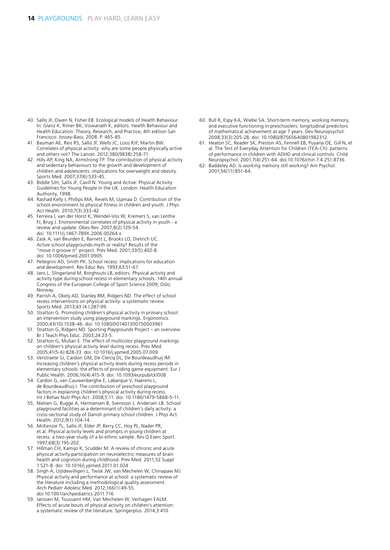- 40. Sallis JF, Owen N, Fisher EB. Ecological models of Health Behaviour. In: Glanz K, Rimer BK, Viswanath K, editors. Health Behaviour and Health Education: Theory, Research, and Practice, 4th edition San Francisco: Jossey-Bass; 2008. P. 465-85.
- 41. Bauman AE, Reis RS, Sallis JF, Wells JC, Loos RJF, Martin BW. Correlates of physical activity: why are some people physically active and others not? The Lancet. 2012;380(9838):258-71.
- 42. Hills AP, King NA, Armstrong TP. The contribution of physical activity and sedentary behaviours to the growth and development of children and adolescents: implications for overweight and obesity. Sports Med. 2007;37(6):533-45.
- 43. Biddle SJH, Sallis JF, Cavill N. Young and Active: Physical Activity Guidelines for Young People in the UK. London: Health Education Authority, 1998.
- 44. Rashad Kelly I, Phillips MA, Revels M, Ujamaa D. Contribution of the school environment to physical fitness in children and youth. J Phys Act Health. 2010;7(3):333-42
- 45. Ferreira I, van der Horst K, Wendel-Vos W, Kremers S, van Lenthe FJ, Brug J. Environmental correlates of physical activity in youth - a review and update. Obes Rev. 2007;8(2):129-54. doi: 10.1111/j.1467-789X.2006.00264.x
- 46. Zask A, van Beurden E, Barnett L, Brooks LO, Dietrich UC. Active school playgrounds-myth or reality? Results of the "move it groove it" project. Prev Med. 2001;33(5):402-8. doi: 10.1006/pmed.2001.0905
- 47. Pellegrini AD, Smith PK. School recess: implications for education and development. Rev Educ Res. 1993;63:51-67.
- 48. Jans L, Slingerland M, Borghouts LB, editors. Physical activity and activity type during school recess in elementary schools. 14th annual Congress of the European College of Sport Science 2009; Oslo; **Norway**
- 49. Parrish A, Okely AD, Stanley RM, Ridgers ND. The effect of school recess interventions on physical activity: a systematic review. Sports Med. 2013;43 (4 ):287-99.
- 50. Stratton G. Promoting children's physical activity in primary school: an intervention study using playground markings. Ergonomics. 2000;43(10):1538-46. doi: 10.1080/001401300750003961
- 51. Stratton G, Ridgers ND. Sporting Playgrounds Project an overview. Br J Teach Phys Educ. 2003;24:23-5.
- 52. Stratton G, Mullan E. The effect of multicolor playground markings on children's physical activity level during recess. Prev Med. 2005;41(5-6):828-33. doi: 10.1016/j.ypmed.2005.07.009
- 53. Verstraete SJ, Cardon GM, De Clercq DL, De Bourdeaudhuij IM. Increasing children's physical activity levels during recess periods in elementary schools: the effects of providing game equipment. Eur J Public Health. 2006;16(4):415-9. doi: 10.1093/eurpub/ckl008
- 54. Cardon G, van Cauwenberghe E, Labarque V, Haerens L, de Bourdeaudhuij I. The contribution of preschool playground factors in explaining children's physical activity during recess. Int J Behav Nutr Phys Act. 2008;5:11. doi: 10.1186/1479-5868-5-11.
- 55. Nielsen G, Bugge A, Hermansen B, Svensson J, Andersen LB. School playground facilities as a determinant of children's daily activity: a cross-sectional study of Danish primary school children. J Phys Act Health. 2012;9(1):104-14.
- 56. McKenzie TL, Sallis JF, Elder JP, Berry CC, Hoy PL, Nader PR, et al. Physical activity levels and prompts in young children at recess: a two-year study of a bi-ethnic sample. Res Q Exerc Sport. 1997;68(3):195-202.
- 57. Hillman CH, Kamijo K, Scudder M. A review of chronic and acute physical activity participation on neuroelectric measures of brain health and cognition during childhood. Prev Med. 2011;52 Suppl 1:S21-8. doi: 10.1016/j.ypmed.2011.01.024
- 58. Singh A, Uijtdewilligen L, Twisk JW, van Mechelen W, Chinapaw MJ. Physical activity and performance at school: a systematic review of the literature including a methodological quality assessment. Arch Pediatr Adolesc Med. 2012;166(1):49-55. doi:10.1001/archpediatrics.2011.716
- 59. Janssen M, Toussaint HM, Van Mechelen W, Verhagen EALM. Effects of acute bouts of physical activity on children's attention: a systematic review of the literature. Springerplus. 2014;3:410.
- 60. Bull R, Espy KA, Wiebe SA. Short-term memory, working memory, and executive functioning in preschoolers: longitudinal predictors of mathematical achievement at age 7 years. Dev Neuropsychol. 2008;33(3):205-28. doi: 10.1080/87565640801982312.
- 61. Heaton SC, Reader SK, Preston AS, Fennell EB, Puyana OE, Gill N, et al. The Test of Everyday Attention for Children (TEA-Ch): patterns of performance in children with ADHD and clinical controls. Child Neuropsychol. 2001;7(4):251-64. doi:10.1076/chin.7.4.251.8736
- 62. Baddeley AD. Is working memory still working? Am Psychol. 2001;56(11):851-64.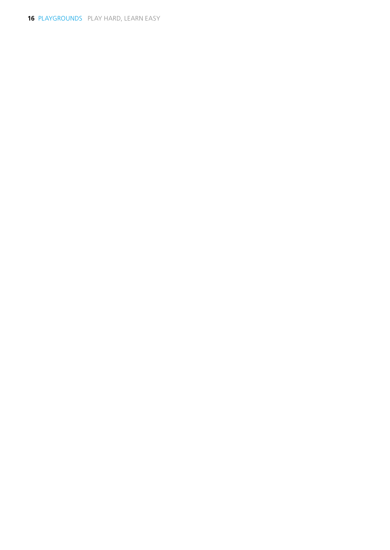# PLAYGROUNDS PLAY HARD, LEARN EASY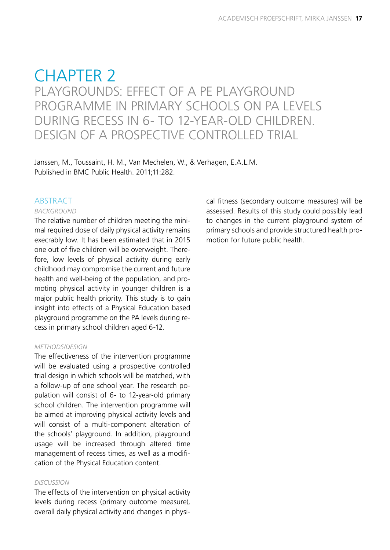# CHAPTER 2 PLAYGROUNDS: EFFECT OF A PE PLAYGROUND PROGRAMME IN PRIMARY SCHOOLS ON PA LEVELS DURING RECESS IN 6- TO 12-YEAR-OLD CHILDREN. DESIGN OF A PROSPECTIVE CONTROLLED TRIAL

Janssen, M., Toussaint, H. M., Van Mechelen, W., & Verhagen, E.A.L.M. Published in BMC Public Health. 2011;11:282.

#### **ABSTRACT**

#### *BACKGROUND*

The relative number of children meeting the minimal required dose of daily physical activity remains execrably low. It has been estimated that in 2015 one out of five children will be overweight. Therefore, low levels of physical activity during early childhood may compromise the current and future health and well-being of the population, and promoting physical activity in younger children is a major public health priority. This study is to gain insight into effects of a Physical Education based playground programme on the PA levels during recess in primary school children aged 6-12.

#### *METHODS/DESIGN*

The effectiveness of the intervention programme will be evaluated using a prospective controlled trial design in which schools will be matched, with a follow-up of one school year. The research population will consist of 6- to 12-year-old primary school children. The intervention programme will be aimed at improving physical activity levels and will consist of a multi-component alteration of the schools' playground. In addition, playground usage will be increased through altered time management of recess times, as well as a modification of the Physical Education content.

#### *DISCUSSION*

The effects of the intervention on physical activity levels during recess (primary outcome measure), overall daily physical activity and changes in physical fitness (secondary outcome measures) will be assessed. Results of this study could possibly lead to changes in the current playground system of primary schools and provide structured health promotion for future public health.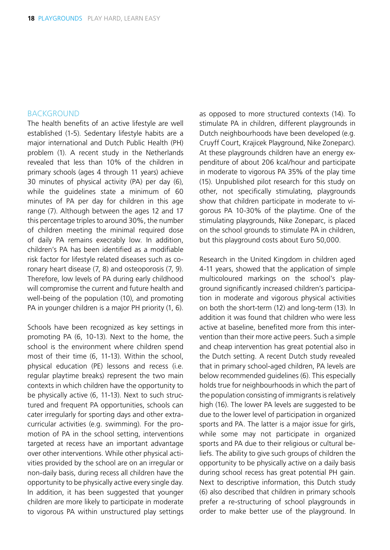#### **BACKGROUND**

The health benefits of an active lifestyle are well established (1-5). Sedentary lifestyle habits are a major international and Dutch Public Health (PH) problem (1). A recent study in the Netherlands revealed that less than 10% of the children in primary schools (ages 4 through 11 years) achieve 30 minutes of physical activity (PA) per day (6), while the guidelines state a minimum of 60 minutes of PA per day for children in this age range (7). Although between the ages 12 and 17 this percentage triples to around 30%, the number of children meeting the minimal required dose of daily PA remains execrably low. In addition, children's PA has been identified as a modifiable risk factor for lifestyle related diseases such as coronary heart disease (7, 8) and osteoporosis (7, 9). Therefore, low levels of PA during early childhood will compromise the current and future health and well-being of the population (10), and promoting PA in younger children is a major PH priority (1, 6).

Schools have been recognized as key settings in promoting PA (6, 10-13). Next to the home, the school is the environment where children spend most of their time (6, 11-13). Within the school, physical education (PE) lessons and recess (i.e. regular playtime breaks) represent the two main contexts in which children have the opportunity to be physically active (6, 11-13). Next to such structured and frequent PA opportunities, schools can cater irregularly for sporting days and other extracurricular activities (e.g. swimming). For the promotion of PA in the school setting, interventions targeted at recess have an important advantage over other interventions. While other physical activities provided by the school are on an irregular or non-daily basis, during recess all children have the opportunity to be physically active every single day. In addition, it has been suggested that younger children are more likely to participate in moderate to vigorous PA within unstructured play settings as opposed to more structured contexts (14). To stimulate PA in children, different playgrounds in Dutch neighbourhoods have been developed (e.g. Cruyff Court, Krajicek Playground, Nike Zoneparc). At these playgrounds children have an energy expenditure of about 206 kcal/hour and participate in moderate to vigorous PA 35% of the play time (15). Unpublished pilot research for this study on other, not specifically stimulating, playgrounds show that children participate in moderate to vigorous PA 10-30% of the playtime. One of the stimulating playgrounds, Nike Zoneparc, is placed on the school grounds to stimulate PA in children, but this playground costs about Euro 50,000.

Research in the United Kingdom in children aged 4-11 years, showed that the application of simple multicoloured markings on the school's playground significantly increased children's participation in moderate and vigorous physical activities on both the short-term (12) and long-term (13). In addition it was found that children who were less active at baseline, benefited more from this intervention than their more active peers. Such a simple and cheap intervention has great potential also in the Dutch setting. A recent Dutch study revealed that in primary school-aged children, PA levels are below recommended guidelines (6). This especially holds true for neighbourhoods in which the part of the population consisting of immigrants is relatively high (16). The lower PA levels are suggested to be due to the lower level of participation in organized sports and PA. The latter is a major issue for girls, while some may not participate in organized sports and PA due to their religious or cultural beliefs. The ability to give such groups of children the opportunity to be physically active on a daily basis during school recess has great potential PH gain. Next to descriptive information, this Dutch study (6) also described that children in primary schools prefer a re-structuring of school playgrounds in order to make better use of the playground. In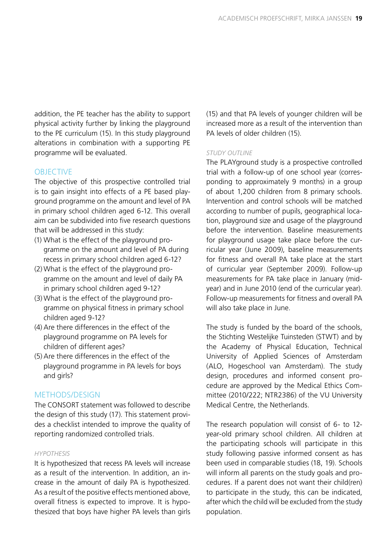addition, the PE teacher has the ability to support physical activity further by linking the playground to the PE curriculum (15). In this study playground alterations in combination with a supporting PE programme will be evaluated.

# **OBJECTIVE**

The objective of this prospective controlled trial is to gain insight into effects of a PE based playground programme on the amount and level of PA in primary school children aged 6-12. This overall aim can be subdivided into five research questions that will be addressed in this study:

- (1) What is the effect of the playground programme on the amount and level of PA during recess in primary school children aged 6-12?
- (2) What is the effect of the playground programme on the amount and level of daily PA in primary school children aged 9-12?
- (3) What is the effect of the playground programme on physical fitness in primary school children aged 9-12?
- (4) Are there differences in the effect of the playground programme on PA levels for children of different ages?
- (5)Are there differences in the effect of the playground programme in PA levels for boys and girls?

# METHODS/DESIGN

The CONSORT statement was followed to describe the design of this study (17). This statement provides a checklist intended to improve the quality of reporting randomized controlled trials.

### *HYPOTHESIS*

It is hypothesized that recess PA levels will increase as a result of the intervention. In addition, an increase in the amount of daily PA is hypothesized. As a result of the positive effects mentioned above, overall fitness is expected to improve. It is hypothesized that boys have higher PA levels than girls (15) and that PA levels of younger children will be increased more as a result of the intervention than PA levels of older children (15).

#### *STUDY OUTLINE*

The PLAYground study is a prospective controlled trial with a follow-up of one school year (corresponding to approximately 9 months) in a group of about 1,200 children from 8 primary schools. Intervention and control schools will be matched according to number of pupils, geographical location, playground size and usage of the playground before the intervention. Baseline measurements for playground usage take place before the curricular year (June 2009), baseline measurements for fitness and overall PA take place at the start of curricular year (September 2009). Follow-up measurements for PA take place in January (midyear) and in June 2010 (end of the curricular year). Follow-up measurements for fitness and overall PA will also take place in June.

The study is funded by the board of the schools, the Stichting Westelijke Tuinsteden (STWT) and by the Academy of Physical Education, Technical University of Applied Sciences of Amsterdam (ALO, Hogeschool van Amsterdam). The study design, procedures and informed consent procedure are approved by the Medical Ethics Committee (2010/222; NTR2386) of the VU University Medical Centre, the Netherlands.

The research population will consist of 6- to 12 year-old primary school children. All children at the participating schools will participate in this study following passive informed consent as has been used in comparable studies (18, 19). Schools will inform all parents on the study goals and procedures. If a parent does not want their child(ren) to participate in the study, this can be indicated, after which the child will be excluded from the study population.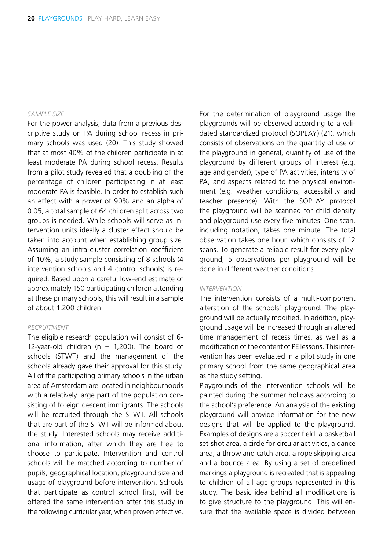#### *SAMPLE SIZE*

For the power analysis, data from a previous descriptive study on PA during school recess in primary schools was used (20). This study showed that at most 40% of the children participate in at least moderate PA during school recess. Results from a pilot study revealed that a doubling of the percentage of children participating in at least moderate PA is feasible. In order to establish such an effect with a power of 90% and an alpha of 0.05, a total sample of 64 children split across two groups is needed. While schools will serve as intervention units ideally a cluster effect should be taken into account when establishing group size. Assuming an intra-cluster correlation coefficient of 10%, a study sample consisting of 8 schools (4 intervention schools and 4 control schools) is required. Based upon a careful low-end estimate of approximately 150 participating children attending at these primary schools, this will result in a sample of about 1,200 children.

#### *RECRUITMENT*

The eligible research population will consist of 6- 12-year-old children ( $n = 1,200$ ). The board of schools (STWT) and the management of the schools already gave their approval for this study. All of the participating primary schools in the urban area of Amsterdam are located in neighbourhoods with a relatively large part of the population consisting of foreign descent immigrants. The schools will be recruited through the STWT. All schools that are part of the STWT will be informed about the study. Interested schools may receive additional information, after which they are free to choose to participate. Intervention and control schools will be matched according to number of pupils, geographical location, playground size and usage of playground before intervention. Schools that participate as control school first, will be offered the same intervention after this study in the following curricular year, when proven effective. For the determination of playground usage the playgrounds will be observed according to a validated standardized protocol (SOPLAY) (21), which consists of observations on the quantity of use of the playground in general, quantity of use of the playground by different groups of interest (e.g. age and gender), type of PA activities, intensity of PA, and aspects related to the physical environment (e.g. weather conditions, accessibility and teacher presence). With the SOPLAY protocol the playground will be scanned for child density and playground use every five minutes. One scan, including notation, takes one minute. The total observation takes one hour, which consists of 12 scans. To generate a reliable result for every playground, 5 observations per playground will be done in different weather conditions.

#### *INTERVENTION*

The intervention consists of a multi-component alteration of the schools' playground. The playground will be actually modified. In addition, playground usage will be increased through an altered time management of recess times, as well as a modification of the content of PE lessons. This intervention has been evaluated in a pilot study in one primary school from the same geographical area as the study setting.

Playgrounds of the intervention schools will be painted during the summer holidays according to the school's preference. An analysis of the existing playground will provide information for the new designs that will be applied to the playground. Examples of designs are a soccer field, a basketball set-shot area, a circle for circular activities, a dance area, a throw and catch area, a rope skipping area and a bounce area. By using a set of predefined markings a playground is recreated that is appealing to children of all age groups represented in this study. The basic idea behind all modifications is to give structure to the playground. This will ensure that the available space is divided between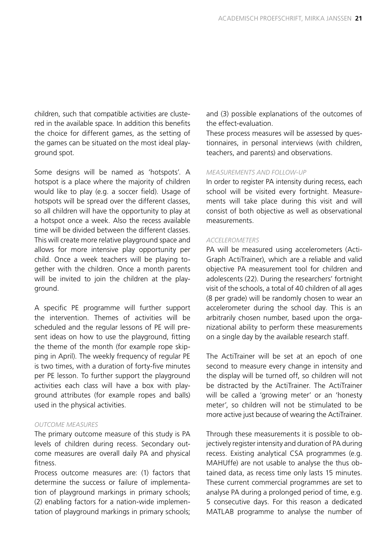children, such that compatible activities are clustered in the available space. In addition this benefits the choice for different games, as the setting of the games can be situated on the most ideal playground spot.

Some designs will be named as 'hotspots'. A hotspot is a place where the majority of children would like to play (e.g. a soccer field). Usage of hotspots will be spread over the different classes, so all children will have the opportunity to play at a hotspot once a week. Also the recess available time will be divided between the different classes. This will create more relative playground space and allows for more intensive play opportunity per child. Once a week teachers will be playing together with the children. Once a month parents will be invited to join the children at the playground.

A specific PE programme will further support the intervention. Themes of activities will be scheduled and the regular lessons of PE will present ideas on how to use the playground, fitting the theme of the month (for example rope skipping in April). The weekly frequency of regular PE is two times, with a duration of forty-five minutes per PE lesson. To further support the playground activities each class will have a box with playground attributes (for example ropes and balls) used in the physical activities.

#### *OUTCOME MEASURES*

The primary outcome measure of this study is PA levels of children during recess. Secondary outcome measures are overall daily PA and physical fitness.

Process outcome measures are: (1) factors that determine the success or failure of implementation of playground markings in primary schools; (2) enabling factors for a nation-wide implementation of playground markings in primary schools; and (3) possible explanations of the outcomes of the effect-evaluation.

These process measures will be assessed by questionnaires, in personal interviews (with children, teachers, and parents) and observations.

#### *MEASUREMENTS AND FOLLOW-UP*

In order to register PA intensity during recess, each school will be visited every fortnight. Measurements will take place during this visit and will consist of both objective as well as observational measurements.

#### *ACCELEROMETERS*

PA will be measured using accelerometers (Acti-Graph ActiTrainer), which are a reliable and valid objective PA measurement tool for children and adolescents (22). During the researchers' fortnight visit of the schools, a total of 40 children of all ages (8 per grade) will be randomly chosen to wear an accelerometer during the school day. This is an arbitrarily chosen number, based upon the organizational ability to perform these measurements on a single day by the available research staff.

The ActiTrainer will be set at an epoch of one second to measure every change in intensity and the display will be turned off, so children will not be distracted by the ActiTrainer. The ActiTrainer will be called a 'growing meter' or an 'honesty meter', so children will not be stimulated to be more active just because of wearing the ActiTrainer.

Through these measurements it is possible to objectively register intensity and duration of PA during recess. Existing analytical CSA programmes (e.g. MAHUffe) are not usable to analyse the thus obtained data, as recess time only lasts 15 minutes. These current commercial programmes are set to analyse PA during a prolonged period of time, e.g. 5 consecutive days. For this reason a dedicated MATLAB programme to analyse the number of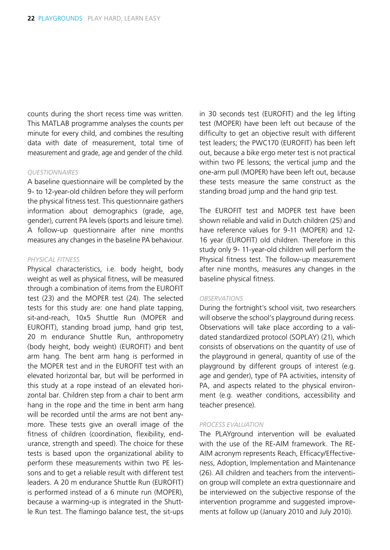counts during the short recess time was written. This MATLAB programme analyses the counts per minute for every child, and combines the resulting data with date of measurement, total time of measurement and grade, age and gender of the child.

#### *QUESTIONNAIRES*

A baseline questionnaire will be completed by the 9- to 12-year-old children before they will perform the physical fitness test. This questionnaire gathers information about demographics (grade, age, gender), current PA levels (sports and leisure time). A follow-up questionnaire after nine months measures any changes in the baseline PA behaviour.

#### *PHYSICAL FITNESS*

Physical characteristics, i.e. body height, body weight as well as physical fitness, will be measured through a combination of items from the EUROFIT test (23) and the MOPER test (24). The selected tests for this study are: one hand plate tapping, sit-and-reach, 10x5 Shuttle Run (MOPER and EUROFIT), standing broad jump, hand grip test, 20 m endurance Shuttle Run, anthropometry (body height, body weight) (EUROFIT) and bent arm hang. The bent arm hang is performed in the MOPER test and in the EUROFIT test with an elevated horizontal bar, but will be performed in this study at a rope instead of an elevated horizontal bar. Children step from a chair to bent arm hang in the rope and the time in bent arm hang will be recorded until the arms are not bent anymore. These tests give an overall image of the fitness of children (coordination, flexibility, endurance, strength and speed). The choice for these tests is based upon the organizational ability to perform these measurements within two PE lessons and to get a reliable result with different test leaders. A 20 m endurance Shuttle Run (EUROFIT) is performed instead of a 6 minute run (MOPER), because a warming-up is integrated in the Shuttle Run test. The flamingo balance test, the sit-ups in 30 seconds test (EUROFIT) and the leg lifting test (MOPER) have been left out because of the difficulty to get an objective result with different test leaders; the PWC170 (EUROFIT) has been left out, because a bike ergo meter test is not practical within two PE lessons; the vertical jump and the one-arm pull (MOPER) have been left out, because these tests measure the same construct as the standing broad jump and the hand grip test.

The EUROFIT test and MOPER test have been shown reliable and valid in Dutch children (25) and have reference values for 9-11 (MOPER) and 12- 16 year (EUROFIT) old children. Therefore in this study only 9- 11-year-old children will perform the Physical fitness test. The follow-up measurement after nine months, measures any changes in the baseline physical fitness.

#### *OBSERVATIONS*

During the fortnight's school visit, two researchers will observe the school's playground during recess. Observations will take place according to a validated standardized protocol (SOPLAY) (21), which consists of observations on the quantity of use of the playground in general, quantity of use of the playground by different groups of interest (e.g. age and gender), type of PA activities, intensity of PA, and aspects related to the physical environment (e.g. weather conditions, accessibility and teacher presence).

# *PROCESS EVALUATION*

The PLAYground intervention will be evaluated with the use of the RE-AIM framework. The RE-AIM acronym represents Reach, Efficacy/Effectiveness, Adoption, Implementation and Maintenance (26). All children and teachers from the intervention group will complete an extra questionnaire and be interviewed on the subjective response of the intervention programme and suggested improvements at follow up (January 2010 and July 2010).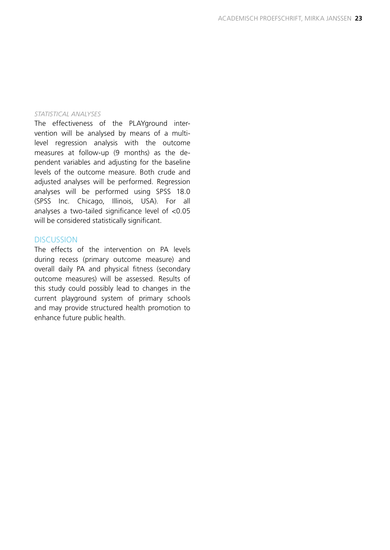#### *STATISTICAL ANALYSES*

The effectiveness of the PLAYground intervention will be analysed by means of a multilevel regression analysis with the outcome measures at follow-up (9 months) as the dependent variables and adjusting for the baseline levels of the outcome measure. Both crude and adjusted analyses will be performed. Regression analyses will be performed using SPSS 18.0 (SPSS Inc. Chicago, Illinois, USA). For all analyses a two-tailed significance level of <0.05 will be considered statistically significant.

#### **DISCUSSION**

The effects of the intervention on PA levels during recess (primary outcome measure) and overall daily PA and physical fitness (secondary outcome measures) will be assessed. Results of this study could possibly lead to changes in the current playground system of primary schools and may provide structured health promotion to enhance future public health.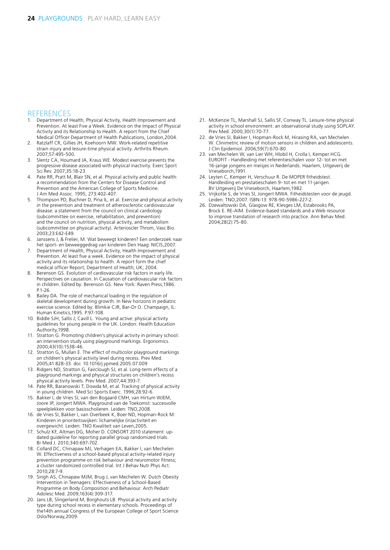#### **REFERENCES**

- 1. Department of Health, Physical Activity, Health Improvement and Prevention. At least Five a Week. Evidence on the Impact of Physical Activity and its Relationship to Health. A report from the Chief Medical Officer Department of Health Publications, London,2004.
- Ratzlaff CR, Gillies JH, Koehoorn MW. Work-related repetitive strain injury and leisure-time physical activity. Arthritis Rheum. 2007;57:495-500.
- 3. Slentz CA, Houmard JA, Kraus WE. Modest exercise prevents the progressive disease associated with physical inactivity. Exerc Sport Sci Rev. 2007;35:18-23.
- 4. Pate RR, Pratt M, Blair SN, et al. Physical activity and public health: a recommendation from the Centers for Disease Control and Prevention and the American College of Sports Medicine. J Am Med Assoc. 1995, 273:402-407.
- 5. Thompson PD, Buchner D, Pina IL, et al. Exercise and physical activity in the prevention and treatment of atherosclerotic cardiovascular disease: a statement from the council on clinical cardiology (subcommittee on exercise, rehabilitation, and prevention) and the council on nutrition, physical activity, and metabolism (subcommittee on physical activity). Arterioscler Throm, Vasc Bio. 2003;23:E42-E49.
- 6. Janssens J, & Frelier, M. Wat beweegt kinderen? Een onderzoek naar het sport- en beweeggedrag van kinderen Den Haag: NICIS,2007.
- 7. Department of Health, Physical Activity, Health Improvement and Prevention. At least five a week. Evidence on the impact of physical activity and its relationship to health. A report form the chief medical officer Report; Department of Health; UK; 2004.
- 8. Berenson GS. Evolution of cardiovascular risk factors in early life. Perspectives on causation. In Causation of cardiovascular risk factors in children. Edited by: Berenson GS. New York: Raven Press,1986. P.1-26.
- 9. Bailey DA. The role of mechanical loading in the regulation of skeletal development during growth. In New horizons in pediatric exercise science. Edited by: Blimkie CJR, Bar-Or O. Champaign, IL: Human Kinetics,1995. P.97-108.
- 10. Biddle SJH, Sallis J, Cavill L. Young and active: physical activity guidelines for young people in the UK. London: Health Education Authority,1998.
- 11. Stratton G. Promoting children's physical activity in primary school: an intervention study using playground markings. Ergonomics. 2000;43(10):1538-46.
- 12. Stratton G, Mullan E. The effect of multicolor playground markings on children's physical activity level during recess. Prev Med. 2005;41:828-33. doi: 10.1016/j.ypmed.2005.07.009
- 13. Ridgers ND, Stratton G, Fairclough SJ, et al. Long-term effects of a playground markings and physical structures on children's recess physical activity levels. Prev Med. 2007;44:393-7.
- 14. Pate RR, Baranowski T, Dowda M, et al. Tracking of physical activity in young children. Med Sci Sports Exerc. 1996;28:92-6.
- 15. Bakker I, de Vries SI, van den Bogaard CMH, van Hirtum WJEM, Joore JP, Jongert MWA. Playground van de Toekomst: succesvolle speelplekken voor basisscholieren. Leiden: TNO,2008.
- 16. de Vries SI, Bakker I, van Overbeek K, Boer ND, Hopman-Rock M: Kinderen in prioriteitswijken: lichamelijke (in)activiteit en overgewicht. Leiden: TNO Kwaliteit van Leven,2005.
- 17. Schulz KF, Altman DG, Moher D. CONSORT 2010 statement: updated guideline for reporting parallel group randomized trials. Br Med J. 2010;340:697-702.
- 18. Collard DC, Chinapaw MJ, Verhagen EA, Bakker I, van Mechelen W. Effectiveness of a school-based physical activity-related injury prevention programme on risk behaviour and neuromotor fitness; a cluster randomized controlled trial. Int J Behav Nutr Phys Act. 2010;28:7-9.
- 19. Singh AS, Chinapaw MJM, Brug J, van Mechelen W. Dutch Obesity Intervention in Teenagers: Effectiveness of a School-Based Programme on Body Composition and Behaviour. Arch Pediatr Adolesc Med. 2009;163(4):309-317.
- 20. Jans LB, Slingerland M, Borghouts LB. Physical activity and activity type during school recess in elementary schools. Proceedings of the14th annual Congress of the European College of Sport Science Oslo/Norway,2009.
- 21. McKenzie TL, Marshall SJ, Sallis SF, Conway TL. Leisure-time physical activity in school environment: an observational study using SOPLAY. Prev Med. 2000;30(1):70-77.
- 22. de Vries SI, Bakker I, Hopman-Rock M, Hirasing RA, van Mechelen W. Clinimetric review of motion sensors in children and adolescents. J Clin Epidemiol. 2006;59(7):670-80.
- 23. van Mechelen W, van Lier WH, Hlobil H, Crolla I, Kemper HCG. EUROFIT - Handleiding met referentieschalen voor 12- tot en met 16-jarige jongens en meisjes in Nederlands. Haarlem, Uitgeverij de Vrieseborch,1991.
- 24. Leyten C, Kemper H, Verschuur R. De MOPER fitheidstest. Handleiding en prestatieschalen 9- tot en met 11-jarigen. BV Uitgeverij De Vrieseborch, Haarlem,1982.
- 25. Vrijkotte S, de Vries SI, Jongert MWA. Fitheidstesten voor de jeugd. Leiden: TNO,2007. ISBN-13: 978-90-5986-227-2.
- 26. Dzewaltowski DA, Glasgow RE, Klesges LM, Estabrooks PA, Brock E. RE-AIM. Evidence-based standards and a Web resource to improve translation of research into practice. Ann Behav Med. 2004;28(2):75-80.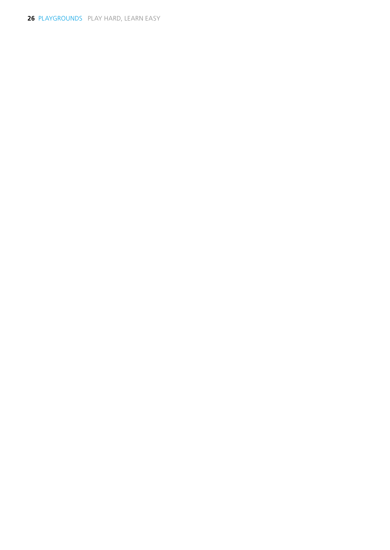# PLAYGROUNDS PLAY HARD, LEARN EASY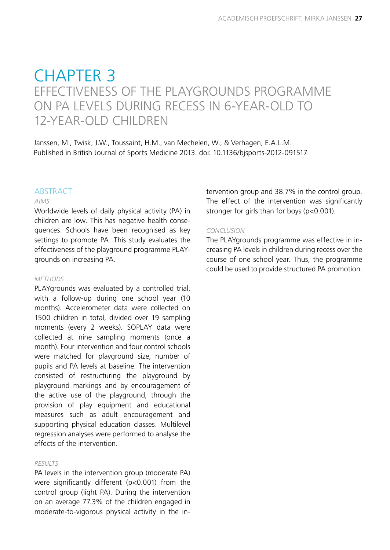# CHAPTER 3 EFFECTIVENESS OF THE PLAYGROUNDS PROGRAMME ON PA LEVELS DURING RECESS IN 6-YEAR-OLD TO 12-YEAR-OLD CHILDREN

Janssen, M., Twisk, J.W., Toussaint, H.M., van Mechelen, W., & Verhagen, E.A.L.M. Published in British Journal of Sports Medicine 2013. doi: 10.1136/bjsports-2012-091517

#### ABSTRACT

#### *AIMS*

Worldwide levels of daily physical activity (PA) in children are low. This has negative health consequences. Schools have been recognised as key settings to promote PA. This study evaluates the effectiveness of the playground programme PLAYgrounds on increasing PA.

#### *METHODS*

PLAYgrounds was evaluated by a controlled trial, with a follow-up during one school year (10 months). Accelerometer data were collected on 1500 children in total, divided over 19 sampling moments (every 2 weeks). SOPLAY data were collected at nine sampling moments (once a month). Four intervention and four control schools were matched for playground size, number of pupils and PA levels at baseline. The intervention consisted of restructuring the playground by playground markings and by encouragement of the active use of the playground, through the provision of play equipment and educational measures such as adult encouragement and supporting physical education classes. Multilevel regression analyses were performed to analyse the effects of the intervention.

#### *RESULTS*

PA levels in the intervention group (moderate PA) were significantly different (p<0.001) from the control group (light PA). During the intervention on an average 77.3% of the children engaged in moderate-to-vigorous physical activity in the intervention group and 38.7% in the control group. The effect of the intervention was significantly stronger for girls than for boys (p<0.001).

#### *CONCLUSION*

The PLAYgrounds programme was effective in increasing PA levels in children during recess over the course of one school year. Thus, the programme could be used to provide structured PA promotion.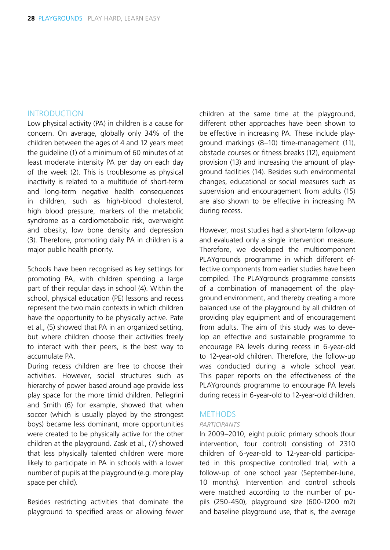#### INTRODUCTION

Low physical activity (PA) in children is a cause for concern. On average, globally only 34% of the children between the ages of 4 and 12 years meet the guideline (1) of a minimum of 60 minutes of at least moderate intensity PA per day on each day of the week (2). This is troublesome as physical inactivity is related to a multitude of short-term and long-term negative health consequences in children, such as high-blood cholesterol, high blood pressure, markers of the metabolic syndrome as a cardiometabolic risk, overweight and obesity, low bone density and depression (3). Therefore, promoting daily PA in children is a major public health priority.

Schools have been recognised as key settings for promoting PA, with children spending a large part of their regular days in school (4). Within the school, physical education (PE) lessons and recess represent the two main contexts in which children have the opportunity to be physically active. Pate et al., (5) showed that PA in an organized setting, but where children choose their activities freely to interact with their peers, is the best way to accumulate PA.

During recess children are free to choose their activities. However, social structures such as hierarchy of power based around age provide less play space for the more timid children. Pellegrini and Smith (6) for example, showed that when soccer (which is usually played by the strongest boys) became less dominant, more opportunities were created to be physically active for the other children at the playground. Zask et al., (7) showed that less physically talented children were more likely to participate in PA in schools with a lower number of pupils at the playground (e.g. more play space per child).

Besides restricting activities that dominate the playground to specified areas or allowing fewer children at the same time at the playground, different other approaches have been shown to be effective in increasing PA. These include playground markings (8–10) time-management (11), obstacle courses or fitness breaks (12), equipment provision (13) and increasing the amount of playground facilities (14). Besides such environmental changes, educational or social measures such as supervision and encouragement from adults (15) are also shown to be effective in increasing PA during recess.

However, most studies had a short-term follow-up and evaluated only a single intervention measure. Therefore, we developed the multicomponent PLAYgrounds programme in which different effective components from earlier studies have been compiled. The PLAYgrounds programme consists of a combination of management of the playground environment, and thereby creating a more balanced use of the playground by all children of providing play equipment and of encouragement from adults. The aim of this study was to develop an effective and sustainable programme to encourage PA levels during recess in 6-year-old to 12-year-old children. Therefore, the follow-up was conducted during a whole school year. This paper reports on the effectiveness of the PLAYgrounds programme to encourage PA levels during recess in 6-year-old to 12-year-old children.

#### **METHODS**

#### *PARTICIPANTS*

In 2009–2010, eight public primary schools (four intervention, four control) consisting of 2310 children of 6-year-old to 12-year-old participated in this prospective controlled trial, with a follow-up of one school year (September-June, 10 months). Intervention and control schools were matched according to the number of pupils (250-450), playground size (600-1200 m2) and baseline playground use, that is, the average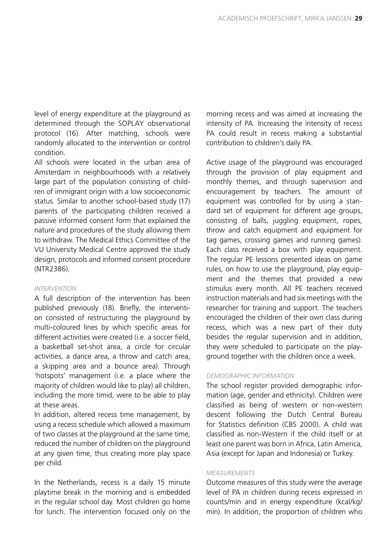level of energy expenditure at the playground as determined through the SOPLAY observational protocol (16). After matching, schools were randomly allocated to the intervention or control condition.

All schools were located in the urban area of Amsterdam in neighbourhoods with a relatively large part of the population consisting of children of immigrant origin with a low socioeconomic status. Similar to another school-based study (17) parents of the participating children received a passive informed consent form that explained the nature and procedures of the study allowing them to withdraw. The Medical Ethics Committee of the VU University Medical Centre approved the study design, protocols and informed consent procedure (NTR2386).

#### *INTERVENTION*

A full description of the intervention has been published previously (18). Briefly, the intervention consisted of restructuring the playground by multi-coloured lines by which specific areas for different activities were created (i.e. a soccer field, a basketball set-shot area, a circle for circular activities, a dance area, a throw and catch area, a skipping area and a bounce area). Through 'hotspots' management (i.e. a place where the majority of children would like to play) all children, including the more timid, were to be able to play at these areas.

In addition, altered recess time management, by using a recess schedule which allowed a maximum of two classes at the playground at the same time, reduced the number of children on the playground at any given time, thus creating more play space per child.

In the Netherlands, recess is a daily 15 minute playtime break in the morning and is embedded in the regular school day. Most children go home for lunch. The intervention focused only on the morning recess and was aimed at increasing the intensity of PA. Increasing the intensity of recess PA could result in recess making a substantial contribution to children's daily PA.

Active usage of the playground was encouraged through the provision of play equipment and monthly themes, and through supervision and encouragement by teachers. The amount of equipment was controlled for by using a standard set of equipment for different age groups, consisting of balls, juggling equipment, ropes, throw and catch equipment and equipment for tag games, crossing games and running games). Each class received a box with play equipment. The regular PE lessons presented ideas on game rules, on how to use the playground, play equipment and the themes that provided a new stimulus every month. All PE teachers received instruction materials and had six meetings with the researcher for training and support. The teachers encouraged the children of their own class during recess, which was a new part of their duty besides the regular supervision and in addition, they were scheduled to participate on the playground together with the children once a week.

### *DEMOGRAPHIC INFORMATION*

The school register provided demographic information (age, gender and ethnicity). Children were classified as being of western or non-western descent following the Dutch Central Bureau for Statistics definition (CBS 2000). A child was classified as non-Western if the child itself or at least one parent was born in Africa, Latin America, Asia (except for Japan and Indonesia) or Turkey.

#### *MEASUREMENTS*

Outcome measures of this study were the average level of PA in children during recess expressed in counts/min and in energy expenditure (kcal/kg/ min). In addition, the proportion of children who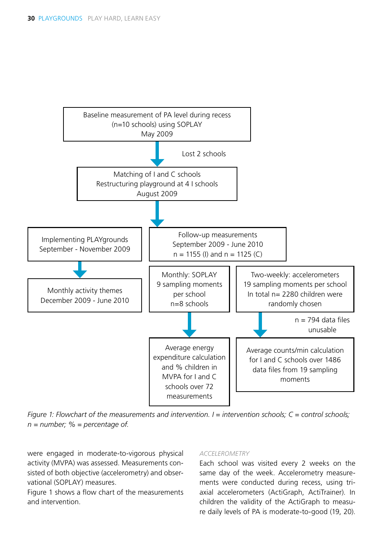

*Figure 1: Flowchart of the measurements and intervention. I = intervention schools; C = control schools; n = number; % = percentage of.*

were engaged in moderate-to-vigorous physical activity (MVPA) was assessed. Measurements consisted of both objective (accelerometry) and observational (SOPLAY) measures.

Figure 1 shows a flow chart of the measurements and intervention.

#### *ACCELEROMETRY*

Each school was visited every 2 weeks on the same day of the week. Accelerometry measurements were conducted during recess, using triaxial accelerometers (ActiGraph, ActiTrainer). In children the validity of the ActiGraph to measure daily levels of PA is moderate-to-good (19, 20).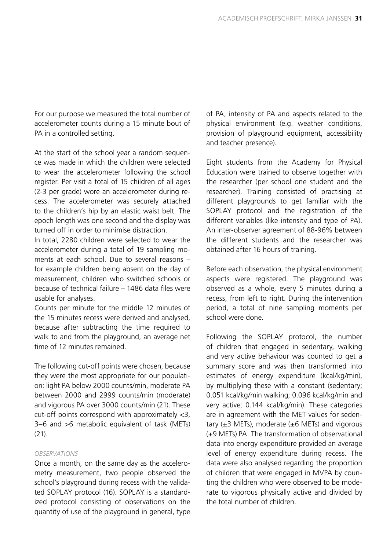For our purpose we measured the total number of accelerometer counts during a 15 minute bout of PA in a controlled setting.

At the start of the school year a random sequence was made in which the children were selected to wear the accelerometer following the school register. Per visit a total of 15 children of all ages (2-3 per grade) wore an accelerometer during recess. The accelerometer was securely attached to the children's hip by an elastic waist belt. The epoch length was one second and the display was turned off in order to minimise distraction.

In total, 2280 children were selected to wear the accelerometer during a total of 19 sampling moments at each school. Due to several reasons – for example children being absent on the day of measurement, children who switched schools or because of technical failure – 1486 data files were usable for analyses.

Counts per minute for the middle 12 minutes of the 15 minutes recess were derived and analysed, because after subtracting the time required to walk to and from the playground, an average net time of 12 minutes remained.

The following cut-off points were chosen, because they were the most appropriate for our population: light PA below 2000 counts/min, moderate PA between 2000 and 2999 counts/min (moderate) and vigorous PA over 3000 counts/min (21). These cut-off points correspond with approximately <3, 3–6 and >6 metabolic equivalent of task (METs) (21).

#### *OBSERVATIONS*

Once a month, on the same day as the accelerometry measurement, two people observed the school's playground during recess with the validated SOPLAY protocol (16). SOPLAY is a standardized protocol consisting of observations on the quantity of use of the playground in general, type of PA, intensity of PA and aspects related to the physical environment (e.g. weather conditions, provision of playground equipment, accessibility and teacher presence).

Eight students from the Academy for Physical Education were trained to observe together with the researcher (per school one student and the researcher). Training consisted of practising at different playgrounds to get familiar with the SOPLAY protocol and the registration of the different variables (like intensity and type of PA). An inter-observer agreement of 88-96% between the different students and the researcher was obtained after 16 hours of training.

Before each observation, the physical environment aspects were registered. The playground was observed as a whole, every 5 minutes during a recess, from left to right. During the intervention period, a total of nine sampling moments per school were done.

Following the SOPLAY protocol, the number of children that engaged in sedentary, walking and very active behaviour was counted to get a summary score and was then transformed into estimates of energy expenditure (kcal/kg/min), by multiplying these with a constant (sedentary; 0.051 kcal/kg/min walking; 0.096 kcal/kg/min and very active; 0.144 kcal/kg/min). These categories are in agreement with the MET values for sedentary ( $\pm$ 3 METs), moderate ( $\pm$ 6 METs) and vigorous (±9 METs) PA. The transformation of observational data into energy expenditure provided an average level of energy expenditure during recess. The data were also analysed regarding the proportion of children that were engaged in MVPA by counting the children who were observed to be moderate to vigorous physically active and divided by the total number of children.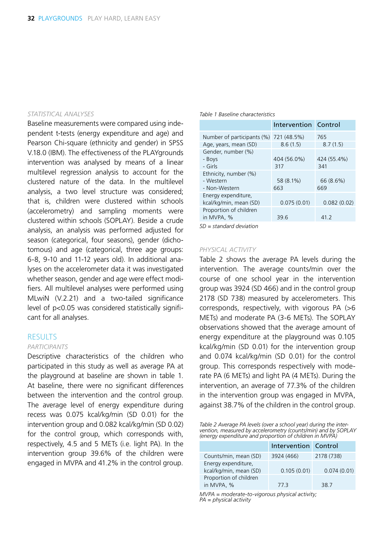#### *STATISTICAL ANALYSES*

Baseline measurements were compared using independent t-tests (energy expenditure and age) and Pearson Chi-square (ethnicity and gender) in SPSS V.18.0 (IBM). The effectiveness of the PLAYgrounds intervention was analysed by means of a linear multilevel regression analysis to account for the clustered nature of the data. In the multilevel analysis, a two level structure was considered; that is, children were clustered within schools (accelerometry) and sampling moments were clustered within schools (SOPLAY). Beside a crude analysis, an analysis was performed adjusted for season (categorical, four seasons), gender (dichotomous) and age (categorical, three age groups: 6-8, 9-10 and 11-12 years old). In additional analyses on the accelerometer data it was investigated whether season, gender and age were effect modifiers. All multilevel analyses were performed using MLwiN (V.2.21) and a two-tailed significance level of p<0.05 was considered statistically significant for all analyses.

#### **RESULTS**

#### *PARTICIPANTS*

Descriptive characteristics of the children who participated in this study as well as average PA at the playground at baseline are shown in table 1. At baseline, there were no significant differences between the intervention and the control group. The average level of energy expenditure during recess was 0.075 kcal/kg/min (SD 0.01) for the intervention group and 0.082 kcal/kg/min (SD 0.02) for the control group, which corresponds with, respectively, 4.5 and 5 METs (i.e. light PA). In the intervention group 39.6% of the children were engaged in MVPA and 41.2% in the control group.

#### *Table 1 Baseline characteristics*

| Intervention Control                   |             |
|----------------------------------------|-------------|
| Number of participants (%) 721 (48.5%) | 765         |
| 8.6(1.5)                               | 8.7(1.5)    |
|                                        |             |
| 404 (56.0%)                            | 424 (55.4%) |
| 317                                    | 341         |
|                                        |             |
| 58 (8.1%)                              | 66 (8.6%)   |
| 663                                    | 669         |
|                                        |             |
| 0.075(0.01)                            | 0.082(0.02) |
|                                        |             |
| 39.6                                   | 41.2        |
|                                        |             |

*SD = standard deviation*

#### *PHYSICAL ACTIVITY*

Table 2 shows the average PA levels during the intervention. The average counts/min over the course of one school year in the intervention group was 3924 (SD 466) and in the control group 2178 (SD 738) measured by accelerometers. This corresponds, respectively, with vigorous PA (>6 METs) and moderate PA (3-6 METs). The SOPLAY observations showed that the average amount of energy expenditure at the playground was 0.105 kcal/kg/min (SD 0.01) for the intervention group and 0.074 kcal/kg/min (SD 0.01) for the control group. This corresponds respectively with moderate PA (6 METs) and light PA (4 METs). During the intervention, an average of 77.3% of the children in the intervention group was engaged in MVPA, against 38.7% of the children in the control group.

*Table 2 Average PA levels (over a school year) during the intervention, measured by accelerometry (counts/min) and by SOPLAY (energy expenditure and proportion of children in MVPA)*

|                                               | Intervention Control |             |
|-----------------------------------------------|----------------------|-------------|
| Counts/min, mean (SD)                         | 3924 (466)           | 2178 (738)  |
| Energy expenditure,<br>kcal/kg/min, mean (SD) | 0.105(0.01)          | 0.074(0.01) |
| Proportion of children<br>in MVPA, %          | 77 3                 | 38.7        |

*MVPA = moderate-to-vigorous physical activity; PA = physical activity*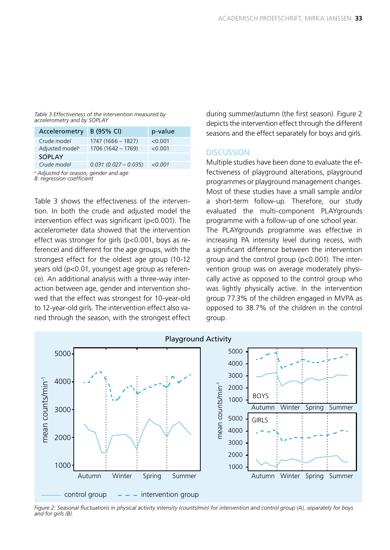#### *Table 3 Effectiveness of the intervention measured by accelerometry and by SOPLAY*

| Accelerometry               | B (95% CI)             | p-value |
|-----------------------------|------------------------|---------|
| Crude model                 | $1747(1666 - 1827)$    | < 0.001 |
| Adjusted model <sup>a</sup> | $1706(1642 - 1769)$    | < 0.001 |
| SOPLAY                      |                        |         |
| Crude model                 | $0.031(0.027 - 0.035)$ | < 0.001 |

*a Adjusted for season, gender and age*

*B: regression coefficient*

Table 3 shows the effectiveness of the intervention. In both the crude and adjusted model the intervention effect was significant (p<0.001). The accelerometer data showed that the intervention effect was stronger for girls (p<0.001, boys as reference) and different for the age groups, with the strongest effect for the oldest age group (10-12 years old (p<0.01, youngest age group as reference). An additional analysis with a three-way interaction between age, gender and intervention showed that the effect was strongest for 10-year-old to 12-year-old girls. The intervention effect also varied through the season, with the strongest effect during summer/autumn (the first season). Figure 2 depicts the intervention effect through the different seasons and the effect separately for boys and girls.

#### DISCUSSION

Multiple studies have been done to evaluate the effectiveness of playground alterations, playground programmes or playground management changes. Most of these studies have a small sample and/or a short-term follow-up. Therefore, our study evaluated the multi-component PLAYgrounds programme with a follow-up of one school year. The PLAYgrounds programme was effective in increasing PA intensity level during recess, with a significant difference between the intervention group and the control group (p<0.001). The intervention group was on average moderately physically active as opposed to the control group who was lightly physically active. In the intervention group 77.3% of the children engaged in MVPA as opposed to 38.7% of the children in the control group.



*Figure 2: Seasonal fluctuations in physical activity intensity (counts/min) for intervention and control group (A), separately for boys and for girls (B).*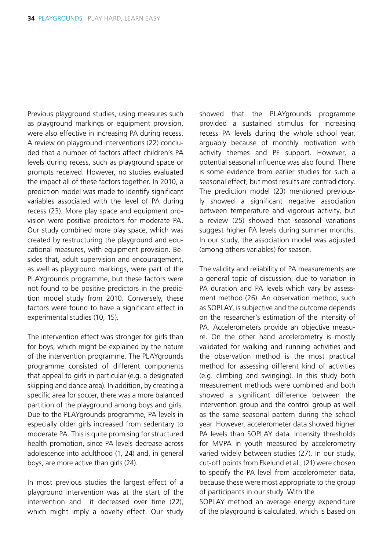Previous playground studies, using measures such as playground markings or equipment provision, were also effective in increasing PA during recess. A review on playground interventions (22) concluded that a number of factors affect children's PA levels during recess, such as playground space or prompts received. However, no studies evaluated the impact all of these factors together. In 2010, a prediction model was made to identify significant variables associated with the level of PA during recess (23). More play space and equipment provision were positive predictors for moderate PA. Our study combined more play space, which was created by restructuring the playground and educational measures, with equipment provision. Besides that, adult supervision and encouragement, as well as playground markings, were part of the PLAYgrounds programme, but these factors were not found to be positive predictors in the prediction model study from 2010. Conversely, these factors were found to have a significant effect in experimental studies (10, 15).

The intervention effect was stronger for girls than for boys, which might be explained by the nature of the intervention programme. The PLAYgrounds programme consisted of different components that appeal to girls in particular (e.g. a designated skipping and dance area). In addition, by creating a specific area for soccer, there was a more balanced partition of the playground among boys and girls. Due to the PLAYgrounds programme, PA levels in especially older girls increased from sedentary to moderate PA. This is quite promising for structured health promotion, since PA levels decrease across adolescence into adulthood (1, 24) and, in general boys, are more active than girls (24).

In most previous studies the largest effect of a playground intervention was at the start of the intervention and it decreased over time (22), which might imply a novelty effect. Our study showed that the PLAYgrounds programme provided a sustained stimulus for increasing recess PA levels during the whole school year, arguably because of monthly motivation with activity themes and PE support. However, a potential seasonal influence was also found. There is some evidence from earlier studies for such a seasonal effect, but most results are contradictory. The prediction model (23) mentioned previously showed a significant negative association between temperature and vigorous activity, but a review (25) showed that seasonal variations suggest higher PA levels during summer months. In our study, the association model was adjusted (among others variables) for season.

The validity and reliability of PA measurements are a general topic of discussion, due to variation in PA duration and PA levels which vary by assessment method (26). An observation method, such as SOPLAY, is subjective and the outcome depends on the researcher's estimation of the intensity of PA. Accelerometers provide an objective measure. On the other hand accelerometry is mostly validated for walking and running activities and the observation method is the most practical method for assessing different kind of activities (e.g. climbing and swinging). In this study both measurement methods were combined and both showed a significant difference between the intervention group and the control group as well as the same seasonal pattern during the school year. However, accelerometer data showed higher PA levels than SOPLAY data. Intensity thresholds for MVPA in youth measured by accelerometry varied widely between studies (27). In our study, cut-off points from Ekelund et al., (21) were chosen to specify the PA level from accelerometer data, because these were most appropriate to the group of participants in our study. With the

SOPLAY method an average energy expenditure of the playground is calculated, which is based on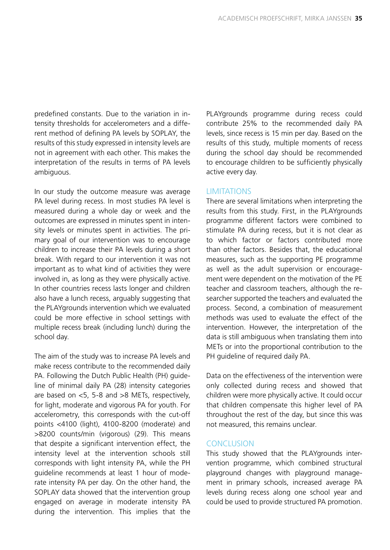predefined constants. Due to the variation in intensity thresholds for accelerometers and a different method of defining PA levels by SOPLAY, the results of this study expressed in intensity levels are not in agreement with each other. This makes the interpretation of the results in terms of PA levels ambiguous.

In our study the outcome measure was average PA level during recess. In most studies PA level is measured during a whole day or week and the outcomes are expressed in minutes spent in intensity levels or minutes spent in activities. The primary goal of our intervention was to encourage children to increase their PA levels during a short break. With regard to our intervention it was not important as to what kind of activities they were involved in, as long as they were physically active. In other countries recess lasts longer and children also have a lunch recess, arguably suggesting that the PLAYgrounds intervention which we evaluated could be more effective in school settings with multiple recess break (including lunch) during the school day.

The aim of the study was to increase PA levels and make recess contribute to the recommended daily PA. Following the Dutch Public Health (PH) guideline of minimal daily PA (28) intensity categories are based on <5, 5-8 and >8 METs, respectively, for light, moderate and vigorous PA for youth. For accelerometry, this corresponds with the cut-off points <4100 (light), 4100-8200 (moderate) and >8200 counts/min (vigorous) (29). This means that despite a significant intervention effect, the intensity level at the intervention schools still corresponds with light intensity PA, while the PH guideline recommends at least 1 hour of moderate intensity PA per day. On the other hand, the SOPLAY data showed that the intervention group engaged on average in moderate intensity PA during the intervention. This implies that the PLAYgrounds programme during recess could contribute 25% to the recommended daily PA levels, since recess is 15 min per day. Based on the results of this study, multiple moments of recess during the school day should be recommended to encourage children to be sufficiently physically active every day.

#### LIMITATIONS

There are several limitations when interpreting the results from this study. First, in the PLAYgrounds programme different factors were combined to stimulate PA during recess, but it is not clear as to which factor or factors contributed more than other factors. Besides that, the educational measures, such as the supporting PE programme as well as the adult supervision or encouragement were dependent on the motivation of the PE teacher and classroom teachers, although the researcher supported the teachers and evaluated the process. Second, a combination of measurement methods was used to evaluate the effect of the intervention. However, the interpretation of the data is still ambiguous when translating them into METs or into the proportional contribution to the PH guideline of required daily PA.

Data on the effectiveness of the intervention were only collected during recess and showed that children were more physically active. It could occur that children compensate this higher level of PA throughout the rest of the day, but since this was not measured, this remains unclear.

#### **CONCLUSION**

This study showed that the PLAYgrounds intervention programme, which combined structural playground changes with playground management in primary schools, increased average PA levels during recess along one school year and could be used to provide structured PA promotion.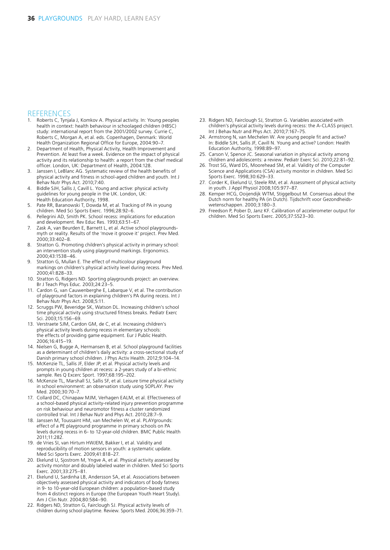#### **REFERENCES**

- 1. Roberts C, Tynjala J, Komkov A. Physical activity. In: Young peoples health in context: health behaviour in schoolaged children (HBSC) study: international report from the 2001/2002 survey. Currie C, Roberts C, Morgan A, et al. eds. Copenhagen, Denmark: World Health Organization Regional Office for Europe, 2004:90–7.
- 2. Department of Health, Physical Activity, Health Improvement and Prevention. At least five a week. Evidence on the impact of physical activity and its relationship to health: a report from the chief medical officer. London, UK: Department of Health, 2004:128.
- 3. Janssen I, LeBlanc AG. Systematic review of the health benefits of physical activity and fitness in school-aged children and youth. Int J Behav Nutr Phys Act. 2010;7:40.
- 4. Biddle SJH, Sallis J, Cavill L. Young and active: physical activity guidelines for young people in the UK. London, UK: Health Education Authority, 1998.
- Pate RR, Baranowski T, Dowda M, et al. Tracking of PA in young children. Med Sci Sports Exerc. 1996;28:92–6.
- Pellegrini AD, Smith PK. School recess: implications for education and development. Rev Educ Res. 1993;63:51–67.
- 7. Zask A, van Beurden E, Barnett L, et al. Active school playgroundsmyth or reality. Results of the 'move it groove it' project. Prev Med. 2000;33:402–8.
- 8. Stratton G. Promoting children's physical activity in primary school: an intervention study using playground markings. Ergonomics. 2000;43:1538–46.
- 9. Stratton G, Mullan E. The effect of multicolour playground markings on children's physical activity level during recess. Prev Med. 2000;41:828–33.
- 10. Stratton G, Ridgers ND. Sporting playgrounds project: an overview. Br J Teach Phys Educ. 2003;24:23–5.
- 11. Cardon G, van Cauwenberghe E, Labarque V, et al. The contribution of playground factors in explaining children's PA during recess. Int J Behav Nutr Phys Act. 2008;5:11.
- 12. Scruggs PW, Beveridge SK, Watson DL. Increasing children's school time physical activity using structured fitness breaks. Pediatr Exerc Sci. 2003;15:156–69.
- 13. Verstraete SJM, Cardon GM, de C, et al. Increasing children's physical activity levels during recess in elementary schools: the effects of providing game equipment. Eur J Public Health. 2006;16:415–19.
- 14. Nielsen G, Bugge A, Hermansen B, et al. School playground facilities as a determinant of children's daily activity: a cross-sectional study of Danish primary school children. J Phys Activ Health. 2012;9:104–14.
- 15. McKenzie TL, Sallis JF, Elder JP, et al. Physical activity levels and prompts in young children at recess: a 2-years study of a bi-ethnic sample. Res Q Excerc Sport. 1997;68:195–202.
- 16. McKenzie TL, Marshall SJ, Sallis SF, et al. Leisure time physical activity in school environment: an observation study using SOPLAY. Prev Med. 2000;30:70–7.
- 17. Collard DC, Chinapaw MJM, Verhagen EALM, et al. Effectiveness of a school-based physical activity-related injury prevention programme on risk behaviour and neuromotor fitness a cluster randomized controlled trial. Int J Behav Nutr and Phys Act. 2010;28:7–9.
- 18. Janssen M, Toussaint HM, van Mechelen W, et al. PLAYgrounds: effect of a PE playground programme in primary schools on PA levels during recess in 6- to 12-year-old children. BMC Public Health 2011;11:282.
- 19. de Vries SI, van Hirtum HWJEM, Bakker I, et al. Validity and reproducibility of motion sensors in youth: a systematic update. Med Sci Sports Exerc. 2009;41:818–27.
- 20. Ekelund U, Sjostrom M, Yngve A, et al. Physical activity assessed by activity monitor and doubly labeled water in children. Med Sci Sports Exerc. 2001;33:275–81.
- 21. Ekelund U, Sardinha LB, Andersson SA, et al. Associations between objectively assessed physical activity and indicators of body fatness in 9- to 10-year-old European children: a population-based study from 4 distinct regions in Europe (the European Youth Heart Study). Am J Clin Nutr. 2004;80:584–90.
- 22. Ridgers ND, Stratton G, Fairclough SJ. Physical activity levels of children during school playtime. Review. Sports Med. 2006;36:359–71.
- 23. Ridgers ND, Fairclough SJ, Stratton G. Variables associated with children's physical activity levels during recess: the A-CLASS project. Int J Behav Nutr and Phys Act. 2010;7:167–75.
- 24. Armstrong N, van Mechelen W. Are young people fit and active? In: Biddle SJH, Sallis JF, Cavill N. Young and active? London: Health Education Authority, 1998:89–97.
- 25. Carson V, Spence JC. Seasonal variation in physical activity among children and adolescents: a review. Pediatr Exerc Sci. 2010;22:81–92.
- 26. Trost SG, Ward DS, Moorehead SM, et al. Validity of the Computer Science and Applications (CSA) activity monitor in children. Med Sci Sports Exerc. 1998;30:629–33.
- 27. Corder K, Ekelund U, Steele RM, et al. Assessment of physical activity in youth. J Appl Physiol 2008;105:977–87.
- 28. Kemper HCG, Ooijendijk WTM, Stiggelbout M. Consensus about the Dutch norm for healthy PA (in Dutch). Tijdschrift voor Gezondheidswetenschappen. 2000;3:180–3.
- 29. Freedson P, Pober D, Janz KF. Calibration of accelerometer output for children. Med Sci Sports Exerc. 2005;37:S523–30.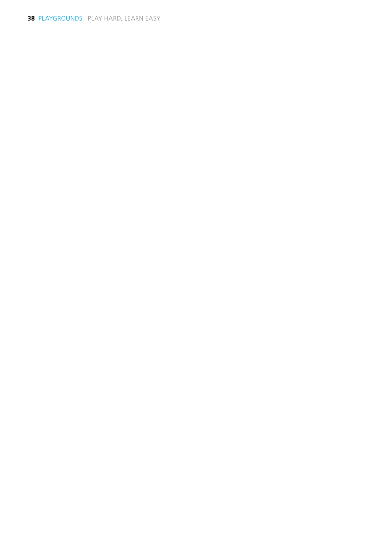# PLAYGROUNDS PLAY HARD, LEARN EASY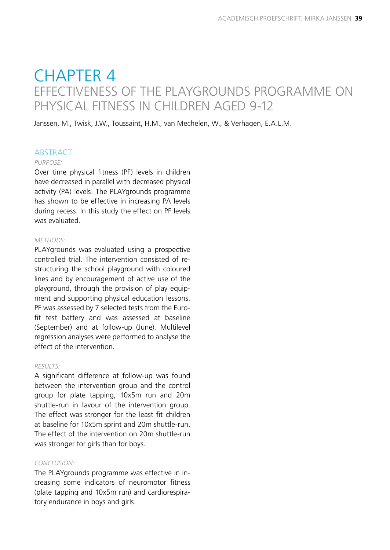# CHAPTER 4 EFFECTIVENESS OF THE PLAYGROUNDS PROGRAMME ON PHYSICAL FITNESS IN CHILDREN AGED 9-12

Janssen, M., Twisk, J.W., Toussaint, H.M., van Mechelen, W., & Verhagen, E.A.L.M.

## **ABSTRACT**

## *PURPOSE:*

Over time physical fitness (PF) levels in children have decreased in parallel with decreased physical activity (PA) levels. The PLAYgrounds programme has shown to be effective in increasing PA levels during recess. In this study the effect on PF levels was evaluated.

## *METHODS:*

PLAYgrounds was evaluated using a prospective controlled trial. The intervention consisted of restructuring the school playground with coloured lines and by encouragement of active use of the playground, through the provision of play equipment and supporting physical education lessons. PF was assessed by 7 selected tests from the Eurofit test battery and was assessed at baseline (September) and at follow-up (June). Multilevel regression analyses were performed to analyse the effect of the intervention.

## *RESULTS:*

A significant difference at follow-up was found between the intervention group and the control group for plate tapping, 10x5m run and 20m shuttle-run in favour of the intervention group. The effect was stronger for the least fit children at baseline for 10x5m sprint and 20m shuttle-run. The effect of the intervention on 20m shuttle-run was stronger for girls than for boys.

## *CONCLUSION:*

The PLAYgrounds programme was effective in increasing some indicators of neuromotor fitness (plate tapping and 10x5m run) and cardiorespiratory endurance in boys and girls.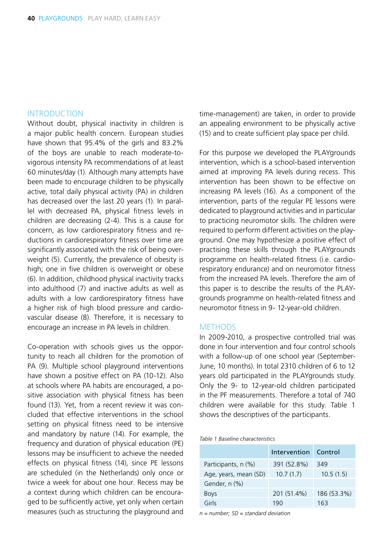## INTRODUCTION

Without doubt, physical inactivity in children is a major public health concern. European studies have shown that 95.4% of the girls and 83.2% of the boys are unable to reach moderate-tovigorous intensity PA recommendations of at least 60 minutes/day (1). Although many attempts have been made to encourage children to be physically active, total daily physical activity (PA) in children has decreased over the last 20 years (1). In parallel with decreased PA, physical fitness levels in children are decreasing (2-4). This is a cause for concern, as low cardiorespiratory fitness and reductions in cardiorespiratory fitness over time are significantly associated with the risk of being overweight (5). Currently, the prevalence of obesity is high; one in five children is overweight or obese (6). In addition, childhood physical inactivity tracks into adulthood (7) and inactive adults as well as adults with a low cardiorespiratory fitness have a higher risk of high blood pressure and cardiovascular disease (8). Therefore, it is necessary to encourage an increase in PA levels in children.

Co-operation with schools gives us the opportunity to reach all children for the promotion of PA (9). Multiple school playground interventions have shown a positive effect on PA (10-12). Also at schools where PA habits are encouraged, a positive association with physical fitness has been found (13). Yet, from a recent review it was concluded that effective interventions in the school setting on physical fitness need to be intensive and mandatory by nature (14). For example, the frequency and duration of physical education (PE) lessons may be insufficient to achieve the needed effects on physical fitness (14), since PE lessons are scheduled (in the Netherlands) only once or twice a week for about one hour. Recess may be a context during which children can be encouraged to be sufficiently active, yet only when certain measures (such as structuring the playground and time-management) are taken, in order to provide an appealing environment to be physically active (15) and to create sufficient play space per child.

For this purpose we developed the PLAYgrounds intervention, which is a school-based intervention aimed at improving PA levels during recess. This intervention has been shown to be effective on increasing PA levels (16). As a component of the intervention, parts of the regular PE lessons were dedicated to playground activities and in particular to practicing neuromotor skills. The children were required to perform different activities on the playground. One may hypothesize a positive effect of practising these skills through the PLAYgrounds programme on health-related fitness (i.e. cardiorespiratory endurance) and on neuromotor fitness from the increased PA levels. Therefore the aim of this paper is to describe the results of the PLAYgrounds programme on health-related fitness and neuromotor fitness in 9- 12-year-old children.

## **METHODS**

In 2009-2010, a prospective controlled trial was done in four intervention and four control schools with a follow-up of one school year (September-June, 10 months). In total 2310 children of 6 to 12 years old participated in the PLAYgrounds study. Only the 9- to 12-year-old children participated in the PF measurements. Therefore a total of 740 children were available for this study. Table 1 shows the descriptives of the participants.

## *Table 1 Baseline characteristics*

|                       | Intervention Control |             |
|-----------------------|----------------------|-------------|
| Participants, n (%)   | 391 (52.8%)          | 349         |
| Age, years, mean (SD) | 10.7(1.7)            | 10.5(1.5)   |
| Gender, n (%)         |                      |             |
| <b>Boys</b>           | 201 (51.4%)          | 186 (53.3%) |
| Girls                 | 190                  | 163         |

*n = number; SD = standard deviation*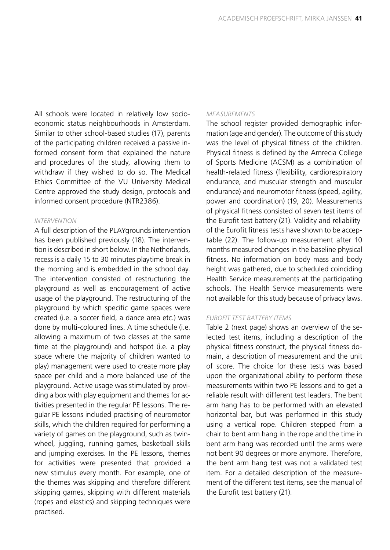All schools were located in relatively low socioeconomic status neighbourhoods in Amsterdam. Similar to other school-based studies (17), parents of the participating children received a passive informed consent form that explained the nature and procedures of the study, allowing them to withdraw if they wished to do so. The Medical Ethics Committee of the VU University Medical Centre approved the study design, protocols and informed consent procedure (NTR2386).

#### *INTERVENTION*

A full description of the PLAYgrounds intervention has been published previously (18). The intervention is described in short below. In the Netherlands, recess is a daily 15 to 30 minutes playtime break in the morning and is embedded in the school day. The intervention consisted of restructuring the playground as well as encouragement of active usage of the playground. The restructuring of the playground by which specific game spaces were created (i.e. a soccer field, a dance area etc.) was done by multi-coloured lines. A time schedule (i.e. allowing a maximum of two classes at the same time at the playground) and hotspot (i.e. a play space where the majority of children wanted to play) management were used to create more play space per child and a more balanced use of the playground. Active usage was stimulated by providing a box with play equipment and themes for activities presented in the regular PE lessons. The regular PE lessons included practising of neuromotor skills, which the children required for performing a variety of games on the playground, such as twinwheel, juggling, running games, basketball skills and jumping exercises. In the PE lessons, themes for activities were presented that provided a new stimulus every month. For example, one of the themes was skipping and therefore different skipping games, skipping with different materials (ropes and elastics) and skipping techniques were practised.

#### *MEASUREMENTS*

The school register provided demographic information (age and gender). The outcome of this study was the level of physical fitness of the children. Physical fitness is defined by the Amrecia College of Sports Medicine (ACSM) as a combination of health-related fitness (flexibility, cardiorespiratory endurance, and muscular strength and muscular endurance) and neuromotor fitness (speed, agility, power and coordination) (19, 20). Measurements of physical fitness consisted of seven test items of the Eurofit test battery (21). Validity and reliability of the Eurofit fitness tests have shown to be acceptable (22). The follow-up measurement after 10 months measured changes in the baseline physical fitness. No information on body mass and body height was gathered, due to scheduled coinciding Health Service measurements at the participating schools. The Health Service measurements were not available for this study because of privacy laws.

## *EUROFIT TEST BATTERY ITEMS*

Table 2 (next page) shows an overview of the selected test items, including a description of the physical fitness construct, the physical fitness domain, a description of measurement and the unit of score. The choice for these tests was based upon the organizational ability to perform these measurements within two PE lessons and to get a reliable result with different test leaders. The bent arm hang has to be performed with an elevated horizontal bar, but was performed in this study using a vertical rope. Children stepped from a chair to bent arm hang in the rope and the time in bent arm hang was recorded until the arms were not bent 90 degrees or more anymore. Therefore, the bent arm hang test was not a validated test item. For a detailed description of the measurement of the different test items, see the manual of the Eurofit test battery (21).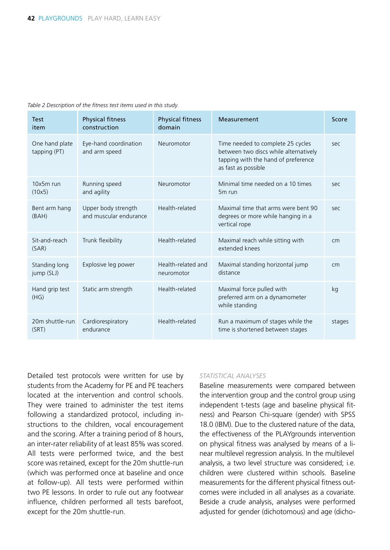#### *Table 2 Description of the fitness test items used in this study.*

| <b>Test</b><br>item            | <b>Physical fitness</b><br>construction       | <b>Physical fitness</b><br>domain | Measurement                                                                                                                              | Score  |
|--------------------------------|-----------------------------------------------|-----------------------------------|------------------------------------------------------------------------------------------------------------------------------------------|--------|
| One hand plate<br>tapping (PT) | Eye-hand coordination<br>and arm speed        | Neuromotor                        | Time needed to complete 25 cycles<br>between two discs while alternatively<br>tapping with the hand of preference<br>as fast as possible | sec    |
| $10x5m$ run<br>(10x5)          | Running speed<br>and agility                  | Neuromotor                        | Minimal time needed on a 10 times<br>5 <sub>m</sub> run                                                                                  | sec    |
| Bent arm hang<br>(BAH)         | Upper body strength<br>and muscular endurance | Health-related                    | Maximal time that arms were bent 90<br>degrees or more while hanging in a<br>vertical rope                                               | sec    |
| Sit-and-reach<br>(SAR)         | Trunk flexibility                             | Health-related                    | Maximal reach while sitting with<br>extended knees                                                                                       | cm     |
| Standing long<br>jump (SLJ)    | Explosive leg power                           | Health-related and<br>neuromotor  | Maximal standing horizontal jump<br>distance                                                                                             | cm     |
| Hand grip test<br>(HG)         | Static arm strength                           | Health-related                    | Maximal force pulled with<br>preferred arm on a dynamometer<br>while standing                                                            | kg     |
| 20m shuttle-run<br>(SRT)       | Cardiorespiratory<br>endurance                | Health-related                    | Run a maximum of stages while the<br>time is shortened between stages                                                                    | stages |

Detailed test protocols were written for use by students from the Academy for PE and PE teachers located at the intervention and control schools. They were trained to administer the test items following a standardized protocol, including instructions to the children, vocal encouragement and the scoring. After a training period of 8 hours, an inter-rater reliability of at least 85% was scored. All tests were performed twice, and the best score was retained, except for the 20m shuttle-run (which was performed once at baseline and once at follow-up). All tests were performed within two PE lessons. In order to rule out any footwear influence, children performed all tests barefoot, except for the 20m shuttle-run.

## *STATISTICAL ANALYSES*

Baseline measurements were compared between the intervention group and the control group using independent t-tests (age and baseline physical fitness) and Pearson Chi-square (gender) with SPSS 18.0 (IBM). Due to the clustered nature of the data, the effectiveness of the PLAYgrounds intervention on physical fitness was analysed by means of a linear multilevel regression analysis. In the multilevel analysis, a two level structure was considered; i.e. children were clustered within schools. Baseline measurements for the different physical fitness outcomes were included in all analyses as a covariate. Beside a crude analysis, analyses were performed adjusted for gender (dichotomous) and age (dicho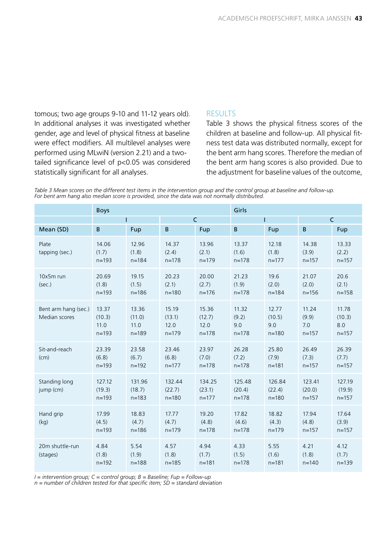tomous; two age groups 9-10 and 11-12 years old). In additional analyses it was investigated whether gender, age and level of physical fitness at baseline were effect modifiers. All multilevel analyses were performed using MLwiN (version 2.21) and a twotailed significance level of p<0.05 was considered statistically significant for all analyses.

## RESULTS

Table 3 shows the physical fitness scores of the children at baseline and follow-up. All physical fitness test data was distributed normally, except for the bent arm hang scores. Therefore the median of the bent arm hang scores is also provided. Due to the adjustment for baseline values of the outcome,

*Table 3 Mean scores on the different test items in the intervention group and the control group at baseline and follow-up. For bent arm hang also median score is provided, since the data was not normally distributed.*

|                                       | <b>Boys</b>                          |                                      |                                      | Girls                                |                                    |                                     |                                    |                                     |
|---------------------------------------|--------------------------------------|--------------------------------------|--------------------------------------|--------------------------------------|------------------------------------|-------------------------------------|------------------------------------|-------------------------------------|
|                                       |                                      | ı                                    | $\mathsf{C}$                         |                                      |                                    |                                     | C                                  |                                     |
| Mean (SD)                             | B                                    | Fup                                  | B                                    | Fup                                  | B                                  | Fup                                 | B                                  | Fup                                 |
| Plate<br>tapping (sec.)               | 14.06<br>(1.7)<br>$n = 193$          | 12.96<br>(1.8)<br>$n = 184$          | 14.37<br>(2.4)<br>$n = 178$          | 13.96<br>(2.1)<br>$n = 179$          | 13.37<br>(1.6)<br>$n = 178$        | 12.18<br>(1.8)<br>$n = 177$         | 14.38<br>(3.9)<br>$n = 157$        | 13.33<br>(2.2)<br>$n = 157$         |
| 10x5m run<br>(sec.)                   | 20.69<br>(1.8)<br>$n = 193$          | 19.15<br>(1.5)<br>$n = 186$          | 20.23<br>(2.1)<br>$n = 180$          | 20.00<br>(2.7)<br>$n = 176$          | 21.23<br>(1.9)<br>$n = 178$        | 19.6<br>(2.0)<br>$n = 184$          | 21.07<br>(2.0)<br>$n = 156$        | 20.6<br>(2.1)<br>$n = 158$          |
| Bent arm hang (sec.)<br>Median scores | 13.37<br>(10.3)<br>11.0<br>$n = 193$ | 13.36<br>(11.0)<br>11.0<br>$n = 189$ | 15.19<br>(13.1)<br>12.0<br>$n = 179$ | 15.36<br>(12.7)<br>12.0<br>$n = 178$ | 11.32<br>(9.2)<br>9.0<br>$n = 178$ | 12.77<br>(10.5)<br>9.0<br>$n = 180$ | 11.24<br>(9.9)<br>7.0<br>$n = 157$ | 11.78<br>(10.3)<br>8.0<br>$n = 157$ |
| Sit-and-reach<br>(cm)                 | 23.39<br>(6.8)<br>$n = 193$          | 23.58<br>(6.7)<br>$n = 192$          | 23.46<br>(6.8)<br>$n=177$            | 23.97<br>(7.0)<br>$n = 178$          | 26.28<br>(7.2)<br>$n = 178$        | 25.80<br>(7.9)<br>$n = 181$         | 26.49<br>(7.3)<br>$n = 157$        | 26.39<br>(7.7)<br>$n = 157$         |
| Standing long<br>jump (cm)            | 127.12<br>(19.3)<br>$n = 193$        | 131.96<br>(18.7)<br>$n = 183$        | 132.44<br>(22.7)<br>$n = 180$        | 134.25<br>(23.1)<br>$n = 177$        | 125.48<br>(20.4)<br>$n = 178$      | 126.84<br>(22.4)<br>$n = 180$       | 123.41<br>(20.0)<br>$n = 157$      | 127.19<br>(19.9)<br>$n = 157$       |
| Hand grip<br>(kg)                     | 17.99<br>(4.5)<br>$n = 193$          | 18.83<br>(4.7)<br>$n = 186$          | 17.77<br>(4.7)<br>$n = 179$          | 19.20<br>(4.8)<br>$n = 178$          | 17.82<br>(4.6)<br>$n = 178$        | 18.82<br>(4.3)<br>$n = 179$         | 17.94<br>(4.8)<br>$n = 157$        | 17.64<br>(3.9)<br>$n = 157$         |
| 20m shuttle-run<br>(stages)           | 4.84<br>(1.8)<br>$n = 192$           | 5.54<br>(1.9)<br>$n = 188$           | 4.57<br>(1.8)<br>$n = 185$           | 4.94<br>(1.7)<br>$n = 181$           | 4.33<br>(1.5)<br>$n = 178$         | 5.55<br>(1.6)<br>$n = 181$          | 4.21<br>(1.8)<br>$n = 140$         | 4.12<br>(1.7)<br>$n = 139$          |

*I = intervention group; C = control group; B = Baseline; Fup = Follow-up n = number of children tested for that specific item; SD = standard deviation*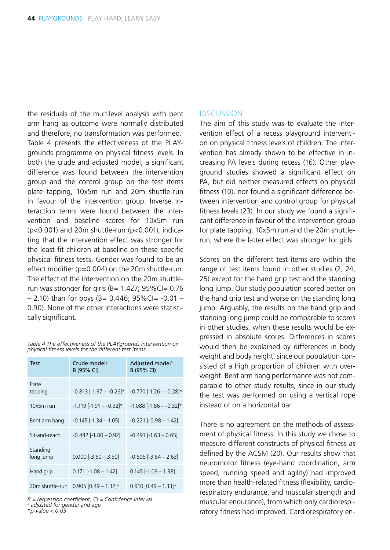the residuals of the multilevel analysis with bent arm hang as outcome were normally distributed and therefore, no transformation was performed. Table 4 presents the effectiveness of the PLAYgrounds programme on physical fitness levels. In both the crude and adjusted model, a significant difference was found between the intervention group and the control group on the test items plate tapping, 10x5m run and 20m shuttle-run in favour of the intervention group. Inverse interaction terms were found between the intervention and baseline scores for 10x5m run (p<0.001) and 20m shuttle-run (p<0.001), indicating that the intervention effect was stronger for the least fit children at baseline on these specific physical fitness tests. Gender was found to be an effect modifier (p=0.004) on the 20m shuttle-run. The effect of the intervention on the 20m shuttlerun was stronger for girls  $(B= 1.427; 95\%$ CI= 0.76  $-$  2.10) than for boys (B= 0.446; 95%CI= -0.01 – 0.90). None of the other interactions were statistically significant.

| Table 4 The effectiveness of the PLAYgrounds intervention on |  |
|--------------------------------------------------------------|--|
| physical fitness levels for the different test items.        |  |

| Test                  | Crude model:<br><b>B</b> [95% CI] | Adjusted model <sup>a</sup><br>B (95% CI) |
|-----------------------|-----------------------------------|-------------------------------------------|
| Plate<br>tapping      | $-0.813$ $[-1.37 - 0.26]$ *       | $-0.770$ [ $-1.26 - 0.28$ ]*              |
| 10x5m run             | $-1.119$ [ $-1.91 - -0.32$ ]*     | $-1.088$ [ $-1.86 - 0.32$ ]*              |
| Bent arm hang         | $-0.145$ [ $-1.34 - 1.05$ ]       | $-0.221$ $[-0.98 - 1.42]$                 |
| Sit-and-reach         | $-0.442$ [ $-1.80 - 0.92$ ]       | $-0.491$ $[-1.63 - 0.65]$                 |
| Standing<br>long jump | $0.000$ [-3.50 - 3.50]            | $-0.505$ [ $-3.64 - 2.63$ ]               |
| Hand grip             | $0.171$ [-1.08 - 1.42]            | $0.145$ [-1.09 - 1.38]                    |
| 20m shuttle-run       | $0.905$ $[0.49 - 1.32]$ *         | $0.910$ $[0.49 - 1.33]$ *                 |

*B = regression coefficient; CI = Confidence Interval a adjusted for gender and age \*p-value < 0.05*

## **DISCUSSION**

The aim of this study was to evaluate the intervention effect of a recess playground intervention on physical fitness levels of children. The intervention has already shown to be effective in increasing PA levels during recess (16). Other playground studies showed a significant effect on PA, but did neither measured effects on physical fitness (10), nor found a significant difference between intervention and control group for physical fitness levels (23). In our study we found a significant difference in favour of the intervention group for plate tapping, 10x5m run and the 20m shuttlerun, where the latter effect was stronger for girls.

Scores on the different test items are within the range of test items found in other studies (2, 24, 25) except for the hand grip test and the standing long jump. Our study population scored better on the hand grip test and worse on the standing long jump. Arguably, the results on the hand grip and standing long jump could be comparable to scores in other studies, when these results would be expressed in absolute scores. Differences in scores would then be explained by differences in body weight and body height, since our population consisted of a high proportion of children with overweight. Bent arm hang performance was not comparable to other study results, since in our study the test was performed on using a vertical rope instead of on a horizontal bar.

There is no agreement on the methods of assessment of physical fitness. In this study we chose to measure different constructs of physical fitness as defined by the ACSM (20). Our results show that neuromotor fitness (eye-hand coordination, arm speed, running speed and agility) had improved more than health-related fitness (flexibility, cardiorespiratory endurance, and muscular strength and muscular endurance), from which only cardiorespiratory fitness had improved. Cardiorespiratory en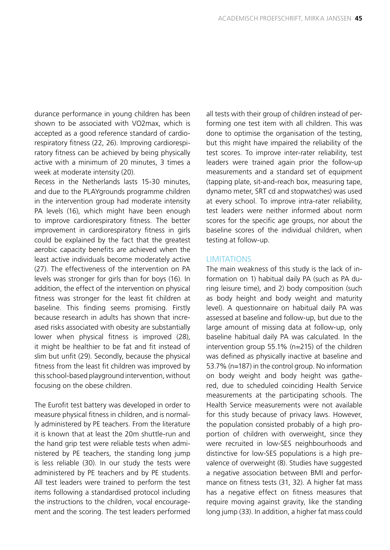durance performance in young children has been shown to be associated with VO2max, which is accepted as a good reference standard of cardiorespiratory fitness (22, 26). Improving cardiorespiratory fitness can be achieved by being physically active with a minimum of 20 minutes, 3 times a week at moderate intensity (20).

Recess in the Netherlands lasts 15-30 minutes, and due to the PLAYgrounds programme children in the intervention group had moderate intensity PA levels (16), which might have been enough to improve cardiorespiratory fitness. The better improvement in cardiorespiratory fitness in girls could be explained by the fact that the greatest aerobic capacity benefits are achieved when the least active individuals become moderately active (27). The effectiveness of the intervention on PA levels was stronger for girls than for boys (16). In addition, the effect of the intervention on physical fitness was stronger for the least fit children at baseline. This finding seems promising. Firstly because research in adults has shown that increased risks associated with obesity are substantially lower when physical fitness is improved (28), it might be healthier to be fat and fit instead of slim but unfit (29). Secondly, because the physical fitness from the least fit children was improved by this school-based playground intervention, without focusing on the obese children.

The Eurofit test battery was developed in order to measure physical fitness in children, and is normally administered by PE teachers. From the literature it is known that at least the 20m shuttle-run and the hand grip test were reliable tests when administered by PE teachers, the standing long jump is less reliable (30). In our study the tests were administered by PE teachers and by PE students. All test leaders were trained to perform the test items following a standardised protocol including the instructions to the children, vocal encouragement and the scoring. The test leaders performed all tests with their group of children instead of performing one test item with all children. This was done to optimise the organisation of the testing, but this might have impaired the reliability of the test scores. To improve inter-rater reliability, test leaders were trained again prior the follow-up measurements and a standard set of equipment (tapping plate, sit-and-reach box, measuring tape, dynamo meter, SRT cd and stopwatches) was used at every school. To improve intra-rater reliability, test leaders were neither informed about norm scores for the specific age groups, nor about the baseline scores of the individual children, when testing at follow-up.

## **LIMITATIONS**

The main weakness of this study is the lack of information on 1) habitual daily PA (such as PA during leisure time), and 2) body composition (such as body height and body weight and maturity level). A questionnaire on habitual daily PA was assessed at baseline and follow-up, but due to the large amount of missing data at follow-up, only baseline habitual daily PA was calculated. In the intervention group 55.1% (n=215) of the children was defined as physically inactive at baseline and 53.7% (n=187) in the control group. No information on body weight and body height was gathered, due to scheduled coinciding Health Service measurements at the participating schools. The Health Service measurements were not available for this study because of privacy laws. However, the population consisted probably of a high proportion of children with overweight, since they were recruited in low-SES neighbourhoods and distinctive for low-SES populations is a high prevalence of overweight (8). Studies have suggested a negative association between BMI and performance on fitness tests (31, 32). A higher fat mass has a negative effect on fitness measures that require moving against gravity, like the standing long jump (33). In addition, a higher fat mass could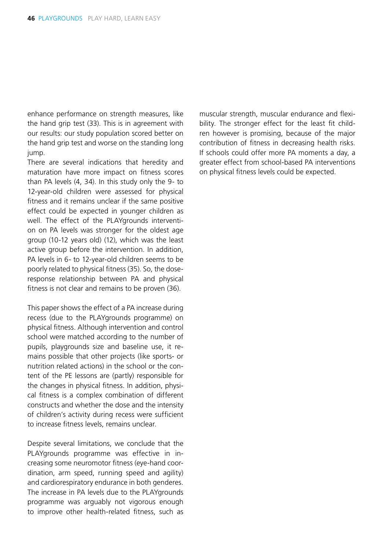enhance performance on strength measures, like the hand grip test (33). This is in agreement with our results: our study population scored better on the hand grip test and worse on the standing long jump.

There are several indications that heredity and maturation have more impact on fitness scores than PA levels (4, 34). In this study only the 9- to 12-year-old children were assessed for physical fitness and it remains unclear if the same positive effect could be expected in younger children as well. The effect of the PLAYgrounds intervention on PA levels was stronger for the oldest age group (10-12 years old) (12), which was the least active group before the intervention. In addition, PA levels in 6- to 12-year-old children seems to be poorly related to physical fitness (35). So, the doseresponse relationship between PA and physical fitness is not clear and remains to be proven (36).

This paper shows the effect of a PA increase during recess (due to the PLAYgrounds programme) on physical fitness. Although intervention and control school were matched according to the number of pupils, playgrounds size and baseline use, it remains possible that other projects (like sports- or nutrition related actions) in the school or the content of the PE lessons are (partly) responsible for the changes in physical fitness. In addition, physical fitness is a complex combination of different constructs and whether the dose and the intensity of children's activity during recess were sufficient to increase fitness levels, remains unclear.

Despite several limitations, we conclude that the PLAYgrounds programme was effective in increasing some neuromotor fitness (eye-hand coordination, arm speed, running speed and agility) and cardiorespiratory endurance in both genderes. The increase in PA levels due to the PLAYgrounds programme was arguably not vigorous enough to improve other health-related fitness, such as muscular strength, muscular endurance and flexibility. The stronger effect for the least fit children however is promising, because of the major contribution of fitness in decreasing health risks. If schools could offer more PA moments a day, a greater effect from school-based PA interventions on physical fitness levels could be expected.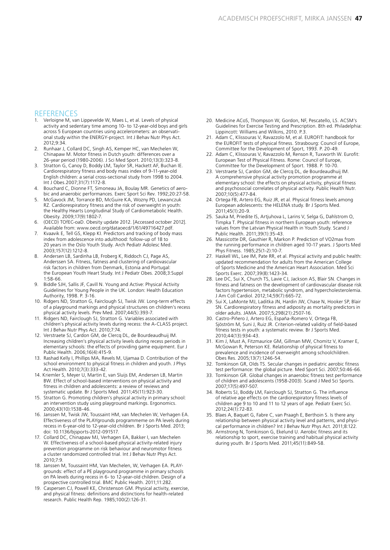#### **REFERENCES**

- 1. Verloigne M, van Lippevelde W, Maes L, et al. Levels of physical activity and sedentary time among 10- to 12-year-old boys and girls across 5 European countries using accelerometers: an observational study within the ENERGY-project. Int J Behav Nutr Phys Act. 2012;9:34.
- 2. Runhaar J, Collard DC, Singh AS, Kemper HC, van Mechelen W, Chinapaw M. Motor fitness in Dutch youth: differences over a 26-year period (1980-2006). J Sci Med Sport. 2010;13(3):323-8.
- Stratton G, Canoy D, Boddy LM, Taylor SR, Hackett AF, Buchan IE. Cardiorespiratory fitness and body mass index of 9-11-year-old English children: a serial cross-sectional study from 1998 to 2004. Int J Obes.2007;31(7):1172-8.
- 4. Bouchard C, Dionne FT, Simoneau JA, Boulay MR. Genetics of aerobic and anaerobic performances. Exerc Sport Sci Rev. 1992;20:27-58.
- 5. McGavock JM, Torrance BD, McGuire KA, Wozny PD, Lewanczuk RZ. Cardiorespiratory fitness and the risk of overweight in youth: the Healthy Hearts Longitudinal Study of Cardiometabolic Health. Obesity. 2009;17(9):1802-7.
- 6. (OECD) TOfEC-oaD. Obesity update 2012. [Accessed october 2012]. Available from: www.oecd.org/dataoecd/1/61/49716427.pdf.
- Kvaavik E, Tell GS, Klepp KI. Predictors and tracking of body mass index from adolescence into adulthood: follow-up of 18 to 20 years in the Oslo Youth Study. Arch Pediatr Adolesc Med. 2003;157(12):1212-8.
- 8. Andersen LB, Sardinha LB, Froberg K, Riddoch CJ, Page AS, Anderssen SA. Fitness, fatness and clustering of cardiovascular risk factors in children from Denmark, Estonia and Portugal: the European Youth Heart Study. Int J Pediatr Obes. 2008;3:Suppl 1:58-66.
- 9. Biddle SJH, Sallis JF, Cavill N. Young and Active: Physical Activity Guidelines for Young People in the UK. London: Health Education Authority, 1998. P. 3-16.
- 10. Ridgers ND, Stratton G, Fairclough SJ, Twisk JW. Long-term effects of a playground markings and physical structures on children's recess physical activity levels. Prev Med. 2007;44(5):393-7.
- 11. Ridgers ND, Fairclough SJ, Stratton G. Variables associated with children's physical activity levels during recess: the A-CLASS project. Int J Behav Nutr Phys Act. 2010;7:74.
- 12. Verstraete SJ, Cardon GM, de Clercq DL, de Bourdeaudhuij IM. Increasing children's physical activity levels during recess periods in elementary schools: the effects of providing game equipment. Eur J Public Health. 2006;16(4):415-9.
- 13. Rashad Kelly I, Phillips MA, Revels M, Ujamaa D. Contribution of the school environment to physical fitness in children and youth. J Phys Act Health. 2010;7(3):333-42.
- 14. Kriemler S, Meyer U, Martin E, van Sluijs EM, Andersen LB, Martin BW. Effect of school-based interventions on physical activity and fitness in children and adolescents: a review of reviews and systematic update. Br J Sports Med. 2011;45(11):923-30.
- 15. Stratton G. Promoting children's physical activity in primary school: an intervention study using playground markings. Ergonomics. 2000;43(10):1538-46.
- 16. Janssen M, Twisk JW, Toussaint HM, van Mechelen W, Verhagen EA. Effectiveness of the PLAYgrounds programmeme on PA levels during recess in 6-year-old to 12-year-old children. Br J Sports Med. 2013; doi: 10.1136/bjsports-2012-091517.
- 17. Collard DC, Chinapaw MJ, Verhagen EA, Bakker I, van Mechelen W. Effectiveness of a school-based physical activity-related injury prevention programme on risk behaviour and neuromotor fitness a cluster randomized controlled trial. Int J Behav Nutr Phys Act. 2010;7:9.
- 18. Janssen M, Toussaint HM, Van Mechelen, W, Verhagen EA. PLAYgrounds: effect of a PE playground programme in primary schools on PA levels during recess in 6- to 12-year-old children. Design of a prospective controlled trial. BMC Public Health. 2011;11:282.
- 19. Caspersen CJ, Powell KE, Christenson GM. Physical activity, exercise, and physical fitness: definitions and distinctions for health-related research. Public Health Rep. 1985;100(2):126-31.
- 20. Medicine ACoS, Thompson W, Gordon, NF, Pescatello, LS. ACSM's Guidelines for Exercise Testing and Prescription. 8th ed. Philadelphia: Lippincott: Williams and Wilkins, 2010. P.3.
- 21. Adam C, Klissouras V, Ravazzolo M, et al. EUROFIT: handbook for the EUROFIT tests of physical fitness. Strasbourg: Council of Europe, Committee for the Development of Sport, 1993. P. 20-49.
- 22. Adam C, Klissouras V, Ravazzolo M, Renson R, Tuxworth W. Eurofit: European Test of Physical Fitness. Rome: Council of Europe, Committee for the Development of Sport. 1988. P. 10-70.
- 23. Verstraete SJ, Cardon GM, de Clercq DL, de Bourdeaudhuij IM. A comprehensive physical activity promotion programme at elementary school: the effects on physical activity, physical fitness and psychosocial correlates of physical activity. Public Health Nutr. 2007;10(5):477-84.
- 24. Ortega FB, Artero EG, Ruiz JR, et al. Physical fitness levels among European adolescents: the HELENA study. Br J Sports Med. 2011;45(1):20-9.
- 25. Sauka M, Priedite IS, Artjuhova L, Larins V, Selga G, Dahlstrom O, Timpka T. Physical fitness in northern European youth: reference values from the Latvian Physical Health in Youth Study. Scand J Public Health. 2011;39(1):35-43.
- 26. Massicotte DR, Gauthier R, Markon P. Prediction of VO2max from the running performance in children aged 10-17 years. J Sports Med Phys Fitness. 1985;25(1-2):10-7.
- 27. Haskell WL, Lee IM, Pate RR, et al. Physical activity and public health: updated recommendation for adults from the American College of Sports Medicine and the American Heart Association. Med Sci Sports Exerc. 2007;39(8):1423-34.
- 28. Lee DC, Sui X, Church TS, Lavie CJ, Jackson AS, Blair SN. Changes in fitness and fatness on the development of cardiovascular disease risk factors hypertension, metabolic syndrom, and hypercholesterolemia. J Am Coll Cardiol. 2012;14;59(7):665-72.
- 29. Sui X, LaMonte MJ, Laditka JN, Hardin JW, Chase N, Hooker SP, Blair SN. Cardiorespiratory fitness and adiposity as mortality predictors in older adults. JAMA. 2007;5;298(21):2507-16.
- 30. Castro-Piñero J, Artero EG, España-Romero V, Ortega FB, Sjöström M, Suni J, Ruiz JR. Criterion-related validity of field-based fitness tests in youth: a systematic review. Br J Sports Med. 2010;44(13):934-43.
- 31. Kim J, Must A, Fitzmaurice GM, Gillman MW, Chomitz V, Kramer E, McGowan R, Peterson KE. Relationship of physical fitness to prevalence and incidence of overweight among schoolchildren. Obes Res. 2005;13(7):1246-54.
- 32. Tomkinson GR, Olds TS. Secular changes in pediatric aerobic fitness test performance: the global picture. Med Sport Sci. 2007;50:46-66.
- 33. Tomkinson GR. Global changes in anaerobic fitness test performance of children and adolescents (1958-2003). Scand J Med Sci Sports. 2007;17(5):497-507.
- 34. Roberts SJ, Boddy LM, Fairclough SJ, Stratton G. The influence of relative age effects on the cardiorespiratory fitness levels of children age 9 to 10 and 11 to 12 years of age. Pediatr Exerc Sci. 2012;24(1):72-83.
- 35. Blaes A, Baquet G, Fabre C, van Praagh E, Berthoin S. Is there any relationship between physical activity level and patterns, and physical performance in children? Int J Behav Nutr Phys Act. 2011;8:122.
- 36. Armstrong N, Tomkinson G, Ekelund U. Aerobic fitness and its relationship to sport, exercise training and habitual physical activity during youth. Br J Sports Med. 2011;45(11):849-58.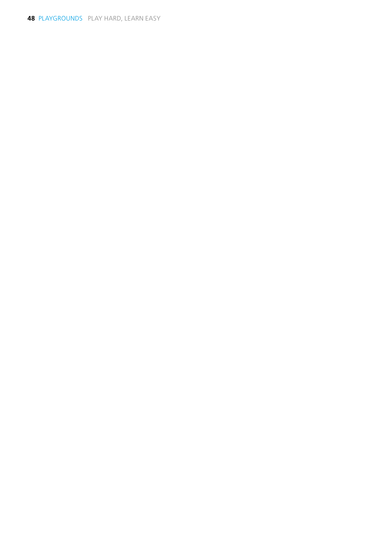# PLAYGROUNDS PLAY HARD, LEARN EASY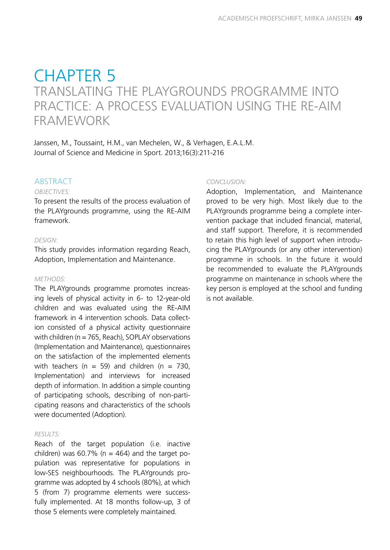# CHAPTER 5 TRANSLATING THE PLAYGROUNDS PROGRAMME INTO PRACTICE: A PROCESS EVALUATION USING THE RE-AIM FRAMEWORK

Janssen, M., Toussaint, H.M., van Mechelen, W., & Verhagen, E.A.L.M. Journal of Science and Medicine in Sport. 2013;16(3):211-216

## ABSTRACT

## *OBJECTIVES:*

To present the results of the process evaluation of the PLAYgrounds programme, using the RE-AIM framework.

#### *DESIGN:*

This study provides information regarding Reach, Adoption, Implementation and Maintenance.

#### *METHODS:*

The PLAYgrounds programme promotes increasing levels of physical activity in 6- to 12-year-old children and was evaluated using the RE-AIM framework in 4 intervention schools. Data collection consisted of a physical activity questionnaire with children (n = 765, Reach), SOPLAY observations (Implementation and Maintenance), questionnaires on the satisfaction of the implemented elements with teachers ( $n = 59$ ) and children ( $n = 730$ , Implementation) and interviews for increased depth of information. In addition a simple counting of participating schools, describing of non-participating reasons and characteristics of the schools were documented (Adoption).

## *RESULTS:*

Reach of the target population (i.e. inactive children) was  $60.7\%$  (n = 464) and the target population was representative for populations in low-SES neighbourhoods. The PLAYgrounds programme was adopted by 4 schools (80%), at which 5 (from 7) programme elements were successfully implemented. At 18 months follow-up, 3 of those 5 elements were completely maintained.

## *CONCLUSION:*

Adoption, Implementation, and Maintenance proved to be very high. Most likely due to the PLAYgrounds programme being a complete intervention package that included financial, material, and staff support. Therefore, it is recommended to retain this high level of support when introducing the PLAYgrounds (or any other intervention) programme in schools. In the future it would be recommended to evaluate the PLAYgrounds programme on maintenance in schools where the key person is employed at the school and funding is not available.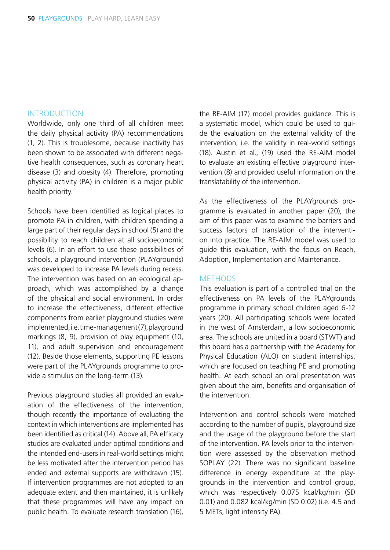## INTRODUCTION

Worldwide, only one third of all children meet the daily physical activity (PA) recommendations (1, 2). This is troublesome, because inactivity has been shown to be associated with different negative health consequences, such as coronary heart disease (3) and obesity (4). Therefore, promoting physical activity (PA) in children is a major public health priority.

Schools have been identified as logical places to promote PA in children, with children spending a large part of their regular days in school (5) and the possibility to reach children at all socioeconomic levels (6). In an effort to use these possibilities of schools, a playground intervention (PLAYgrounds) was developed to increase PA levels during recess. The intervention was based on an ecological approach, which was accomplished by a change of the physical and social environment. In order to increase the effectiveness, different effective components from earlier playground studies were implemented, i.e. time-management (7), playground markings (8, 9), provision of play equipment (10, 11), and adult supervision and encouragement (12). Beside those elements, supporting PE lessons were part of the PLAYgrounds programme to provide a stimulus on the long-term (13).

Previous playground studies all provided an evaluation of the effectiveness of the intervention, though recently the importance of evaluating the context in which interventions are implemented has been identified as critical (14). Above all, PA efficacy studies are evaluated under optimal conditions and the intended end-users in real-world settings might be less motivated after the intervention period has ended and external supports are withdrawn (15). If intervention programmes are not adopted to an adequate extent and then maintained, it is unlikely that these programmes will have any impact on public health. To evaluate research translation (16), the RE-AIM (17) model provides guidance. This is a systematic model, which could be used to guide the evaluation on the external validity of the intervention, i.e. the validity in real-world settings (18). Austin et al., (19) used the RE-AIM model to evaluate an existing effective playground intervention (8) and provided useful information on the translatability of the intervention.

As the effectiveness of the PLAYgrounds programme is evaluated in another paper (20), the aim of this paper was to examine the barriers and success factors of translation of the intervention into practice. The RE-AIM model was used to guide this evaluation, with the focus on Reach, Adoption, Implementation and Maintenance.

## **METHODS**

This evaluation is part of a controlled trial on the effectiveness on PA levels of the PLAYgrounds programme in primary school children aged 6-12 years (20). All participating schools were located in the west of Amsterdam, a low socioeconomic area. The schools are united in a board (STWT) and this board has a partnership with the Academy for Physical Education (ALO) on student internships, which are focused on teaching PE and promoting health. At each school an oral presentation was given about the aim, benefits and organisation of the intervention.

Intervention and control schools were matched according to the number of pupils, playground size and the usage of the playground before the start of the intervention. PA levels prior to the intervention were assessed by the observation method SOPLAY (22). There was no significant baseline difference in energy expenditure at the playgrounds in the intervention and control group, which was respectively 0.075 kcal/kg/min (SD 0.01) and 0.082 kcal/kg/min (SD 0.02) (i.e. 4.5 and 5 METs, light intensity PA).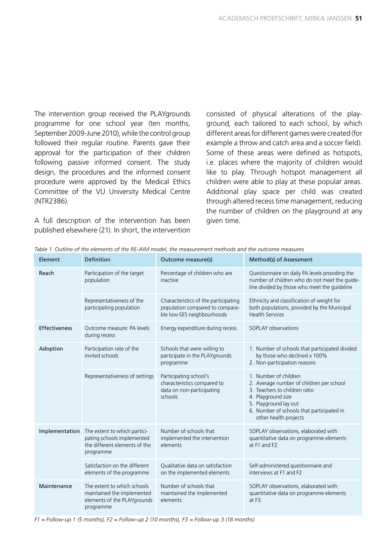The intervention group received the PLAYgrounds programme for one school year (ten months, September 2009-June 2010), while the control group followed their regular routine. Parents gave their approval for the participation of their children following passive informed consent. The study design, the procedures and the informed consent procedure were approved by the Medical Ethics Committee of the VU University Medical Centre (NTR2386).

A full description of the intervention has been published elsewhere (21). In short, the intervention

consisted of physical alterations of the playground, each tailored to each school, by which different areas for different games were created (for example a throw and catch area and a soccer field). Some of these areas were defined as hotspots, i.e. places where the majority of children would like to play. Through hotspot management all children were able to play at these popular areas. Additional play space per child was created through altered recess time management, reducing the number of children on the playground at any given time.

| Element              | Definition                                                                                                              | Outcome measure(s)                                                                                    | Method(s) of Assessment                                                                                                                                                                                                 |
|----------------------|-------------------------------------------------------------------------------------------------------------------------|-------------------------------------------------------------------------------------------------------|-------------------------------------------------------------------------------------------------------------------------------------------------------------------------------------------------------------------------|
| Reach                | Participation of the target<br>population                                                                               | Percentage of children who are<br>inactive                                                            | Questionnaire on daily PA levels providing the<br>number of children who do not meet the quide-<br>line divided by those who meet the guideline                                                                         |
|                      | Representativeness of the<br>participating population                                                                   | Characteristics of the participating<br>population compared to compara-<br>ble low-SES neighbourhoods | Ethnicity and classification of weight for<br>both populations, provided by the Municipal<br><b>Health Services</b>                                                                                                     |
| <b>Effectiveness</b> | Outcome measure: PA levels<br>during recess                                                                             | Energy expenditure during recess                                                                      | SOPLAY observations                                                                                                                                                                                                     |
| Adoption             | Participation rate of the<br>invited schools                                                                            | Schools that were willing to<br>participate in the PLAYgrounds<br>programme                           | 1. Number of schools that participated divided<br>by those who declined x 100%<br>2. Non-participation reasons                                                                                                          |
|                      | Representativeness of settings                                                                                          | Participating school's<br>characteristics compared to<br>data on non-participating<br>schools         | 1. Number of children<br>2. Average number of children per school<br>3. Teachers to children ratio<br>4. Playground size<br>5. Playground lay out<br>6. Number of schools that participated in<br>other health projects |
|                      | Implementation The extent to which partici-<br>pating schools implemented<br>the different elements of the<br>programme | Number of schools that<br>implemented the intervention<br>elements                                    | SOPLAY observations, elaborated with<br>quantitative data on programme elements<br>at F1 and F2.                                                                                                                        |
|                      | Satisfaction on the different<br>elements of the programme                                                              | Oualitative data on satisfaction<br>on the implemented elements                                       | Self-administered questionnaire and<br>interviews at F1 and F2                                                                                                                                                          |
| Maintenance          | The extent to which schools<br>maintained the implemented<br>elements of the PLAYgrounds<br>programme                   | Number of schools that<br>maintained the implemented<br>elements                                      | SOPLAY observations, elaborated with<br>quantitative data on programme elements<br>at F3.                                                                                                                               |

*Table 1. Outline of the elements of the RE-AIM model, the measurement methods and the outcome measures*

*F1 = Follow-up 1 (5 months), F2 = Follow-up 2 (10 months), F3 = Follow-up 3 (18 months)*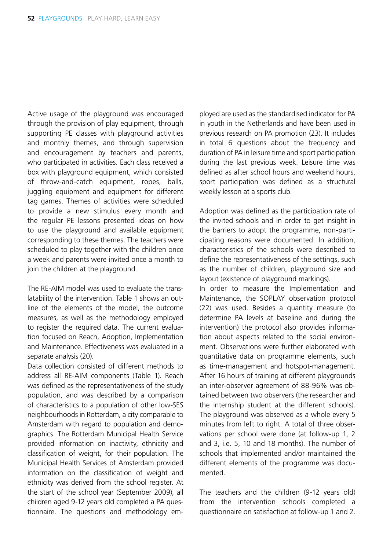Active usage of the playground was encouraged through the provision of play equipment, through supporting PE classes with playground activities and monthly themes, and through supervision and encouragement by teachers and parents, who participated in activities. Each class received a box with playground equipment, which consisted of throw-and-catch equipment, ropes, balls, juggling equipment and equipment for different tag games. Themes of activities were scheduled to provide a new stimulus every month and the regular PE lessons presented ideas on how to use the playground and available equipment corresponding to these themes. The teachers were scheduled to play together with the children once a week and parents were invited once a month to join the children at the playground.

The RE-AIM model was used to evaluate the translatability of the intervention. Table 1 shows an outline of the elements of the model, the outcome measures, as well as the methodology employed to register the required data. The current evaluation focused on Reach, Adoption, Implementation and Maintenance. Effectiveness was evaluated in a separate analysis (20).

Data collection consisted of different methods to address all RE-AIM components (Table 1). Reach was defined as the representativeness of the study population, and was described by a comparison of characteristics to a population of other low-SES neighbourhoods in Rotterdam, a city comparable to Amsterdam with regard to population and demographics. The Rotterdam Municipal Health Service provided information on inactivity, ethnicity and classification of weight, for their population. The Municipal Health Services of Amsterdam provided information on the classification of weight and ethnicity was derived from the school register. At the start of the school year (September 2009), all children aged 9-12 years old completed a PA questionnaire. The questions and methodology employed are used as the standardised indicator for PA in youth in the Netherlands and have been used in previous research on PA promotion (23). It includes in total 6 questions about the frequency and duration of PA in leisure time and sport participation during the last previous week. Leisure time was defined as after school hours and weekend hours, sport participation was defined as a structural weekly lesson at a sports club.

Adoption was defined as the participation rate of the invited schools and in order to get insight in the barriers to adopt the programme, non-participating reasons were documented. In addition, characteristics of the schools were described to define the representativeness of the settings, such as the number of children, playground size and layout (existence of playground markings).

In order to measure the Implementation and Maintenance, the SOPLAY observation protocol (22) was used. Besides a quantity measure (to determine PA levels at baseline and during the intervention) the protocol also provides information about aspects related to the social environment. Observations were further elaborated with quantitative data on programme elements, such as time-management and hotspot-management. After 16 hours of training at different playgrounds an inter-observer agreement of 88-96% was obtained between two observers (the researcher and the internship student at the different schools). The playground was observed as a whole every 5 minutes from left to right. A total of three observations per school were done (at follow-up 1, 2 and 3, i.e. 5, 10 and 18 months). The number of schools that implemented and/or maintained the different elements of the programme was documented.

The teachers and the children (9-12 years old) from the intervention schools completed a questionnaire on satisfaction at follow-up 1 and 2.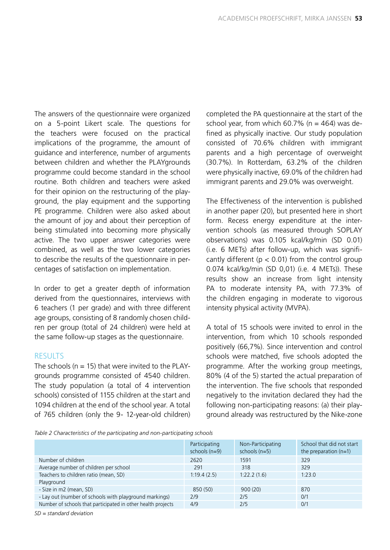The answers of the questionnaire were organized on a 5-point Likert scale. The questions for the teachers were focused on the practical implications of the programme, the amount of guidance and interference, number of arguments between children and whether the PLAYgrounds programme could become standard in the school routine. Both children and teachers were asked for their opinion on the restructuring of the playground, the play equipment and the supporting PE programme. Children were also asked about the amount of joy and about their perception of being stimulated into becoming more physically active. The two upper answer categories were combined, as well as the two lower categories to describe the results of the questionnaire in percentages of satisfaction on implementation.

In order to get a greater depth of information derived from the questionnaires, interviews with 6 teachers (1 per grade) and with three different age groups, consisting of 8 randomly chosen children per group (total of 24 children) were held at the same follow-up stages as the questionnaire.

# **RESULTS**

The schools ( $n = 15$ ) that were invited to the PLAYgrounds programme consisted of 4540 children. The study population (a total of 4 intervention schools) consisted of 1155 children at the start and 1094 children at the end of the school year. A total of 765 children (only the 9- 12-year-old children) completed the PA questionnaire at the start of the school year, from which  $60.7\%$  (n = 464) was defined as physically inactive. Our study population consisted of 70.6% children with immigrant parents and a high percentage of overweight (30.7%). In Rotterdam, 63.2% of the children were physically inactive, 69.0% of the children had immigrant parents and 29.0% was overweight.

The Effectiveness of the intervention is published in another paper (20), but presented here in short form. Recess energy expenditure at the intervention schools (as measured through SOPLAY observations) was 0.105 kcal/kg/min (SD 0.01) (i.e. 6 METs) after follow-up, which was significantly different ( $p < 0.01$ ) from the control group 0.074 kcal/kg/min (SD 0,01) (i.e. 4 METs)). These results show an increase from light intensity PA to moderate intensity PA, with 77.3% of the children engaging in moderate to vigorous intensity physical activity (MVPA).

A total of 15 schools were invited to enrol in the intervention, from which 10 schools responded positively (66,7%). Since intervention and control schools were matched, five schools adopted the programme. After the working group meetings, 80% (4 of the 5) started the actual preparation of the intervention. The five schools that responded negatively to the invitation declared they had the following non-participating reasons: (a) their playground already was restructured by the Nike-zone

*Table 2 Characteristics of the participating and non-participating schools*

|                                                              | Participating<br>schools $(n=9)$ | Non-Participating<br>schools $(n=5)$ | School that did not start<br>the preparation $(n=1)$ |
|--------------------------------------------------------------|----------------------------------|--------------------------------------|------------------------------------------------------|
| Number of children                                           | 2620                             | 1591                                 | 329                                                  |
| Average number of children per school                        | 291                              | 318                                  | 329                                                  |
| Teachers to children ratio (mean, SD)                        | 1:19.4(2.5)                      | 1:22.2(1.6)                          | 1:23.0                                               |
| Playground                                                   |                                  |                                      |                                                      |
| - Size in m2 (mean, SD)                                      | 850 (50)                         | 900(20)                              | 870                                                  |
| - Lay out (number of schools with playground markings)       | 2/9                              | 2/5                                  | 0/1                                                  |
| Number of schools that participated in other health projects | 4/9                              | 2/5                                  | 0/1                                                  |

*SD = standard deviation*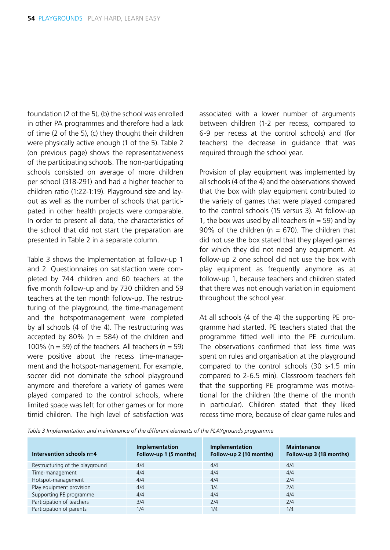foundation (2 of the 5), (b) the school was enrolled in other PA programmes and therefore had a lack of time (2 of the 5), (c) they thought their children were physically active enough (1 of the 5). Table 2 (on previous page) shows the representativeness of the participating schools. The non-participating schools consisted on average of more children per school (318-291) and had a higher teacher to children ratio (1:22-1:19). Playground size and layout as well as the number of schools that participated in other health projects were comparable. In order to present all data, the characteristics of the school that did not start the preparation are presented in Table 2 in a separate column.

Table 3 shows the Implementation at follow-up 1 and 2. Questionnaires on satisfaction were completed by 744 children and 60 teachers at the five month follow-up and by 730 children and 59 teachers at the ten month follow-up. The restructuring of the playground, the time-management and the hotspotmanagement were completed by all schools (4 of the 4). The restructuring was accepted by 80% ( $n = 584$ ) of the children and 100% ( $n = 59$ ) of the teachers. All teachers ( $n = 59$ ) were positive about the recess time-management and the hotspot-management. For example, soccer did not dominate the school playground anymore and therefore a variety of games were played compared to the control schools, where limited space was left for other games or for more timid children. The high level of satisfaction was associated with a lower number of arguments between children (1-2 per recess, compared to 6-9 per recess at the control schools) and (for teachers) the decrease in guidance that was required through the school year.

Provision of play equipment was implemented by all schools (4 of the 4) and the observations showed that the box with play equipment contributed to the variety of games that were played compared to the control schools (15 versus 3). At follow-up 1. the box was used by all teachers ( $n = 59$ ) and by 90% of the children ( $n = 670$ ). The children that did not use the box stated that they played games for which they did not need any equipment. At follow-up 2 one school did not use the box with play equipment as frequently anymore as at follow-up 1, because teachers and children stated that there was not enough variation in equipment throughout the school year.

At all schools (4 of the 4) the supporting PE programme had started. PE teachers stated that the programme fitted well into the PE curriculum. The observations confirmed that less time was spent on rules and organisation at the playground compared to the control schools (30 s-1.5 min compared to 2-6.5 min). Classroom teachers felt that the supporting PE programme was motivational for the children (the theme of the month in particular). Children stated that they liked recess time more, because of clear game rules and

*Table 3 Implementation and maintenance of the different elements of the PLAYgrounds programme*

| Intervention schools $n=4$      | Implementation<br>Follow-up 1 (5 months) | Implementation<br>Follow-up 2 (10 months) | <b>Maintenance</b><br>Follow-up 3 (18 months) |
|---------------------------------|------------------------------------------|-------------------------------------------|-----------------------------------------------|
| Restructuring of the playground | 4/4                                      | 4/4                                       | 4/4                                           |
| Time-management                 | 4/4                                      | 4/4                                       | 4/4                                           |
| Hotspot-management              | 4/4                                      | 4/4                                       | 2/4                                           |
| Play equipment provision        | 4/4                                      | 3/4                                       | 2/4                                           |
| Supporting PE programme         | 4/4                                      | 4/4                                       | 4/4                                           |
| Participation of teachers       | 3/4                                      | 2/4                                       | 2/4                                           |
| Participation of parents        | 1/4                                      | 1/4                                       | 1/4                                           |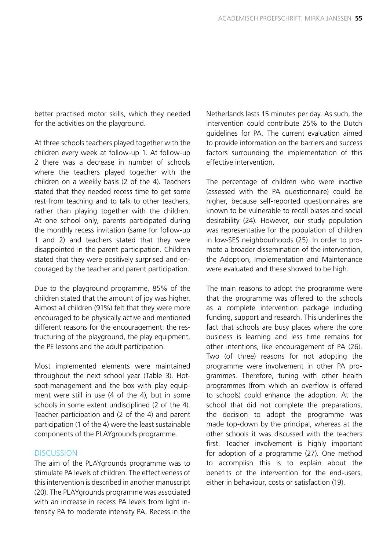better practised motor skills, which they needed for the activities on the playground.

At three schools teachers played together with the children every week at follow-up 1. At follow-up 2 there was a decrease in number of schools where the teachers played together with the children on a weekly basis (2 of the 4). Teachers stated that they needed recess time to get some rest from teaching and to talk to other teachers, rather than playing together with the children. At one school only, parents participated during the monthly recess invitation (same for follow-up 1 and 2) and teachers stated that they were disappointed in the parent participation. Children stated that they were positively surprised and encouraged by the teacher and parent participation.

Due to the playground programme, 85% of the children stated that the amount of joy was higher. Almost all children (91%) felt that they were more encouraged to be physically active and mentioned different reasons for the encouragement: the restructuring of the playground, the play equipment, the PE lessons and the adult participation.

Most implemented elements were maintained throughout the next school year (Table 3). Hotspot-management and the box with play equipment were still in use (4 of the 4), but in some schools in some extent undisciplined (2 of the 4). Teacher participation and (2 of the 4) and parent participation (1 of the 4) were the least sustainable components of the PLAYgrounds programme.

## DISCUSSION

The aim of the PLAYgrounds programme was to stimulate PA levels of children. The effectiveness of this intervention is described in another manuscript (20). The PLAYgrounds programme was associated with an increase in recess PA levels from light intensity PA to moderate intensity PA. Recess in the Netherlands lasts 15 minutes per day. As such, the intervention could contribute 25% to the Dutch guidelines for PA. The current evaluation aimed to provide information on the barriers and success factors surrounding the implementation of this effective intervention.

The percentage of children who were inactive (assessed with the PA questionnaire) could be higher, because self-reported questionnaires are known to be vulnerable to recall biases and social desirability (24). However, our study population was representative for the population of children in low-SES neighbourhoods (25). In order to promote a broader dissemination of the intervention, the Adoption, Implementation and Maintenance were evaluated and these showed to be high.

The main reasons to adopt the programme were that the programme was offered to the schools as a complete intervention package including funding, support and research. This underlines the fact that schools are busy places where the core business is learning and less time remains for other intentions, like encouragement of PA (26). Two (of three) reasons for not adopting the programme were involvement in other PA programmes. Therefore, tuning with other health programmes (from which an overflow is offered to schools) could enhance the adoption. At the school that did not complete the preparations, the decision to adopt the programme was made top-down by the principal, whereas at the other schools it was discussed with the teachers first. Teacher involvement is highly important for adoption of a programme (27). One method to accomplish this is to explain about the benefits of the intervention for the end-users, either in behaviour, costs or satisfaction (19).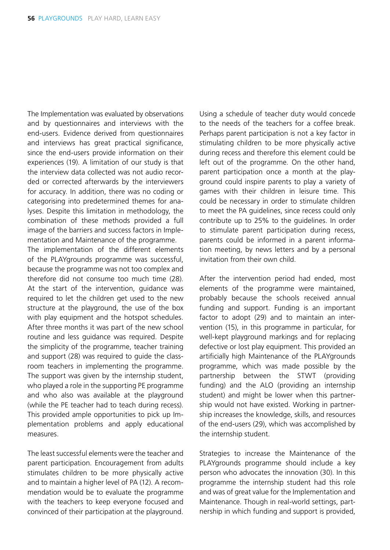The Implementation was evaluated by observations and by questionnaires and interviews with the end-users. Evidence derived from questionnaires and interviews has great practical significance, since the end-users provide information on their experiences (19). A limitation of our study is that the interview data collected was not audio recorded or corrected afterwards by the interviewers for accuracy. In addition, there was no coding or categorising into predetermined themes for analyses. Despite this limitation in methodology, the combination of these methods provided a full image of the barriers and success factors in Implementation and Maintenance of the programme.

The implementation of the different elements of the PLAYgrounds programme was successful, because the programme was not too complex and therefore did not consume too much time (28). At the start of the intervention, guidance was required to let the children get used to the new structure at the playground, the use of the box with play equipment and the hotspot schedules. After three months it was part of the new school routine and less guidance was required. Despite the simplicity of the programme, teacher training and support (28) was required to guide the classroom teachers in implementing the programme. The support was given by the internship student, who played a role in the supporting PE programme and who also was available at the playground (while the PE teacher had to teach during recess). This provided ample opportunities to pick up Implementation problems and apply educational measures.

The least successful elements were the teacher and parent participation. Encouragement from adults stimulates children to be more physically active and to maintain a higher level of PA (12). A recommendation would be to evaluate the programme with the teachers to keep everyone focused and convinced of their participation at the playground. Using a schedule of teacher duty would concede to the needs of the teachers for a coffee break. Perhaps parent participation is not a key factor in stimulating children to be more physically active during recess and therefore this element could be left out of the programme. On the other hand, parent participation once a month at the plavground could inspire parents to play a variety of games with their children in leisure time. This could be necessary in order to stimulate children to meet the PA guidelines, since recess could only contribute up to 25% to the guidelines. In order to stimulate parent participation during recess, parents could be informed in a parent information meeting, by news letters and by a personal invitation from their own child.

After the intervention period had ended, most elements of the programme were maintained, probably because the schools received annual funding and support. Funding is an important factor to adopt (29) and to maintain an intervention (15), in this programme in particular, for well-kept playground markings and for replacing defective or lost play equipment. This provided an artificially high Maintenance of the PLAYgrounds programme, which was made possible by the partnership between the STWT (providing funding) and the ALO (providing an internship student) and might be lower when this partnership would not have existed. Working in partnership increases the knowledge, skills, and resources of the end-users (29), which was accomplished by the internship student.

Strategies to increase the Maintenance of the PLAYgrounds programme should include a key person who advocates the innovation (30). In this programme the internship student had this role and was of great value for the Implementation and Maintenance. Though in real-world settings, partnership in which funding and support is provided,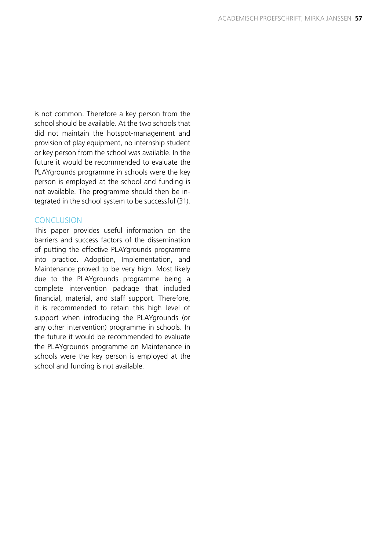is not common. Therefore a key person from the school should be available. At the two schools that did not maintain the hotspot-management and provision of play equipment, no internship student or key person from the school was available. In the future it would be recommended to evaluate the PLAYgrounds programme in schools were the key person is employed at the school and funding is not available. The programme should then be integrated in the school system to be successful (31).

# **CONCLUSION**

This paper provides useful information on the barriers and success factors of the dissemination of putting the effective PLAYgrounds programme into practice. Adoption, Implementation, and Maintenance proved to be very high. Most likely due to the PLAYgrounds programme being a complete intervention package that included financial, material, and staff support. Therefore, it is recommended to retain this high level of support when introducing the PLAYgrounds (or any other intervention) programme in schools. In the future it would be recommended to evaluate the PLAYgrounds programme on Maintenance in schools were the key person is employed at the school and funding is not available.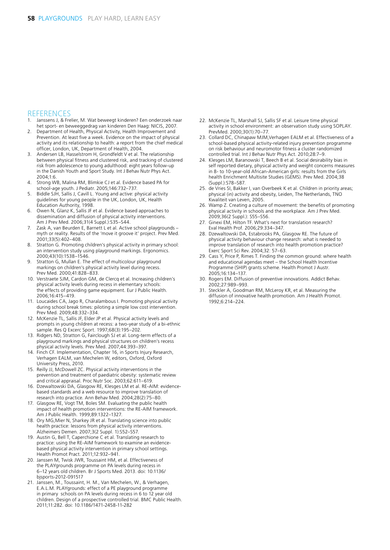#### **REFERENCES**

- Janssens J, & Frelier, M. Wat beweegt kinderen? Een onderzoek naar het sport- en beweeggedrag van kinderen Den Haag: NICIS, 2007.
- 2. Department of Health, Physical Activity, Health Improvement and Prevention. At least five a week. Evidence on the impact of physical activity and its relationship to health: a report from the chief medical officer, London, UK, Department of Health, 2004.
- 3. Andersen LB, Hasselstrom H, Grondfeldt V et al. The relationship between physical fitness and clustered risk, and tracking of clustered risk from adolescence to young adulthood: eight years follow-up in the Danish Youth and Sport Study. Int J Behav Nutr Phys Act. 2004;1:6.
- 4. Strong WB, Malina RM, Blimkie CJ et al. Evidence based PA for
- school-age youth. J Pediatr. 2005;146:732–737. 5. Biddle SJH, Sallis J, Cavill L. Young and active: physical activity guidelines for young people in the UK, London, UK, Health Education Authority, 1998.
- Owen N, Glanz K, Sallis JF et al. Evidence based approaches to dissemination and diffusion of physical activity interventions. Am J Prev Med. 2006;31(4 Suppl.):S35–S44.
- 7. Zask A, van Beurden E, Barnett L et al. Active school playgrounds myth or reality. Results of the 'move it groove it' project. Prev Med. 2001;33(5):402–408.
- 8. Stratton G. Promoting children's physical activity in primary school: an intervention study using playground markings. Ergonomics. 2000;43(10):1538–1546.
- 9. Stratton G, Mullan E. The effect of multicolour playground markings on children's physical activity level during recess. Prev Med. 2000;41:828–833.
- 10. Verstraete SJM, Cardon GM, de Clercq et al. Increasing children's physical activity levels during recess in elementary schools: the effects of providing game equipment. Eur J Public Health. 2006;16:415–419.
- 11. Loucaides CA, Jago R, Charalambous I. Promoting physical activity during school break times: piloting a simple low cost intervention. Prev Med. 2009;48:332–334.
- 12. McKenzie TL, Sallis JF, Elder JP et al. Physical activity levels and prompts in young children at recess: a two-year study of a bi-ethnic sample. Res Q Excerc Sport. 1997;68(3):195–202.
- 13. Ridgers ND, Stratton G, Fairclough SJ et al. Long-term effects of a playground markings and physical structures on children's recess physical activity levels. Prev Med. 2007;44:393–397.
- 14. Finch CF. Implementation, Chapter 16, in Sports Injury Research, Verhagen EALM, van Mechelen W, editors, Oxford, Oxford University Press, 2010.
- 15. Reilly JJ, McDowell ZC. Physical activity interventions in the prevention and treatment of paediatric obesity: systematic review and critical appraisal. Proc Nutr Soc. 2003;62:611–619.
- 16. Dzewaltowski DA, Glasgow RE, Klesges LM et al. RE-AIM: evidencebased standards and a web resource to improve translation of research into practice. Ann Behav Med. 2004;28(2):75–80.
- 17. Glasgow RE, Vogt TM, Boles SM. Evaluating the public health impact of health promotion interventions: the RE-AIM framework. Am J Public Health. 1999;89:1322–1327.
- 18. Ory MG,Mier N, Sharkey JR et al. Translating science into public health practice: lessons from physical activity interventions. Alzheimers Demen. 2007;3(2 Suppl. 1):S52–S57.
- 19. Austin G, Bell T, Caperchione C et al. Translating research to practice: using the RE-AIM framework to examine an evidencebased physical activity intervention in primary school settings. Health Promot Pract. 2011;12:932–941.
- 20. Janssen M, Twisk JWR, Toussaint HM, et al. Effectiveness of the PLAYgrounds programme on PA levels during recess in 6–12 years old children. Br J Sports Med. 2013. doi: 10.1136/ bjsports-2012-091517
- 21. Janssen, M., Toussaint, H. M., Van Mechelen, W., & Verhagen, E.A.L.M. PLAYgrounds: effect of a PE playground programme in primary schools on PA levels during recess in 6 to 12 year old children. Design of a prospective controlled trial. BMC Public Health. 2011;11:282. doi: 10.1186/1471-2458-11-282
- 22. McKenzie TL, Marshall SJ, Sallis SF et al. Leisure time physical activity in school environment: an observation study using SOPLAY. PrevMed. 2000;30(1):70–77.
- 23. Collard DC, Chinapaw MJM,Verhagen EALM et al. Effectiveness of a school-based physical activity-related injury prevention programme on risk behaviour and neuromotor fitness a cluster randomized controlled trial. Int J Behav Nutr Phys Act. 2010;28:7–9.
- 24. Klesges LM, Baranowski T, Beech B et al. Social desirability bias in self reported dietary, physical activity and weight concerns measures in 8- to 10-year-old African-American girls: results from the Girls health Enrichment Multisite Studies (GEMS). Prev Med. 2004;38 (Suppl.):S78–S87.
- 25. de Vries SI, Bakker I, van Overbeek K et al. Children in priority areas; physical (in) activity and obesity, Leiden, The Netherlands, TNO Kwaliteit van Leven, 2005.
- 26. Wamp Z. Creating a culture of movement: the benefits of promoting physical activity in schools and the workplace. Am J Prev Med. 2009;36(2 Suppl.): S55–S56.
- 27. Ginexi EM, Hilton TF. What's next for translation research? Eval Health Prof. 2006;29:334–347.
- 28. Dzewaltowski DA, Estabrooks PA, Glasgow RE. The future of physical activity behaviour change research: what is needed to improve translation of research into health promotion practice? Exerc Sport Sci Rev. 2004;32: 57–63.
- 29. Cass Y, Price P, Rimes T. Finding the common ground: where health and educational agendas meet – the School Health Incentive Programme (SHIP) grants scheme. Health Promot J Austr. 2005;16:134–137.
- 30. Rogers EM. Diffusion of preventive innovations. Addict Behav. 2002;27:989–993.
- 31. Steckler A, Goodman RM, McLeroy KR, et al. Measuring the diffusion of innovative health promotion. Am J Health Promot. 1992;6:214–224.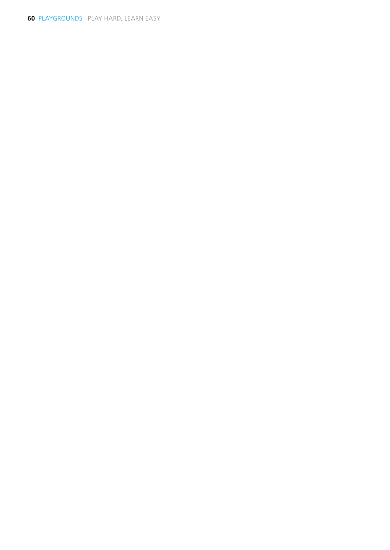# PLAYGROUNDS PLAY HARD, LEARN EASY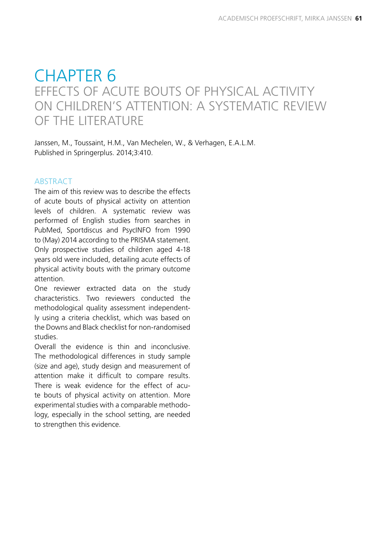# CHAPTER 6 EFFECTS OF ACUTE BOUTS OF PHYSICAL ACTIVITY ON CHILDREN'S ATTENTION: A SYSTEMATIC REVIEW OF THE LITERATURE

Janssen, M., Toussaint, H.M., Van Mechelen, W., & Verhagen, E.A.L.M. Published in Springerplus. 2014;3:410.

# **ABSTRACT**

The aim of this review was to describe the effects of acute bouts of physical activity on attention levels of children. A systematic review was performed of English studies from searches in PubMed, Sportdiscus and PsycINFO from 1990 to (May) 2014 according to the PRISMA statement. Only prospective studies of children aged 4-18 years old were included, detailing acute effects of physical activity bouts with the primary outcome attention.

One reviewer extracted data on the study characteristics. Two reviewers conducted the methodological quality assessment independently using a criteria checklist, which was based on the Downs and Black checklist for non-randomised studies.

Overall the evidence is thin and inconclusive. The methodological differences in study sample (size and age), study design and measurement of attention make it difficult to compare results. There is weak evidence for the effect of acute bouts of physical activity on attention. More experimental studies with a comparable methodology, especially in the school setting, are needed to strengthen this evidence.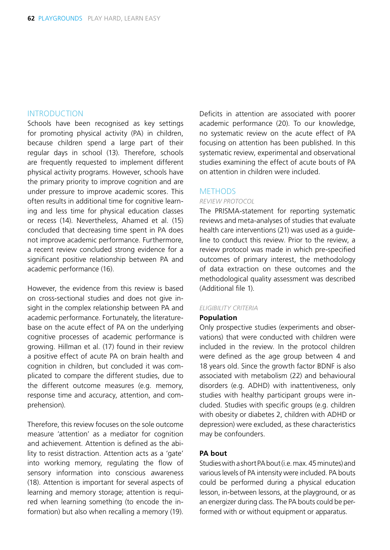## INTRODUCTION

Schools have been recognised as key settings for promoting physical activity (PA) in children, because children spend a large part of their regular days in school (13). Therefore, schools are frequently requested to implement different physical activity programs. However, schools have the primary priority to improve cognition and are under pressure to improve academic scores. This often results in additional time for cognitive learning and less time for physical education classes or recess (14). Nevertheless, Ahamed et al. (15) concluded that decreasing time spent in PA does not improve academic performance. Furthermore, a recent review concluded strong evidence for a significant positive relationship between PA and academic performance (16).

However, the evidence from this review is based on cross-sectional studies and does not give insight in the complex relationship between PA and academic performance. Fortunately, the literaturebase on the acute effect of PA on the underlying cognitive processes of academic performance is growing. Hillman et al. (17) found in their review a positive effect of acute PA on brain health and cognition in children, but concluded it was complicated to compare the different studies, due to the different outcome measures (e.g. memory, response time and accuracy, attention, and comprehension).

Therefore, this review focuses on the sole outcome measure 'attention' as a mediator for cognition and achievement. Attention is defined as the ability to resist distraction. Attention acts as a 'gate' into working memory, regulating the flow of sensory information into conscious awareness (18). Attention is important for several aspects of learning and memory storage; attention is required when learning something (to encode the information) but also when recalling a memory (19). Deficits in attention are associated with poorer academic performance (20). To our knowledge, no systematic review on the acute effect of PA focusing on attention has been published. In this systematic review, experimental and observational studies examining the effect of acute bouts of PA on attention in children were included.

## **METHODS**

## *REVIEW PROTOCOL*

The PRISMA-statement for reporting systematic reviews and meta-analyses of studies that evaluate health care interventions (21) was used as a guideline to conduct this review. Prior to the review, a review protocol was made in which pre-specified outcomes of primary interest, the methodology of data extraction on these outcomes and the methodological quality assessment was described (Additional file 1).

## *ELIGIBILITY CRITERIA*

## **Population**

Only prospective studies (experiments and observations) that were conducted with children were included in the review. In the protocol children were defined as the age group between 4 and 18 years old. Since the growth factor BDNF is also associated with metabolism (22) and behavioural disorders (e.g. ADHD) with inattentiveness, only studies with healthy participant groups were included. Studies with specific groups (e.g. children with obesity or diabetes 2, children with ADHD or depression) were excluded, as these characteristics may be confounders.

## **PA bout**

Studies with a short PA bout (i.e. max. 45 minutes) and various levels of PA intensity were included. PA bouts could be performed during a physical education lesson, in-between lessons, at the playground, or as an energizer during class. The PA bouts could be performed with or without equipment or apparatus.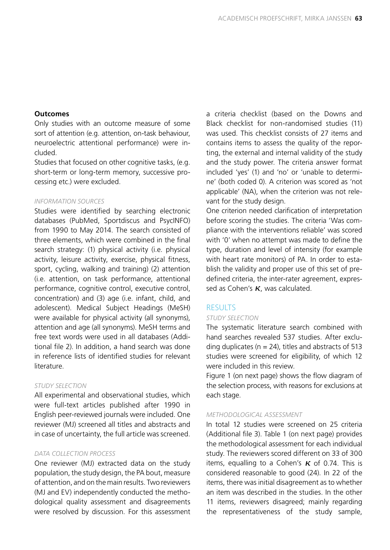## **Outcomes**

Only studies with an outcome measure of some sort of attention (e.g. attention, on-task behaviour, neuroelectric attentional performance) were included.

Studies that focused on other cognitive tasks, (e.g. short-term or long-term memory, successive processing etc.) were excluded.

#### *INFORMATION SOURCES*

Studies were identified by searching electronic databases (PubMed, Sportdiscus and PsycINFO) from 1990 to May 2014. The search consisted of three elements, which were combined in the final search strategy: (1) physical activity (i.e. physical activity, leisure activity, exercise, physical fitness, sport, cycling, walking and training) (2) attention (i.e. attention, on task performance, attentional performance, cognitive control, executive control, concentration) and (3) age (i.e. infant, child, and adolescent). Medical Subject Headings (MeSH) were available for physical activity (all synonyms), attention and age (all synonyms). MeSH terms and free text words were used in all databases (Additional file 2). In addition, a hand search was done in reference lists of identified studies for relevant literature.

## *STUDY SELECTION*

All experimental and observational studies, which were full-text articles published after 1990 in English peer-reviewed journals were included. One reviewer (MJ) screened all titles and abstracts and in case of uncertainty, the full article was screened.

## *DATA COLLECTION PROCESS*

One reviewer (MJ) extracted data on the study population, the study design, the PA bout, measure of attention, and on the main results. Two reviewers (MJ and EV) independently conducted the methodological quality assessment and disagreements were resolved by discussion. For this assessment a criteria checklist (based on the Downs and Black checklist for non-randomised studies (11) was used. This checklist consists of 27 items and contains items to assess the quality of the reporting, the external and internal validity of the study and the study power. The criteria answer format included 'yes' (1) and 'no' or 'unable to determine' (both coded 0). A criterion was scored as 'not applicable' (NA), when the criterion was not relevant for the study design.

One criterion needed clarification of interpretation before scoring the studies. The criteria 'Was compliance with the interventions reliable' was scored with '0' when no attempt was made to define the type, duration and level of intensity (for example with heart rate monitors) of PA. In order to establish the validity and proper use of this set of predefined criteria, the inter-rater agreement, expressed as Cohen's  $\kappa$ , was calculated.

## RESULTS

## *STUDY SELECTION*

The systematic literature search combined with hand searches revealed 537 studies. After excluding duplicates ( $n = 24$ ), titles and abstracts of 513 studies were screened for eligibility, of which 12 were included in this review.

Figure 1 (on next page) shows the flow diagram of the selection process, with reasons for exclusions at each stage.

## *METHODOLOGICAL ASSESSMENT*

In total 12 studies were screened on 25 criteria (Additional file 3). Table 1 (on next page) provides the methodological assessment for each individual study. The reviewers scored different on 33 of 300 items, equalling to a Cohen's  $\kappa$  of 0.74. This is considered reasonable to good (24). In 22 of the items, there was initial disagreement as to whether an item was described in the studies. In the other 11 items, reviewers disagreed; mainly regarding the representativeness of the study sample,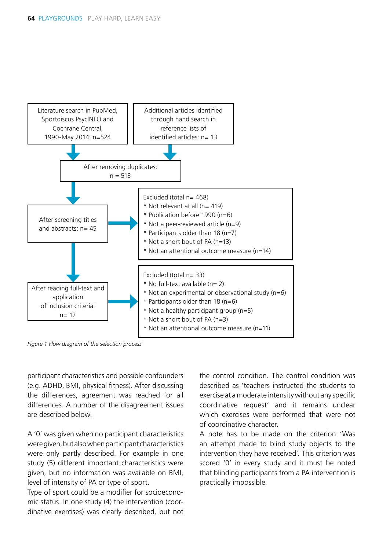

*Figure 1 Flow diagram of the selection process*

participant characteristics and possible confounders (e.g. ADHD, BMI, physical fitness). After discussing the differences, agreement was reached for all differences. A number of the disagreement issues are described below.

A '0' was given when no participant characteristics were given, but also when participant characteristics were only partly described. For example in one study (5) different important characteristics were given, but no information was available on BMI, level of intensity of PA or type of sport.

Type of sport could be a modifier for socioeconomic status. In one study (4) the intervention (coordinative exercises) was clearly described, but not the control condition. The control condition was described as 'teachers instructed the students to exercise at a moderate intensity without any specific coordinative request' and it remains unclear which exercises were performed that were not of coordinative character.

A note has to be made on the criterion 'Was an attempt made to blind study objects to the intervention they have received'. This criterion was scored '0' in every study and it must be noted that blinding participants from a PA intervention is practically impossible.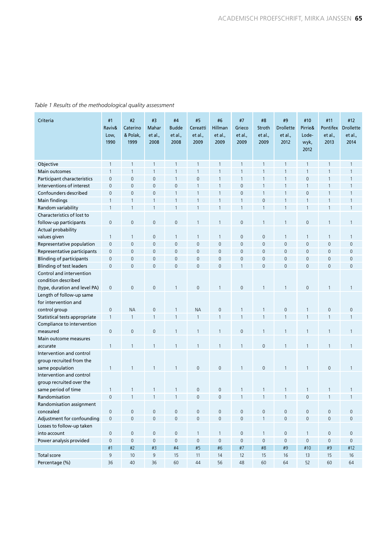## *Table 1 Results of the methodological quality assessment*

| Criteria                          | #1<br>Raviv&<br>Low,<br>1990 | #2<br>Caterino<br>& Polak,<br>1999 | #3<br>Mahar<br>et al.,<br>2008 | #4<br><b>Budde</b><br>et al.,<br>2008 | #5<br>Cereatti<br>et al.,<br>2009 | #6<br>Hillman<br>et al.,<br>2009 | #7<br>Grieco<br>et al.,<br>2009 | #8<br>Stroth<br>et al.,<br>2009 | #9<br><b>Drollette</b><br>et al.,<br>2012 | #10<br>Pirrie&<br>Lode-<br>wyk,<br>2012 | #11<br>Pontifex<br>et al.,<br>2013 | #12<br><b>Drollette</b><br>et al.,<br>2014 |
|-----------------------------------|------------------------------|------------------------------------|--------------------------------|---------------------------------------|-----------------------------------|----------------------------------|---------------------------------|---------------------------------|-------------------------------------------|-----------------------------------------|------------------------------------|--------------------------------------------|
| Objective                         | $\mathbf{1}$                 | 1                                  | 1                              | $\mathbf{1}$                          | 1                                 | $\mathbf{1}$                     | 1                               | $\mathbf{1}$                    | $\mathbf{1}$                              | $\mathbf{1}$                            | $\mathbf{1}$                       | $\mathbf{1}$                               |
| Main outcomes                     | $\mathbf{1}$                 | $\mathbf{1}$                       | $\mathbf{1}$                   | $\mathbf{1}$                          | $\mathbf{1}$                      | 1                                | $\mathbf{1}$                    | $\mathbf{1}$                    | $\mathbf{1}$                              | $\mathbf{1}$                            | $\mathbf{1}$                       | $\mathbf{1}$                               |
| Participant characteristics       | $\overline{0}$               | $\overline{0}$                     | $\overline{0}$                 | $\mathbf{1}$                          | $\overline{0}$                    | $\mathbf{1}$                     | $\mathbf{1}$                    | $\mathbf{1}$                    | $\mathbf{1}$                              | $\overline{0}$                          | 1                                  | $\mathbf{1}$                               |
| Interventions of interest         | $\overline{0}$               | $\overline{0}$                     | 0                              | 0                                     | $\mathbf{1}$                      | 1                                | 0                               | $\mathbf{1}$                    | $\mathbf{1}$                              | $\mathbf{1}$                            | 1                                  | $\overline{1}$                             |
| Confounders described             | $\overline{0}$               | $\overline{0}$                     | Ō                              | $\mathbf{1}$                          | 1                                 |                                  | $\overline{0}$                  | $\mathbf{1}$                    | $\mathbf{1}$                              | $\overline{0}$                          | 1                                  | $\mathbf{1}$                               |
| Main findings                     | 1                            | 1                                  | 1                              | 1                                     | 1                                 |                                  | $\mathbf{1}$                    | $\overline{0}$                  | 1                                         | $\mathbf{1}$                            |                                    | $\overline{1}$                             |
| Random variability                | 1                            | 1                                  | 1                              | $\mathbf{1}$                          | 1                                 |                                  | $\mathbf{1}$                    | $\mathbf{1}$                    | 1                                         | $\mathbf{1}$                            |                                    | $\overline{1}$                             |
| Characteristics of lost to        |                              |                                    |                                |                                       |                                   |                                  |                                 |                                 |                                           |                                         |                                    |                                            |
| follow-up participants            | $\mathbf 0$                  | $\mathbf 0$                        | $\mathbf 0$                    | $\mathsf{O}\xspace$                   | $\mathbf{1}$                      | $\mathbf{1}$                     | 0                               | $\mathbf{1}$                    | $\mathbf{1}$                              | $\mathbf 0$                             | 1                                  | $\mathbf{1}$                               |
| Actual probability                |                              |                                    |                                |                                       |                                   |                                  |                                 |                                 |                                           |                                         |                                    |                                            |
| values given                      | 1                            | 1                                  | 0                              | 1                                     | $\mathbf{1}$                      | $\mathbf{1}$                     | 0                               | $\mathbf 0$                     | $\mathbf{1}$                              | $\mathbf{1}$                            | 1                                  | $\mathbf{1}$                               |
| Representative population         | $\mathbf{0}$                 | $\overline{0}$                     | $\overline{0}$                 | $\overline{0}$                        | $\overline{0}$                    | $\overline{0}$                   | $\overline{0}$                  | $\mathbf{0}$                    | $\overline{0}$                            | $\overline{0}$                          | $\overline{0}$                     | $\mathbf 0$                                |
| Representative participants       | $\mathbf 0$                  | $\overline{0}$                     | $\overline{0}$                 | $\overline{0}$                        | $\overline{0}$                    | $\overline{0}$                   | $\overline{0}$                  | $\overline{0}$                  | $\overline{0}$                            | $\overline{0}$                          | $\mathbf 0$                        | $\mathbf{0}$                               |
| <b>Blinding of participants</b>   | $\overline{0}$               | $\overline{0}$                     | $\overline{0}$                 | $\overline{0}$                        | $\overline{0}$                    | $\overline{0}$                   | $\overline{0}$                  | $\overline{0}$                  | $\overline{0}$                            | $\mathsf{O}\xspace$                     | $\overline{0}$                     | $\mathsf{O}\xspace$                        |
| <b>Blinding of test leaders</b>   | $\overline{0}$               | $\overline{0}$                     | 0                              | $\overline{0}$                        | $\overline{0}$                    | $\overline{0}$                   | $\mathbf{1}$                    | $\overline{0}$                  | $\overline{0}$                            | $\overline{0}$                          | $\mathbf 0$                        | $\mathbf{0}$                               |
| Control and intervention          |                              |                                    |                                |                                       |                                   |                                  |                                 |                                 |                                           |                                         |                                    |                                            |
| condition described               |                              |                                    |                                |                                       |                                   |                                  |                                 |                                 |                                           |                                         |                                    |                                            |
| (type, duration and level PA)     | $\mathbf 0$                  | $\mathbf 0$                        | 0                              | 1                                     | $\mathbf 0$                       | 1                                | 0                               | $\mathbf{1}$                    | 1                                         | $\mathbf 0$                             | $\mathbf{1}$                       | $\mathbf{1}$                               |
| Length of follow-up same          |                              |                                    |                                |                                       |                                   |                                  |                                 |                                 |                                           |                                         |                                    |                                            |
| for intervention and              |                              |                                    |                                |                                       |                                   |                                  |                                 |                                 |                                           |                                         |                                    |                                            |
| control group                     | $\mathbf 0$                  | <b>NA</b>                          | $\mathbf 0$                    | 1                                     | <b>NA</b>                         | 0                                | 1                               | $\mathbf{1}$                    | $\mathbf 0$                               | $\mathbf{1}$                            | 0                                  | $\mathbb O$                                |
| Statistical tests appropriate     | 1                            | 1                                  | 1                              | 1                                     | $\mathbf{1}$                      | 1                                | $\mathbf{1}$                    | $\mathbf{1}$                    | $\mathbf{1}$                              | $\mathbf{1}$                            | 1                                  | $\mathbf{1}$                               |
| Compliance to intervention        | $\overline{0}$               | $\overline{0}$                     |                                |                                       |                                   |                                  |                                 |                                 |                                           |                                         |                                    |                                            |
| measured<br>Main outcome measures |                              |                                    | $\overline{0}$                 | 1                                     | 1                                 | 1                                | 0                               | $\mathbf{1}$                    | $\mathbf{1}$                              | $\mathbf{1}$                            | $\mathbf{1}$                       | $\mathbf{1}$                               |
| accurate                          | 1                            | $\mathbf{1}$                       | $\mathbf{1}$                   | $\mathbf{1}$                          | 1                                 | 1                                | $\mathbf{1}$                    | $\mathbf{0}$                    | $\mathbf{1}$                              | $\mathbf{1}$                            | $\mathbf{1}$                       | $\mathbf{1}$                               |
| Intervention and control          |                              |                                    |                                |                                       |                                   |                                  |                                 |                                 |                                           |                                         |                                    |                                            |
| group recruited from the          |                              |                                    |                                |                                       |                                   |                                  |                                 |                                 |                                           |                                         |                                    |                                            |
| same population                   | $\mathbf{1}$                 | $\mathbf{1}$                       | 1                              | 1                                     | $\overline{0}$                    | $\overline{0}$                   | $\mathbf{1}$                    | $\mathbf{0}$                    | $\mathbf{1}$                              | $\mathbf{1}$                            | $\mathbf{0}$                       | $\overline{1}$                             |
| Intervention and control          |                              |                                    |                                |                                       |                                   |                                  |                                 |                                 |                                           |                                         |                                    |                                            |
| group recruited over the          |                              |                                    |                                |                                       |                                   |                                  |                                 |                                 |                                           |                                         |                                    |                                            |
| same period of time               | 1                            | 1                                  | 1                              | 1                                     | 0                                 | 0                                |                                 | 1                               | $\mathbf{1}$                              | $\mathbf{1}$                            |                                    | -1                                         |
| Randomisation                     | $\mathbf 0$                  | 1                                  | 1                              | $\mathbf{1}$                          | $\overline{0}$                    | $\overline{0}$                   | $\mathbf{1}$                    | $\mathbf{1}$                    | $\mathbf{1}$                              | $\mathsf{O}\xspace$                     |                                    | $\mathbf{1}$                               |
| Randomisation assignment          |                              |                                    |                                |                                       |                                   |                                  |                                 |                                 |                                           |                                         |                                    |                                            |
| concealed                         | $\mathsf{O}\xspace$          | $\mathsf{O}\xspace$                | $\overline{0}$                 | $\overline{0}$                        | $\overline{0}$                    | $\overline{0}$                   | $\overline{0}$                  | $\mathbf{0}$                    | $\mathsf{O}\xspace$                       | $\mathsf{O}\xspace$                     | $\mathbf 0$                        | $\mathbb O$                                |
| Adjustment for confounding        | $\mathbf 0$                  | $\overline{0}$                     | $\overline{0}$                 | $\overline{0}$                        | $\overline{0}$                    | $\overline{0}$                   | $\overline{0}$                  | $\mathbf{1}$                    | $\mathbf 0$                               | $\overline{0}$                          | $\mathbf 0$                        | $\mathbf{0}$                               |
| Losses to follow-up taken         |                              |                                    |                                |                                       |                                   |                                  |                                 |                                 |                                           |                                         |                                    |                                            |
| into account                      | $\bf 0$                      | $\mathbf 0$                        | $\mathbf 0$                    | $\mathbf 0$                           | 1                                 | 1                                | 0                               | $\mathbf{1}$                    | $\mathbf 0$                               | $\mathbf{1}$                            | $\mathbf 0$                        | $\mathbb O$                                |
| Power analysis provided           | $\mathbf{0}$                 | $\overline{0}$                     | $\mathbf 0$                    | $\overline{0}$                        | $\overline{0}$                    | $\overline{0}$                   | $\overline{0}$                  | $\mathbf 0$                     | $\overline{0}$                            | $\overline{0}$                          | $\overline{0}$                     | $\mathsf{O}\xspace$                        |
|                                   | #1                           | #2                                 | #3                             | #4                                    | #5                                | #6                               | #7                              | #8                              | #9                                        | #10                                     | #9                                 | #12                                        |
| <b>Total score</b>                | 9                            | 10                                 | 9                              | 15                                    | 11                                | 14                               | 12                              | 15                              | 16                                        | 13                                      | 15                                 | 16                                         |
| Percentage (%)                    | 36                           | 40                                 | 36                             | 60                                    | 44                                | 56                               | 48                              | 60                              | 64                                        | 52                                      | 60                                 | 64                                         |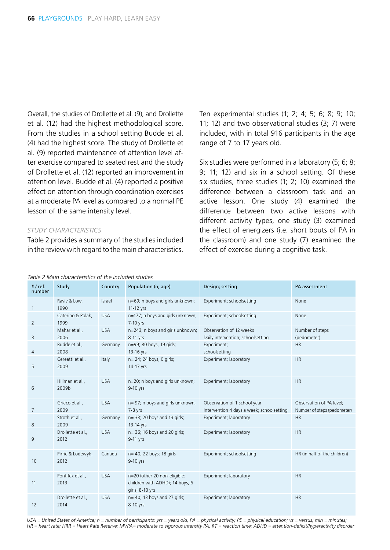Overall, the studies of Drollette et al. (9), and Drollette et al. (12) had the highest methodological score. From the studies in a school setting Budde et al. (4) had the highest score. The study of Drollette et al. (9) reported maintenance of attention level after exercise compared to seated rest and the study of Drollette et al. (12) reported an improvement in attention level. Budde et al. (4) reported a positive effect on attention through coordination exercises at a moderate PA level as compared to a normal PE lesson of the same intensity level.

## *STUDY CHARACTERISTICS*

Table 2 provides a summary of the studies included in the review with regard to the main characteristics. Ten experimental studies (1; 2; 4; 5; 6; 8; 9; 10; 11; 12) and two observational studies (3; 7) were included, with in total 916 participants in the age range of 7 to 17 years old.

Six studies were performed in a laboratory (5; 6; 8; 9; 11; 12) and six in a school setting. Of these six studies, three studies (1; 2; 10) examined the difference between a classroom task and an active lesson. One study (4) examined the difference between two active lessons with different activity types, one study (3) examined the effect of energizers (i.e. short bouts of PA in the classroom) and one study (7) examined the effect of exercise during a cognitive task.

| Table 2 Main characteristics of the included studies |                           |            |                                                                                    |                                                                           |                                                         |  |  |
|------------------------------------------------------|---------------------------|------------|------------------------------------------------------------------------------------|---------------------------------------------------------------------------|---------------------------------------------------------|--|--|
| $#$ /ref.<br>number                                  | Study                     | Country    | Population (n; age)                                                                | Design; setting                                                           | PA assessment                                           |  |  |
| $\mathbf{1}$                                         | Raviv & Low,<br>1990      | Israel     | n=69; n boys and girls unknown;<br>11-12 yrs                                       | Experiment; schoolsetting                                                 | None                                                    |  |  |
| 2                                                    | Caterino & Polak,<br>1999 | <b>USA</b> | n=177; n boys and girls unknown;<br>7-10 yrs                                       | Experiment; schoolsetting                                                 | None                                                    |  |  |
| 3                                                    | Mahar et al.,<br>2006     | <b>USA</b> | n=243; n boys and girls unknown;<br>8-11 yrs                                       | Observation of 12 weeks<br>Daily intervention; schoolsetting              | Number of steps<br>(pedometer)                          |  |  |
| $\overline{4}$                                       | Budde et al.,<br>2008     | Germany    | n=99; 80 boys, 19 girls;<br>13-16 yrs                                              | Experiment;<br>schoolsetting                                              | <b>HR</b>                                               |  |  |
| 5                                                    | Cereatti et al.,<br>2009  | Italy      | n= 24; 24 boys, 0 girls;<br>14-17 yrs                                              | Experiment; laboratory                                                    | <b>HR</b>                                               |  |  |
| 6                                                    | Hillman et al.,<br>2009b  | <b>USA</b> | n=20; n boys and girls unknown;<br>9-10 yrs                                        | Experiment; laboratory                                                    | <b>HR</b>                                               |  |  |
| $7\overline{ }$                                      | Grieco et al.,<br>2009    | <b>USA</b> | n= 97; n boys and girls unknown;<br>7-8 yrs                                        | Observation of 1 school year<br>Intervention 4 days a week; schoolsetting | Observation of PA level:<br>Number of steps (pedometer) |  |  |
| 8                                                    | Stroth et al.,<br>2009    | Germany    | n= 33; 20 boys and 13 girls;<br>13-14 yrs                                          | Experiment; laboratory                                                    | <b>HR</b>                                               |  |  |
| 9                                                    | Drollette et al.,<br>2012 | <b>USA</b> | $n=36$ ; 16 boys and 20 girls;<br>9-11 yrs                                         | Experiment; laboratory                                                    | <b>HR</b>                                               |  |  |
| 10                                                   | Pirrie & Lodewyk,<br>2012 | Canada     | n= 40; 22 boys; 18 girls<br>9-10 yrs                                               | Experiment; schoolsetting                                                 | HR (in half of the children)                            |  |  |
| 11                                                   | Pontifex et al.,<br>2013  | <b>USA</b> | n=20 (other 20 non-eligible:<br>children with ADHD); 14 boys, 6<br>girls; 8-10 yrs | Experiment; laboratory                                                    | <b>HR</b>                                               |  |  |
| 12                                                   | Drollette et al.,<br>2014 | <b>USA</b> | $n = 40$ ; 13 boys and 27 girls;<br>8-10 yrs                                       | Experiment; laboratory                                                    | <b>HR</b>                                               |  |  |

*USA = United States of America; n = number of participants; yrs = years old; PA = physical activity; PE = physical education; vs = versus; min = minutes; HR = heart rate; HRR = Heart Rate Reserve; MVPA= moderate to vigorous intensity PA; RT = reaction time; ADHD = attention-deficit/hyperactivity disorder*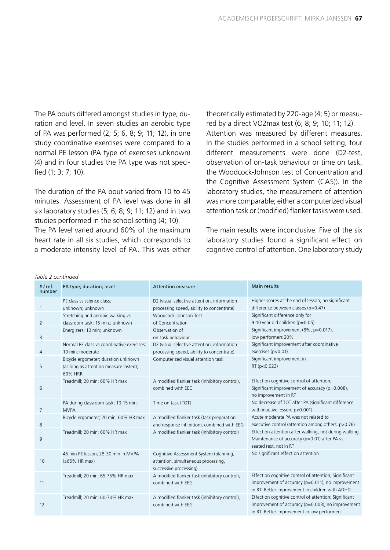The PA bouts differed amongst studies in type, duration and level. In seven studies an aerobic type of PA was performed (2; 5; 6, 8; 9; 11; 12), in one study coordinative exercises were compared to a normal PE lesson (PA type of exercises unknown) (4) and in four studies the PA type was not specified (1; 3; 7; 10).

The duration of the PA bout varied from 10 to 45 minutes. Assessment of PA level was done in all six laboratory studies (5; 6; 8; 9; 11; 12) and in two studies performed in the school setting (4; 10).

The PA level varied around 60% of the maximum heart rate in all six studies, which corresponds to a moderate intensity level of PA. This was either theoretically estimated by 220-age (4; 5) or measured by a direct VO2max test (6; 8; 9; 10; 11; 12). Attention was measured by different measures. In the studies performed in a school setting, four different measurements were done (D2-test, observation of on-task behaviour or time on task, the Woodcock-Johnson test of Concentration and the Cognitive Assessment System (CAS)). In the laboratory studies, the measurement of attention was more comparable; either a computerized visual attention task or (modified) flanker tasks were used.

The main results were inconclusive. Five of the six laboratory studies found a significant effect on cognitive control of attention. One laboratory study

|  | Table 2 continued |  |
|--|-------------------|--|
|  |                   |  |

| $#$ /ref.<br>number | PA type; duration; level                          | <b>Attention measure</b>                      | Main results                                                            |
|---------------------|---------------------------------------------------|-----------------------------------------------|-------------------------------------------------------------------------|
|                     | PE class vs science class;                        | D2 (visual selective attention, information   | Higher scores at the end of lesson, no significant                      |
| $\mathbf{1}$        | unknown: unknown                                  | processing speed, ability to concentrate)     | difference between classes (p=0.47)                                     |
|                     | Stretching and aerobic walking vs                 | Woodcock-Johnson Test                         | Significant difference only for                                         |
| 2                   | classroom task; 15 min.; unknown                  | of Concentration                              | 9-10 year old children (p=0.05)                                         |
|                     | Energizers; 10 min; unknown                       | Observation of                                | Significant improvement (8%, p=0.017),                                  |
| 3                   |                                                   | on-task behaviour                             | low performers 20%                                                      |
|                     | Normal PE class vs coordinative exercises:        | D2 (visual selective attention, information   | Significant improvement after coordinative                              |
| 4                   | 10 min: moderate                                  | processing speed, ability to concentrate)     | exercises (p<0.01)                                                      |
|                     | Bicycle ergometer; duration unknown               | Computerized visual attention task            | Significant improvement in                                              |
| 5                   | (as long as attention measure lasted);<br>60% HRR |                                               | RT (p < 0.023)                                                          |
|                     | Treadmill; 20 min; 60% HR max                     | A modified flanker task (inhibitory control), | Effect on cognitive control of attention;                               |
| 6                   |                                                   | combined with FFG                             | Significant improvement of accuracy (p=0.008),                          |
|                     |                                                   |                                               | no improvement in RT                                                    |
|                     | PA during classroom task; 10-15 min;              | Time on task (TOT)                            | No decrease of TOT after PA (significant difference                     |
| $\overline{7}$      | <b>MVPA</b>                                       |                                               | with inactive lesson, p<0.001)                                          |
|                     | Bicycle ergometer; 20 min; 60% HR max             | A modified flanker task (task preparation     | Acute moderate PA was not related to                                    |
| 8                   |                                                   | and response inhibition), combined with EEG   | executive control (attention among others; p>0.76)                      |
|                     | Treadmill; 20 min; 60% HR max                     | A modified flanker task (inhibitory control)  | Effect on attention after walking, not during walking.                  |
| 9                   |                                                   |                                               | Maintenance of accuracy (p=0.01) after PA vs.<br>seated rest, not in RT |
|                     | 45 min PE lesson; 28-30 min in MVPA               | Cognitive Assessment System (planning,        | No significant effect on attention                                      |
| 10                  | $(≥65%$ HR max)                                   | attention, simultaneous processing,           |                                                                         |
|                     |                                                   | successive processing)                        |                                                                         |
|                     | Treadmill; 20 min; 65-75% HR max                  | A modified flanker task (inhibitory control), | Effect on cognitive control of attention; Significant                   |
| 11                  |                                                   | combined with FFG                             | improvement of accuracy ( $p=0.011$ ), no improvement                   |
|                     |                                                   |                                               | in RT. Better improvement in children with ADHD                         |
|                     | Treadmill; 20 min; 60-70% HR max                  | A modified flanker task (inhibitory control), | Effect on cognitive control of attention; Significant                   |
| 12                  |                                                   | combined with FFG                             | improvement of accuracy (p=0.003), no improvement                       |
|                     |                                                   |                                               | in RT. Better improvement in low performers                             |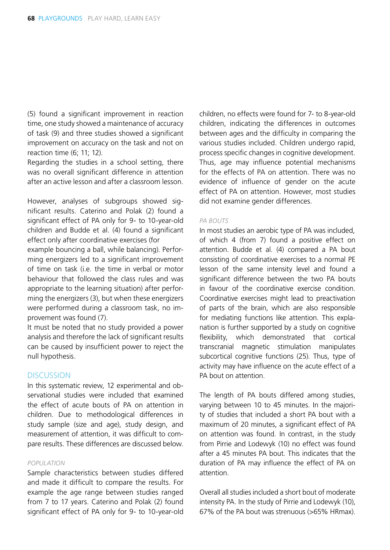(5) found a significant improvement in reaction time, one study showed a maintenance of accuracy of task (9) and three studies showed a significant improvement on accuracy on the task and not on reaction time (6; 11; 12).

Regarding the studies in a school setting, there was no overall significant difference in attention after an active lesson and after a classroom lesson.

However, analyses of subgroups showed significant results. Caterino and Polak (2) found a significant effect of PA only for 9- to 10-year-old children and Budde et al. (4) found a significant effect only after coordinative exercises (for

example bouncing a ball, while balancing). Performing energizers led to a significant improvement of time on task (i.e. the time in verbal or motor behaviour that followed the class rules and was appropriate to the learning situation) after performing the energizers (3), but when these energizers were performed during a classroom task, no improvement was found (7).

It must be noted that no study provided a power analysis and therefore the lack of significant results can be caused by insufficient power to reject the null hypothesis.

## **DISCUSSION**

In this systematic review, 12 experimental and observational studies were included that examined the effect of acute bouts of PA on attention in children. Due to methodological differences in study sample (size and age), study design, and measurement of attention, it was difficult to compare results. These differences are discussed below.

## *POPULATION*

Sample characteristics between studies differed and made it difficult to compare the results. For example the age range between studies ranged from 7 to 17 years. Caterino and Polak (2) found significant effect of PA only for 9- to 10-year-old children, no effects were found for 7- to 8-year-old children, indicating the differences in outcomes between ages and the difficulty in comparing the various studies included. Children undergo rapid, process specific changes in cognitive development. Thus, age may influence potential mechanisms for the effects of PA on attention. There was no evidence of influence of gender on the acute effect of PA on attention. However, most studies did not examine gender differences.

#### *PA BOUTS*

In most studies an aerobic type of PA was included, of which 4 (from 7) found a positive effect on attention. Budde et al. (4) compared a PA bout consisting of coordinative exercises to a normal PE lesson of the same intensity level and found a significant difference between the two PA bouts in favour of the coordinative exercise condition. Coordinative exercises might lead to preactivation of parts of the brain, which are also responsible for mediating functions like attention. This explanation is further supported by a study on cognitive flexibility, which demonstrated that cortical transcranial magnetic stimulation manipulates subcortical cognitive functions (25). Thus, type of activity may have influence on the acute effect of a PA bout on attention.

The length of PA bouts differed among studies, varying between 10 to 45 minutes. In the majority of studies that included a short PA bout with a maximum of 20 minutes, a significant effect of PA on attention was found. In contrast, in the study from Pirrie and Lodewyk (10) no effect was found after a 45 minutes PA bout. This indicates that the duration of PA may influence the effect of PA on attention.

Overall all studies included a short bout of moderate intensity PA. In the study of Pirrie and Lodewyk (10), 67% of the PA bout was strenuous (>65% HRmax).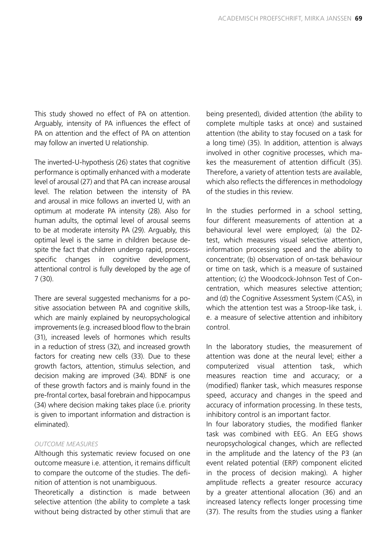This study showed no effect of PA on attention. Arguably, intensity of PA influences the effect of PA on attention and the effect of PA on attention may follow an inverted U relationship.

The inverted-U-hypothesis (26) states that cognitive performance is optimally enhanced with a moderate level of arousal (27) and that PA can increase arousal level. The relation between the intensity of PA and arousal in mice follows an inverted U, with an optimum at moderate PA intensity (28). Also for human adults, the optimal level of arousal seems to be at moderate intensity PA (29). Arguably, this optimal level is the same in children because despite the fact that children undergo rapid, processspecific changes in cognitive development, attentional control is fully developed by the age of 7 (30).

There are several suggested mechanisms for a positive association between PA and cognitive skills, which are mainly explained by neuropsychological improvements (e.g. increased blood flow to the brain (31), increased levels of hormones which results in a reduction of stress (32), and increased growth factors for creating new cells (33). Due to these growth factors, attention, stimulus selection, and decision making are improved (34). BDNF is one of these growth factors and is mainly found in the pre-frontal cortex, basal forebrain and hippocampus (34) where decision making takes place (i.e. priority is given to important information and distraction is eliminated).

## *OUTCOME MEASURES*

Although this systematic review focused on one outcome measure i.e. attention, it remains difficult to compare the outcome of the studies. The definition of attention is not unambiguous.

Theoretically a distinction is made between selective attention (the ability to complete a task without being distracted by other stimuli that are being presented), divided attention (the ability to complete multiple tasks at once) and sustained attention (the ability to stay focused on a task for a long time) (35). In addition, attention is always involved in other cognitive processes, which makes the measurement of attention difficult (35). Therefore, a variety of attention tests are available, which also reflects the differences in methodology of the studies in this review.

In the studies performed in a school setting, four different measurements of attention at a behavioural level were employed; (a) the D2 test, which measures visual selective attention, information processing speed and the ability to concentrate; (b) observation of on-task behaviour or time on task, which is a measure of sustained attention; (c) the Woodcock-Johnson Test of Concentration, which measures selective attention; and (d) the Cognitive Assessment System (CAS), in which the attention test was a Stroop-like task, i. e. a measure of selective attention and inhibitory control.

In the laboratory studies, the measurement of attention was done at the neural level; either a computerized visual attention task, which measures reaction time and accuracy; or a (modified) flanker task, which measures response speed, accuracy and changes in the speed and accuracy of information processing. In these tests, inhibitory control is an important factor.

In four laboratory studies, the modified flanker task was combined with EEG. An EEG shows neuropsychological changes, which are reflected in the amplitude and the latency of the P3 (an event related potential (ERP) component elicited in the process of decision making). A higher amplitude reflects a greater resource accuracy by a greater attentional allocation (36) and an increased latency reflects longer processing time (37). The results from the studies using a flanker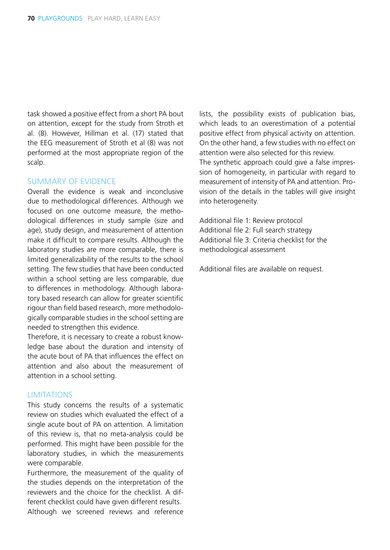task showed a positive effect from a short PA bout on attention, except for the study from Stroth et al. (8). However, Hillman et al. (17) stated that the EEG measurement of Stroth et al (8) was not performed at the most appropriate region of the scalp.

# SUMMARY OF EVIDENCE

Overall the evidence is weak and inconclusive due to methodological differences. Although we focused on one outcome measure, the methodological differences in study sample (size and age), study design, and measurement of attention make it difficult to compare results. Although the laboratory studies are more comparable, there is limited generalizability of the results to the school setting. The few studies that have been conducted within a school setting are less comparable, due to differences in methodology. Although laboratory based research can allow for greater scientific rigour than field based research, more methodologically comparable studies in the school setting are needed to strengthen this evidence.

Therefore, it is necessary to create a robust knowledge base about the duration and intensity of the acute bout of PA that influences the effect on attention and also about the measurement of attention in a school setting.

## LIMITATIONS

This study concerns the results of a systematic review on studies which evaluated the effect of a single acute bout of PA on attention. A limitation of this review is, that no meta-analysis could be performed. This might have been possible for the laboratory studies, in which the measurements were comparable.

Furthermore, the measurement of the quality of the studies depends on the interpretation of the reviewers and the choice for the checklist. A different checklist could have given different results. Although we screened reviews and reference lists, the possibility exists of publication bias, which leads to an overestimation of a potential positive effect from physical activity on attention. On the other hand, a few studies with no effect on attention were also selected for this review. The synthetic approach could give a false impression of homogeneity, in particular with regard to measurement of intensity of PA and attention. Provision of the details in the tables will give insight into heterogeneity.

Additional file 1: Review protocol Additional file 2: Full search strategy Additional file 3: Criteria checklist for the methodological assessment

Additional files are available on request.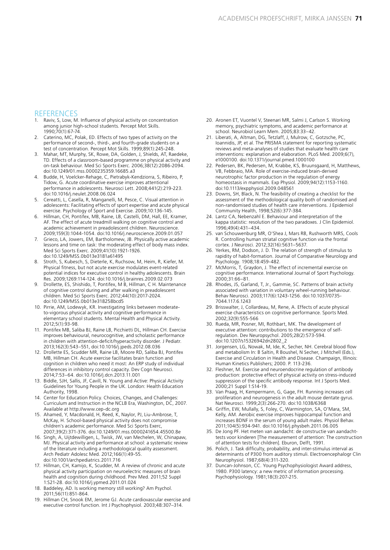#### **REFERENCES**

- Raviv, S, Low, M. Influence of physical activity on concentration among junior high-school students. Percept Mot Skills. 1990;70(1):67-74.
- Caterino, MC, Polak, ED. Effects of two types of activity on the performance of second-, third-, and fourth-grade students on a test of concentration. Percept Mot Skills. 1999;89(1):245-248.
- 3. Mahar, MT, Murphy, SK, Rowe, DA, Golden, J, Shields, AT, Raedeke, TD. Effects of a classroom-based programme on physical activity and on-task behaviour. Med Sci Sports Exerc. 2006;38(12):2086-2094. doi:10.1249/01.mss.0000235359.16685.a3
- 4. Budde, H, Voelcker-Rehage, C, Pietrabyk-Kendziorra, S, Ribeiro, P, Tidow, G. Acute coordinative exercise improves attentional performance in adolescents. Neurosci Lett. 2008;441(2):219-223. doi:10.1016/j.neulet.2008.06.024
- 5. Cereatti, L, Casella, R, Manganelli, M, Pesce, C. Visual attention in adolescents: Facilitating effects of sport expertise and acute physical exercise. Psychology of Sport and Exercise. 2009;10:136-145.
- Hillman, CH, Pontifex, MB, Raine, LB, Castelli, DM, Hall, EE, Kramer, AF. The effect of acute treadmill walking on cognitive control and academic achievement in preadolescent children. Neuroscience. 2009;159(3):1044-1054. doi:10.1016/j.neuroscience.2009.01.057
- 7. Grieco, LA, Jowers, EM, Bartholomew, JB. Physically active academic lessons and time on task: the moderating effect of body mass index. Med Sci Sports Exerc. 2009;41(10):1921-1926. doi:10.1249/MSS.0b013e3181a61495
- 8. Stroth, S, Kubesch, S, Dieterle, K, Ruchsow, M, Heim, R, Kiefer, M. Physical fitness, but not acute exercise modulates event-related potential indices for executive control in healthy adolescents. Brain Res. 2009;1269:114-124. doi:10.1016/j.brainres.2009.02.073
- Drollette, ES, Shishido, T, Pontifex, M B, Hillman, C H. Maintenance of cognitive control during and after walking in preadolescent children. Med Sci Sports Exerc. 2012;44(10):2017-2024. doi:10.1249/MSS.0b013e318258bcd5
- 10. Pirrie, AM, Lodewyk, KR. Investigating links between moderateto-vigorous physical activity and cognitive performance in elementary school students. Mental Health and Physical Activity. 2012;5(1):93-98.
- 11. Pontifex MB, Saliba BJ, Raine LB, Picchietti DL, Hillman CH. Exercise improves behavioural, neurocognitive, and scholastic performance in children with attention-deficit/hyperactivity disorder. J Pediatr. 2013;162(3):543–551, doi:10.1016/j.jpeds.2012.08.036
- 12. Drollette ES, Scudder MR, Raine LB, Moore RD, Saliba BJ, Pontifex MB, Hillman CH. Acute exercise facilitates brain function and cognition in children who need it most: An ERP study of individual differences in inhibitory control capacity. Dev Cogn Neurosci. 2014;7:53–64. doi:10.1016/j.dcn.2013.11.001
- 13. Biddle, SJH, Sallis, JF, Cavill, N. Young and Active: Physical Activity Guidelines for Young People in the UK. London: Health Education Authority, 1998.
- 14. Center for Education Policy. Choices, Changes, and Challenges: Curriculum and Instruction in the NCLB Era, Washington, DC, 2007. Available at http://www.cep-dc.org
- 15. Ahamed, Y, Macdonald, H, Reed, K, Naylor, PJ, Liu-Ambrose, T, McKay, H. School-based physical activity does not compromise children's academic performance. Med Sci Sports Exerc, 2007;39(2):371-376. doi:10.1249/01.mss.0000241654.45500.8e
- 16. Singh, A, Uijtdewilligen, L, Twisk, JW, van Mechelen, W, Chinapaw, MJ. Physical activity and performance at school: a systematic review of the literature including a methodological quality assessment. Arch Pediatr Adolesc Med. 2012;166(1):49-55. doi:10.1001/archpediatrics.2011.716
- 17. Hillman, CH, Kamijo, K, Scudder, M. A review of chronic and acute physical activity participation on neuroelectric measures of brain health and cognition during childhood. Prev Med. 2011;52 Suppl 1:S21-28. doi:10.1016/j.ypmed.2011.01.024
- 18. Baddeley, AD. Is working memory still working? Am Psychol. 2011;56(11):851-864.
- 19. Hillman CH, Snook EM, Jerome GJ. Acute cardiovascular exercise and executive control function. Int J Psychophysiol. 2003;48:307–314.
- 20. Aronen ET, Vuontel V, Steenari MR, Salmi J, Carlson S. Working memory, psychiatric symptoms, and academic performance at school. Neurobiol Learn Mem. 2005;83:33–42.
- 21. Liberati, A, Altman, DG, Tetzlaff, J, Mulrow, C, Gotzsche, PC, Ioannidis, JP, et al. The PRISMA statement for reporting systematic reviews and meta-analyses of studies that evaluate health care interventions: explanation and elaboration. PLoS Med. 2009;6(7), e1000100. doi:10.1371/journal.pmed.1000100
- 22. Pedersen, BK, Pedersen, M, Krabbe, KS, Bruunsgaard, H, Matthews, VB, Febbraio, MA. Role of exercise-induced brain-derived neurotrophic factor production in the regulation of energy homeostasis in mammals. Exp Physiol. 2009;94(12):1153-1160. doi:10.1113/expphysiol.2009.048561
- 23. Downs, SH, Black, N. The feasibility of creating a checklist for the assessment of the methodological quality both of randomised and non-randomised studies of health care interventions. J Epidemiol Community Health, 1998;52(6):377-384.
- 24. Lantz CA, Nebenzahl E. Behaviour and interpretation of the kappa statistic: resolution of the two paradoxes. J Clin Epidemiol. 1996;49(4):431–434.
- 25. van Schouwenburg MR, O'Shea J, Mars RB, Rushworth MRS, Cools R. Controlling human striatal cognitive function via the frontal cortex. J Neurosci. 2012;32(16):5631–5637.
- 26. Yerkes, RM, Dodson, J. D. The relation of strength of stimulus to rapidity of habit-formation. Journal of Comparative Neurology and Psychology. 1908;18:459-482.
- 27. McMorris, T, Graydon, J. The effect of incremental exercise on cognitive performance. International Journal of Sport Psychology. 2000;31:66–81.
- 28. Rhodes, JS, Garland, T, Jr., Gammie, SC. Patterns of brain activity associated with variation in voluntary wheel-running behaviour. Behav Neurosci. 2003;117(6):1243-1256. doi:10.1037/0735- 7044.117.6.1243
- 29. Brisswalter, J, Collardeau, M, Rene, A. Effects of acute physical exercise characteristics on cognitive performance. Sports Med. 2002;32(9):555-566
- 30. Rueda, MR, Posner, MI, Rothbart, MK. The development of executive attention: contributions to the emergence of selfregulation. Dev Neuropsychol. 2005;28(2):573-594. doi:10.1207/s15326942dn2802\_2
- 31. Jorgensen, LG, Nowak, M, Ide, K, Secher, NH. Cerebral blood flow and metabolism In: B Saltin, R Boushel, N Secher, J Mitchell (Eds.), Exercise and Circulation in Health and Disease. Champaign, Illinois: Human Kinetics Publishers; 2000. P. 113-236.
- 32. Fleshner, M. Exercise and neuroendocrine regulation of antibody production: protective effect of physical activity on stress-induced suppression of the specific antibody response. Int J Sports Med. 2000;21 Suppl 1:S14-19.
- 33. Van Praag, H, Kempermann, G, Gage, FH. Running increases cell proliferation and neurogenesis in the adult mouse dentate gyrus. Nat Neurosci. 1999;2(3):266-270. doi:10.1038/6368
- 34. Griffin, EW, Mullally, S, Foley, C, Warmington, SA, O'Mara, SM, Kelly, AM. Aerobic exercise improves hippocampal function and increases BDNF in the serum of young adult males. Physiol Behav. 2011;104(5):934-941. doi:10.1016/j.physbeh.2011.06.005
- 35. De Jong PF. Het meten van aandacht: de constructie van aandachttests voor kinderen [The measurement of attention: The construction of attention tests for children]. Eburon, Delft, 1991.
- 36. Polich, J. Task difficulty, probability, and inter-stimulus interval as determinants of P300 from auditory stimuli. Electroencephalogr Clin Neurophysiol. 1987;68(4):311-320.
- 37. Duncan-Johnson, CC. Young Psychophysiologist Award address, 1980. P300 latency: a new metric of information processing. Psychophysiology. 1981;18(3):207-215.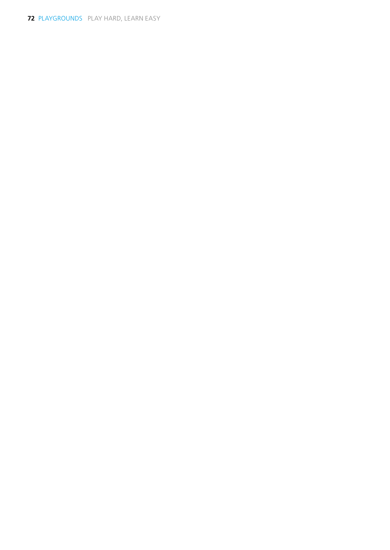# PLAYGROUNDS PLAY HARD, LEARN EASY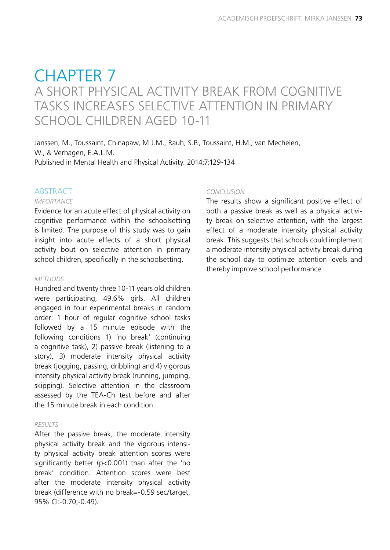# CHAPTER 7 A SHORT PHYSICAL ACTIVITY BREAK FROM COGNITIVE TASKS INCREASES SELECTIVE ATTENTION IN PRIMARY SCHOOL CHILDREN AGED 10-11

Janssen, M., Toussaint, Chinapaw, M.J.M., Rauh, S.P., Toussaint, H.M., van Mechelen, W., & Verhagen, E.A.L.M. Published in Mental Health and Physical Activity. 2014;7:129-134

## ABSTRACT

## *IMPORTANCE*

Evidence for an acute effect of physical activity on cognitive performance within the schoolsetting is limited. The purpose of this study was to gain insight into acute effects of a short physical activity bout on selective attention in primary school children, specifically in the schoolsetting.

## *METHODS*

Hundred and twenty three 10-11 years old children were participating, 49.6% girls. All children engaged in four experimental breaks in random order: 1 hour of regular cognitive school tasks followed by a 15 minute episode with the following conditions 1) 'no break' (continuing a cognitive task), 2) passive break (listening to a story), 3) moderate intensity physical activity break (jogging, passing, dribbling) and 4) vigorous intensity physical activity break (running, jumping, skipping). Selective attention in the classroom assessed by the TEA-Ch test before and after the 15 minute break in each condition.

## *RESULTS*

After the passive break, the moderate intensity physical activity break and the vigorous intensity physical activity break attention scores were significantly better (p<0.001) than after the 'no break' condition. Attention scores were best after the moderate intensity physical activity break (difference with no break=-0.59 sec/target, 95% CI:-0.70;-0.49).

## *CONCLUSION*

The results show a significant positive effect of both a passive break as well as a physical activity break on selective attention, with the largest effect of a moderate intensity physical activity break. This suggests that schools could implement a moderate intensity physical activity break during the school day to optimize attention levels and thereby improve school performance.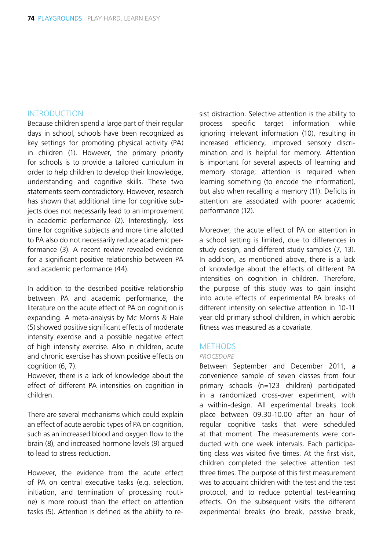## INTRODUCTION

Because children spend a large part of their regular days in school, schools have been recognized as key settings for promoting physical activity (PA) in children (1). However, the primary priority for schools is to provide a tailored curriculum in order to help children to develop their knowledge, understanding and cognitive skills. These two statements seem contradictory. However, research has shown that additional time for cognitive subjects does not necessarily lead to an improvement in academic performance (2). Interestingly, less time for cognitive subjects and more time allotted to PA also do not necessarily reduce academic performance (3). A recent review revealed evidence for a significant positive relationship between PA and academic performance (44).

In addition to the described positive relationship between PA and academic performance, the literature on the acute effect of PA on cognition is expanding. A meta-analysis by Mc Morris & Hale (5) showed positive significant effects of moderate intensity exercise and a possible negative effect of high intensity exercise. Also in children, acute and chronic exercise has shown positive effects on cognition (6, 7).

However, there is a lack of knowledge about the effect of different PA intensities on cognition in children.

There are several mechanisms which could explain an effect of acute aerobic types of PA on cognition, such as an increased blood and oxygen flow to the brain (8), and increased hormone levels (9) argued to lead to stress reduction.

However, the evidence from the acute effect of PA on central executive tasks (e.g. selection, initiation, and termination of processing routine) is more robust than the effect on attention tasks (5). Attention is defined as the ability to resist distraction. Selective attention is the ability to process specific target information while ignoring irrelevant information (10), resulting in increased efficiency, improved sensory discrimination and is helpful for memory. Attention is important for several aspects of learning and memory storage; attention is required when learning something (to encode the information), but also when recalling a memory (11). Deficits in attention are associated with poorer academic performance (12).

Moreover, the acute effect of PA on attention in a school setting is limited, due to differences in study design, and different study samples (7, 13). In addition, as mentioned above, there is a lack of knowledge about the effects of different PA intensities on cognition in children. Therefore, the purpose of this study was to gain insight into acute effects of experimental PA breaks of different intensity on selective attention in 10-11 year old primary school children, in which aerobic fitness was measured as a covariate.

### **METHODS**

#### *PROCEDURE*

Between September and December 2011, a convenience sample of seven classes from four primary schools (n=123 children) participated in a randomized cross-over experiment, with a within-design. All experimental breaks took place between 09.30-10.00 after an hour of regular cognitive tasks that were scheduled at that moment. The measurements were conducted with one week intervals. Each participating class was visited five times. At the first visit, children completed the selective attention test three times. The purpose of this first measurement was to acquaint children with the test and the test protocol, and to reduce potential test-learning effects. On the subsequent visits the different experimental breaks (no break, passive break,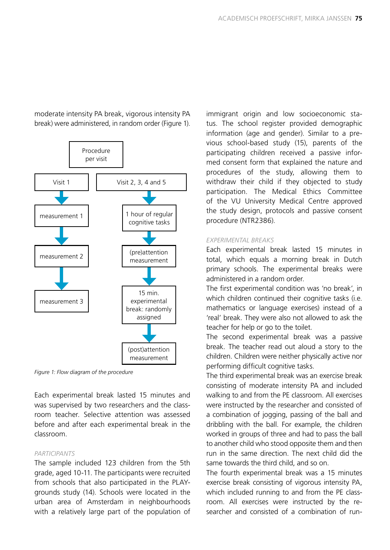moderate intensity PA break, vigorous intensity PA break) were administered, in random order (Figure 1).



*Figure 1: Flow diagram of the procedure*

Each experimental break lasted 15 minutes and was supervised by two researchers and the classroom teacher. Selective attention was assessed before and after each experimental break in the classroom.

## *PARTICIPANTS*

The sample included 123 children from the 5th grade, aged 10-11. The participants were recruited from schools that also participated in the PLAYgrounds study (14). Schools were located in the urban area of Amsterdam in neighbourhoods with a relatively large part of the population of immigrant origin and low socioeconomic status. The school register provided demographic information (age and gender). Similar to a previous school-based study (15), parents of the participating children received a passive informed consent form that explained the nature and procedures of the study, allowing them to withdraw their child if they objected to study participation. The Medical Ethics Committee of the VU University Medical Centre approved the study design, protocols and passive consent procedure (NTR2386).

#### *EXPERIMENTAL BREAKS*

Each experimental break lasted 15 minutes in total, which equals a morning break in Dutch primary schools. The experimental breaks were administered in a random order.

The first experimental condition was 'no break', in which children continued their cognitive tasks (i.e. mathematics or language exercises) instead of a 'real' break. They were also not allowed to ask the teacher for help or go to the toilet.

The second experimental break was a passive break. The teacher read out aloud a story to the children. Children were neither physically active nor performing difficult cognitive tasks.

The third experimental break was an exercise break consisting of moderate intensity PA and included walking to and from the PE classroom. All exercises were instructed by the researcher and consisted of a combination of jogging, passing of the ball and dribbling with the ball. For example, the children worked in groups of three and had to pass the ball to another child who stood opposite them and then run in the same direction. The next child did the same towards the third child, and so on.

The fourth experimental break was a 15 minutes exercise break consisting of vigorous intensity PA, which included running to and from the PE classroom. All exercises were instructed by the researcher and consisted of a combination of run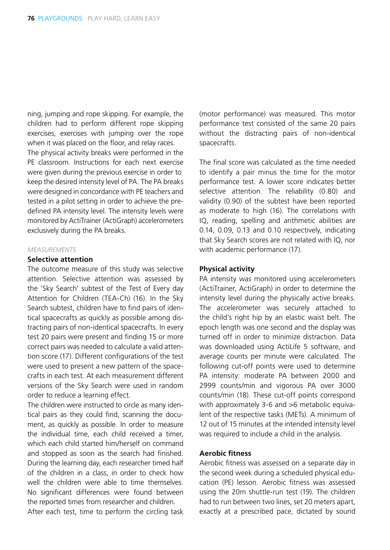ning, jumping and rope skipping. For example, the children had to perform different rope skipping exercises, exercises with jumping over the rope when it was placed on the floor, and relay races. The physical activity breaks were performed in the PE classroom. Instructions for each next exercise were given during the previous exercise in order to keep the desired intensity level of PA. The PA breaks were designed in concordance with PE teachers and tested in a pilot setting in order to achieve the predefined PA intensity level. The intensity levels were monitored by ActiTrainer (ActiGraph) accelerometers exclusively during the PA breaks.

#### *MEASUREMENTS*

## **Selective attention**

The outcome measure of this study was selective attention. Selective attention was assessed by the 'Sky Search' subtest of the Test of Every day Attention for Children (TEA-Ch) (16). In the Sky Search subtest, children have to find pairs of identical spacecrafts as quickly as possible among distracting pairs of non-identical spacecrafts. In every test 20 pairs were present and finding 15 or more correct pairs was needed to calculate a valid attention score (17). Different configurations of the test were used to present a new pattern of the spacecrafts in each test. At each measurement different versions of the Sky Search were used in random order to reduce a learning effect.

The children were instructed to circle as many identical pairs as they could find, scanning the document, as quickly as possible. In order to measure the individual time, each child received a timer, which each child started him/herself on command and stopped as soon as the search had finished. During the learning day, each researcher timed half of the children in a class, in order to check how well the children were able to time themselves. No significant differences were found between the reported times from researcher and children. After each test, time to perform the circling task (motor performance) was measured. This motor performance test consisted of the same 20 pairs without the distracting pairs of non-identical spacecrafts.

The final score was calculated as the time needed to identify a pair minus the time for the motor performance test. A lower score indicates better selective attention. The reliability (0.80) and validity (0.90) of the subtest have been reported as moderate to high (16). The correlations with IQ, reading, spelling and arithmetic abilities are 0.14, 0.09, 0.13 and 0.10 respectively, indicating that Sky Search scores are not related with IQ, nor with academic performance (17).

## **Physical activity**

PA intensity was monitored using accelerometers (ActiTrainer, ActiGraph) in order to determine the intensity level during the physically active breaks. The accelerometer was securely attached to the child's right hip by an elastic waist belt. The epoch length was one second and the display was turned off in order to minimize distraction. Data was downloaded using ActiLife 5 software, and average counts per minute were calculated. The following cut-off points were used to determine PA intensity: moderate PA between 2000 and 2999 counts/min and vigorous PA over 3000 counts/min (18). These cut-off points correspond with approximately 3-6 and >6 metabolic equivalent of the respective tasks (METs). A minimum of 12 out of 15 minutes at the intended intensity level was required to include a child in the analysis.

## **Aerobic fitness**

Aerobic fitness was assessed on a separate day in the second week during a scheduled physical education (PE) lesson. Aerobic fitness was assessed using the 20m shuttle-run test (19). The children had to run between two lines, set 20 meters apart, exactly at a prescribed pace, dictated by sound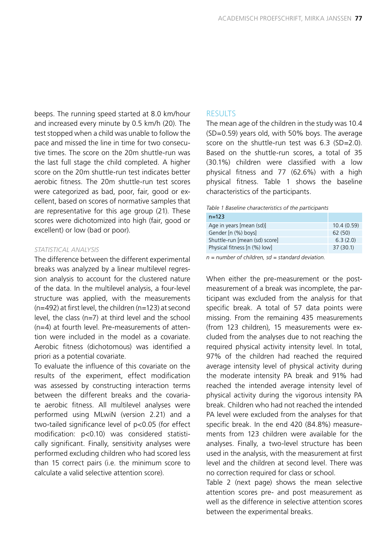beeps. The running speed started at 8.0 km/hour and increased every minute by 0.5 km/h (20). The test stopped when a child was unable to follow the pace and missed the line in time for two consecutive times. The score on the 20m shuttle-run was the last full stage the child completed. A higher score on the 20m shuttle-run test indicates better aerobic fitness. The 20m shuttle-run test scores were categorized as bad, poor, fair, good or excellent, based on scores of normative samples that are representative for this age group (21). These scores were dichotomized into high (fair, good or excellent) or low (bad or poor).

#### *STATISTICAL ANALYSIS*

The difference between the different experimental breaks was analyzed by a linear multilevel regression analysis to account for the clustered nature of the data. In the multilevel analysis, a four-level structure was applied, with the measurements (n=492) at first level, the children (n=123) at second level, the class  $(n=7)$  at third level and the school (n=4) at fourth level. Pre-measurements of attention were included in the model as a covariate. Aerobic fitness (dichotomous) was identified a priori as a potential covariate.

To evaluate the influence of this covariate on the results of the experiment, effect modification was assessed by constructing interaction terms between the different breaks and the covariate aerobic fitness. All multilevel analyses were performed using MLwiN (version 2.21) and a two-tailed significance level of p<0.05 (for effect modification: p<0.10) was considered statistically significant. Finally, sensitivity analyses were performed excluding children who had scored less than 15 correct pairs (i.e. the minimum score to calculate a valid selective attention score).

### RESULTS

The mean age of the children in the study was 10.4 (SD=0.59) years old, with 50% boys. The average score on the shuttle-run test was 6.3 (SD=2.0). Based on the shuttle-run scores, a total of 35 (30.1%) children were classified with a low physical fitness and 77 (62.6%) with a high physical fitness. Table 1 shows the baseline characteristics of the participants.

*Table 1 Baseline characteristics of the participants*

| $n = 123$                     |            |
|-------------------------------|------------|
| Age in years [mean (sd)]      | 10.4(0.59) |
| Gender [n (%) boys]           | 62(50)     |
| Shuttle-run [mean (sd) score] | 6.3(2.0)   |
| Physical fitness [n (%) low]  | 37(30.1)   |

*n = number of children, sd = standard deviation.*

When either the pre-measurement or the postmeasurement of a break was incomplete, the participant was excluded from the analysis for that specific break. A total of 57 data points were missing. From the remaining 435 measurements (from 123 children), 15 measurements were excluded from the analyses due to not reaching the required physical activity intensity level. In total, 97% of the children had reached the required average intensity level of physical activity during the moderate intensity PA break and 91% had reached the intended average intensity level of physical activity during the vigorous intensity PA break. Children who had not reached the intended PA level were excluded from the analyses for that specific break. In the end 420 (84.8%) measurements from 123 children were available for the analyses. Finally, a two-level structure has been used in the analysis, with the measurement at first level and the children at second level. There was no correction required for class or school.

Table 2 (next page) shows the mean selective attention scores pre- and post measurement as well as the difference in selective attention scores between the experimental breaks.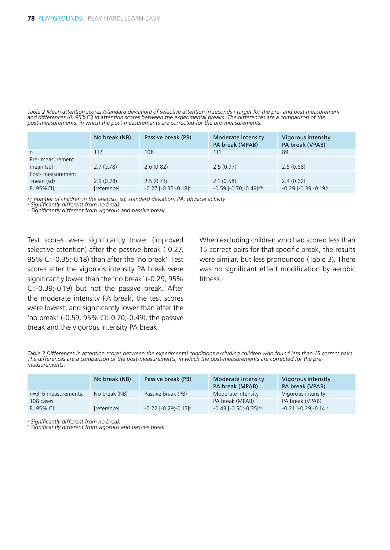*post-measurements, in which the post-measurements are corrected for the pre-measurements.* No break (NB) Passive break (PB) Moderate intensity Vigorous intensity PA break (MPAB) PA break (VPAB)

*Table 2 Mean attention scores (standard deviation) of selective attention in seconds / target for the pre- and post measurement and differences (B; 95%CI) in attention scores between the experimental breaks. The differences are a comparison of the* 

| n                 | 112         | 108                                   |                                         | 89                                         |
|-------------------|-------------|---------------------------------------|-----------------------------------------|--------------------------------------------|
| Pre- measurement  |             |                                       |                                         |                                            |
| mean (sd)         | 2.7(0.78)   | 2.6(0.82)                             | 2.5(0.77)                               | 2.5(0.68)                                  |
| Post- measurement |             |                                       |                                         |                                            |
| mean (sd)         | 2.9(0.78)   | 2.5(0.71)                             | 2.1(0.58)                               | 2.4(0.62)                                  |
| B [95%CI]         | [reference] | $-0.27$ $[-0.35; -0.18]$ <sup>a</sup> | $-0.59$ $[-0.70; -0.49]$ <sup>a/b</sup> | $-0.29$ [ $-0.39$ ; $-0.19$ ] <sup>a</sup> |

*n; number of children in the analysis, sd; standard deviation, PA; physical activity*

*a Significantly different from no break*

*b Significantly different from vigorous and passive break*

Test scores were significantly lower (improved selective attention) after the passive break (-0.27, 95% CI:-0.35;-0.18) than after the 'no break'. Test scores after the vigorous intensity PA break were significantly lower than the 'no break' (-0.29, 95% CI:-0.39;-0.19) but not the passive break. After the moderate intensity PA break, the test scores were lowest, and significantly lower than after the 'no break' (-0.59, 95% CI:-0.70;-0.49), the passive break and the vigorous intensity PA break.

When excluding children who had scored less than 15 correct pairs for that specific break, the results were similar, but less pronounced (Table 3). There was no significant effect modification by aerobic fitness.

*Table 3 Differences in attention scores between the experimental conditions excluding children who found less than 15 correct pairs. The differences are a comparison of the post-measurements, in which the post-measurements are corrected for the premeasurements.* 

|                                | No break (NB) | Passive break (PB)                    | Moderate intensity<br>PA break (MPAB)                      | Vigorous intensity<br>PA break (VPAB)                         |
|--------------------------------|---------------|---------------------------------------|------------------------------------------------------------|---------------------------------------------------------------|
| n=316 measurements;            | No break (NB) | Passive break (PB)                    | Moderate intensity                                         | Vigorous intensity                                            |
| 108 cases<br><b>B</b> [95% CI] | [reference]   | $-0.22$ $[-0.29; -0.15]$ <sup>a</sup> | PA break (MPAB)<br>$-0.43$ $[-0.50; -0.35]$ <sup>a/b</sup> | PA break (VPAB)<br>$-0.21$ [ $-0.29$ : $-0.14$ ] <sup>a</sup> |

*a Significantly different from no break*

*b Significantly different from vigorous and passive break*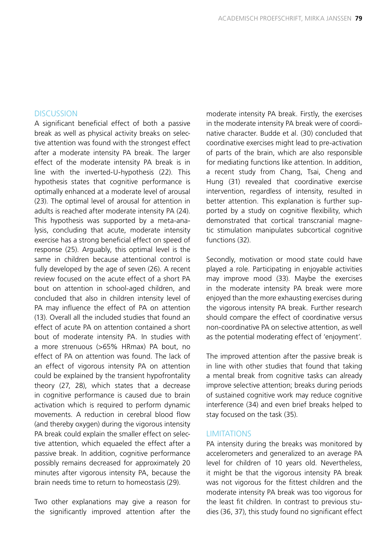## **DISCUSSION**

A significant beneficial effect of both a passive break as well as physical activity breaks on selective attention was found with the strongest effect after a moderate intensity PA break. The larger effect of the moderate intensity PA break is in line with the inverted-U-hypothesis (22). This hypothesis states that cognitive performance is optimally enhanced at a moderate level of arousal (23). The optimal level of arousal for attention in adults is reached after moderate intensity PA (24). This hypothesis was supported by a meta-analysis, concluding that acute, moderate intensity exercise has a strong beneficial effect on speed of response (25). Arguably, this optimal level is the same in children because attentional control is fully developed by the age of seven (26). A recent review focused on the acute effect of a short PA bout on attention in school-aged children, and concluded that also in children intensity level of PA may influence the effect of PA on attention (13). Overall all the included studies that found an effect of acute PA on attention contained a short bout of moderate intensity PA. In studies with a more strenuous (>65% HRmax) PA bout, no effect of PA on attention was found. The lack of an effect of vigorous intensity PA on attention could be explained by the transient hypofrontality theory (27, 28), which states that a decrease in cognitive performance is caused due to brain activation which is required to perform dynamic movements. A reduction in cerebral blood flow (and thereby oxygen) during the vigorous intensity PA break could explain the smaller effect on selective attention, which equaeled the effect after a passive break. In addition, cognitive performance possibly remains decreased for approximately 20 minutes after vigorous intensity PA, because the brain needs time to return to homeostasis (29).

Two other explanations may give a reason for the significantly improved attention after the moderate intensity PA break. Firstly, the exercises in the moderate intensity PA break were of coordinative character. Budde et al. (30) concluded that coordinative exercises might lead to pre-activation of parts of the brain, which are also responsible for mediating functions like attention. In addition, a recent study from Chang, Tsai, Cheng and Hung (31) revealed that coordinative exercise intervention, regardless of intensity, resulted in better attention. This explanation is further supported by a study on cognitive flexibility, which demonstrated that cortical transcranial magnetic stimulation manipulates subcortical cognitive functions (32).

Secondly, motivation or mood state could have played a role. Participating in enjoyable activities may improve mood (33). Maybe the exercises in the moderate intensity PA break were more enjoyed than the more exhausting exercises during the vigorous intensity PA break. Further research should compare the effect of coordinative versus non-coordinative PA on selective attention, as well as the potential moderating effect of 'enjoyment'.

The improved attention after the passive break is in line with other studies that found that taking a mental break from cognitive tasks can already improve selective attention; breaks during periods of sustained cognitive work may reduce cognitive interference (34) and even brief breaks helped to stay focused on the task (35).

#### LIMITATIONS

PA intensity during the breaks was monitored by accelerometers and generalized to an average PA level for children of 10 years old. Nevertheless, it might be that the vigorous intensity PA break was not vigorous for the fittest children and the moderate intensity PA break was too vigorous for the least fit children. In contrast to previous studies (36, 37), this study found no significant effect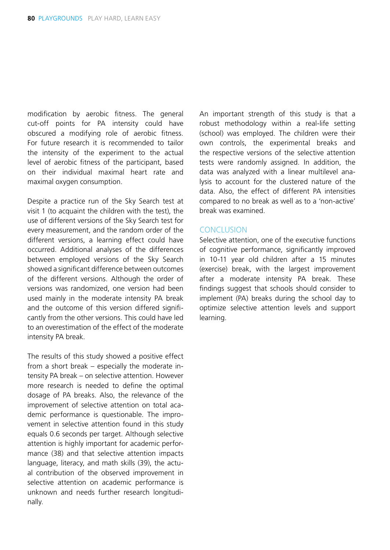modification by aerobic fitness. The general cut-off points for PA intensity could have obscured a modifying role of aerobic fitness. For future research it is recommended to tailor the intensity of the experiment to the actual level of aerobic fitness of the participant, based on their individual maximal heart rate and maximal oxygen consumption.

Despite a practice run of the Sky Search test at visit 1 (to acquaint the children with the test), the use of different versions of the Sky Search test for every measurement, and the random order of the different versions, a learning effect could have occurred. Additional analyses of the differences between employed versions of the Sky Search showed a significant difference between outcomes of the different versions. Although the order of versions was randomized, one version had been used mainly in the moderate intensity PA break and the outcome of this version differed significantly from the other versions. This could have led to an overestimation of the effect of the moderate intensity PA break.

The results of this study showed a positive effect from a short break – especially the moderate intensity PA break – on selective attention. However more research is needed to define the optimal dosage of PA breaks. Also, the relevance of the improvement of selective attention on total academic performance is questionable. The improvement in selective attention found in this study equals 0.6 seconds per target. Although selective attention is highly important for academic performance (38) and that selective attention impacts language, literacy, and math skills (39), the actual contribution of the observed improvement in selective attention on academic performance is unknown and needs further research longitudinally.

An important strength of this study is that a robust methodology within a real-life setting (school) was employed. The children were their own controls, the experimental breaks and the respective versions of the selective attention tests were randomly assigned. In addition, the data was analyzed with a linear multilevel analysis to account for the clustered nature of the data. Also, the effect of different PA intensities compared to no break as well as to a 'non-active' break was examined.

## **CONCLUSION**

Selective attention, one of the executive functions of cognitive performance, significantly improved in 10-11 year old children after a 15 minutes (exercise) break, with the largest improvement after a moderate intensity PA break. These findings suggest that schools should consider to implement (PA) breaks during the school day to optimize selective attention levels and support learning.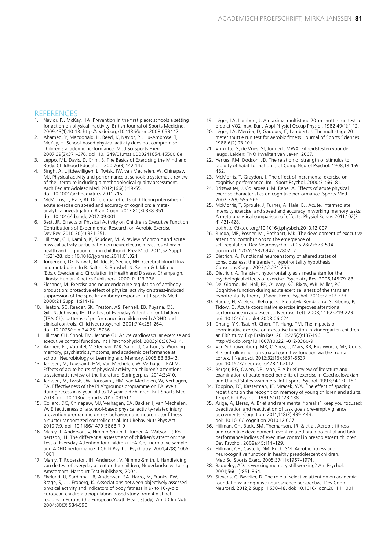#### **REFERENCES**

- 1. Naylor, PJ, McKay, HA. Prevention in the first place: schools a setting for action on physical inactivity. British Journal of Sports Medicine. 2009;43(1):10-13. http://dx.doi.org/10.1136/bjsm.2008.053447
- Ahamed, Y, Macdonald, H, Reed, K, Naylor, PJ, Liu-Ambrose, T, McKay, H. School-based physical activity does not compromise children's academic performance. Med Sci Sports Exerc. 2007;39(2):371-376. doi: 10.1249/01.mss.0000241654.45500.8e
- 3. Leppo, ML, Davis, D, Crim, B. The Basics of Exercising the Mind and Body. Childhood Education. 200;76(3):142-147.
- Singh, A, Uijtdewilligen, L, Twisk, JW, van Mechelen, W, Chinapaw, MJ. Physical activity and performance at school: a systematic review of the literature including a methodological quality assessment. Arch Pediatr Adolesc Med. 2012;166(1):49-55. doi: 10.1001/archpediatrics.2011.716
- 5. McMorris, T, Hale, BJ. Differential effects of differing intensities of acute exercise on speed and accuracy of cognition: a metaanalytical investigation. Brain Cogn. 2012;80(3):338-351. doi: 10.1016/j.bandc.2012.09.001
- 6. Best, JR. Effects of Physical Activity on Children's Executive Function: Contributions of Experimental Research on Aerobic Exercise. Dev Rev. 2010;30(4):331-551.
- 7. Hillman, CH, Kamijo, K, Scudder, M. A review of chronic and acute physical activity participation on neuroelectric measures of brain health and cognition during childhood. Prev Med. 2011;52 Suppl 1:S21-28. doi: 10.1016/j.ypmed.2011.01.024
- 8. Jorgensen, LG, Nowak, M, Ide, K, Secher, NH. Cerebral blood flow and metabolism In B. Saltin, R. Boushel, N. Secher & J. Mitchell (Eds.), Exercise and Circulation in Health and Disease. Champaign, Illinois: Human Kinetics Publishers, 2000. P. 113-236.
- 9. Fleshner, M. Exercise and neuroendocrine regulation of antibody production: protective effect of physical activity on stress-induced suppression of the specific antibody response. Int J Sports Med. 2000;21 Suppl 1:S14-19.
- 10. Heaton, SC, Reader, SK, Preston, AS, Fennell, EB, Puyana, OE, Gill, N, Johnson, JH. The Test of Everyday Attention for Children (TEA-Ch): patterns of performance in children with ADHD and clinical controls. Child Neuropsychol. 2001;7(4):251-264. doi: 10.1076/chin.7.4.251.8736
- 11. Hillman CH, Snook EM, Jerome GJ. Acute cardiovascular exercise and executive control function. Int J Psychophysiol. 2003;48:307–314.
- 12. Aronen, ET, Vuontel, V, Steenari, MR, Salmi, J, Carlson, S. Working memory, psychiatric symptoms, and academic performance at school. Neurobiology of Learning and Memory. 2005;83:33-42.
- 13. Janssen, M, Toussaint, HM, Van Mechelen, W, Verhagen, EALM. Effects of acute bouts of physical activity on children's attention: a systematic review of the literature. Springerplus. 2014;3:410.
- 14. Janssen, M, Twisk, JW, Toussaint, HM, van Mechelen, W, Verhagen, EA. Effectiveness of the PLAYgrounds programme on PA levels during recess in 6-year-old to 12-year-old children. Br J Sports Med. 2013. doi: 10.1136/bjsports-2012-091517
- 15. Collard, DC, Chinapaw, MJ, Verhagen, EA, Bakker, I, van Mechelen, W. Effectiveness of a school-based physical activity-related injury prevention programme on risk behaviour and neuromotor fitness a cluster randomized controlled trial. Int J Behav Nutr Phys Act. 2010;7:9. doi: 10.1186/1479-5868-7-9
- 16. Manly, T, Anderson, V, Nimmo-Smith, I, Turner, A, Watson, P, Robertson, IH. The differential assessment of children's attention: the Test of Everyday Attention for Children (TEA-Ch), normative sample and ADHD performance. J Child Psychol Psychiatry. 2001;42(8):1065- 1081.
- 17. Manly, T, Roberston, IH, Anderson, V, Nimmo-Smith, I. Handleiding van de test of everyday attention for children, Nederlandse vertaling Amsterdam: Harcourt Test Publishers, 2004.
- 18. Ekelund, U, Sardinha, LB, Anderssen, SA, Harro, M, Franks, PW, Brage, S, . . . Froberg, K. Associations between objectively assessed physical activity and indicators of body fatness in 9- to 10-y-old European children: a population-based study from 4 distinct regions in Europe (the European Youth Heart Study). Am J Clin Nutr. 2004;80(3):584-590.
- 19. Léger, LA, Lambert, J. A maximal multistage 20-m shuttle run test to predict VO2 max. Eur J Appl Physiol Occup Physiol. 1982;49(1):1-12.
- 20. Léger, LA, Mercier, D, Gadoury, C, Lambert, J. The multistage 20 meter shuttle run test for aerobic fitness. Journal of Sports Sciences. 1988;6(2):93-101.
- 21. Vrijkotte, S, de Vries, SI, Jongert, MWA. Fitheidstesten voor de jeugd. Leiden: TNO Kwaliteit van Leven, 2007.
- 22. Yerkes, RM, Dodson, JD. The relation of strength of stimulus to rapidity of habit-formation. J of Comp Neurol Psychol. 1908;18:459- 482.
- 23. McMorris, T, Graydon, J. The effect of incremental exercise on cognitive performance. Int J Sport Psychol. 2000;31:66–81.
- 24. Brisswalter, J, Collardeau, M, Rene, A. Effects of acute physical exercise characteristics on cognitive performance. Sports Med. 2002;32(9):555-566.
- 25. McMorris, T, Sproule, J, Turner, A, Hale, BJ. Acute, intermediate intensity exercise, and speed and accuracy in working memory tasks: A meta-analytical comparison of effects. Physiol Behav. 2011;102(3- 4):421-428. doi:http://dx.doi.org/10.1016/j.physbeh.2010.12.007
- 26. Rueda, MR, Posner, MI, Rothbart, MK. The development of executive attention: contributions to the emergence of self-regulation. Dev Neuropsychol. 2005;28(2):573-594. doi:org/10.1207/s15326942dn2802\_2
- 27. Dietrich, A. Functional neuroanatomy of altered states of consciousness: the transient hypofrontality hypothesis. Conscious Cogn. 2003;12:231-256.
- 28. Dietrich, A. Transient hypofrontality as a mechanism for the psychological effects of exercise. Psychiatry Res. 2006;145:79-83.
- 29. Del Giorno, JM, Hall, EE, O'Leary, KC, Bixby, WR, Miller, PC. Cognitive function during acute exercise: a test of the transient hypofrontality theory. J Sport Exerc Psychol. 2010;32:312-323.
- 30. Budde, H, Voelcker-Rehage, C, Pietrabyk-Kendziorra, S, Ribeiro, P, Tidow, G. Acute coordinative exercise improves attentional performance in adolescents. Neurosci Lett. 2008;441(2):219-223. doi: 10.1016/j.neulet.2008.06.024
- 31. Chang, YK, Tsai, YJ, Chen, TT, Hung, TM. The impacts of coordinative exercise on executive function in kindergarten children: an ERP study. Exp Brain Res. 2013;225(2):187-196. http://dx.doi.org/10.1007/s00221-012-3360-9
- 32. Van Schouwenburg, MR, O'Shea, J, Mars, RB, Rushworth, MF, Cools, R. Controlling human striatal cognitive function via the frontal cortex. J Neurosci. 2012;32(16):5631-5637. doi: 10.1523/jneurosci.6428-11.2012
- 33. Berger, BG, Owen, DR, Man, F. A brief review of literature and examination of acute mood benefits of exercise in Czechoslovakian and United States swimmers. Int J Sport Psychol. 1993;24:130-150.
- 34. Toppino, TC, Kasserman, JE, Mracek, WA. The effect of spacing repetitions on the recognition memory of young children and adults. J Exp Child Psychol. 1991;51(1):123-138.
- 35. Ariga, A, Lleras, A. Brief and rare mental "breaks" keep you focused: deactivation and reactivation of task goals pre-empt vigilance decrements. Cognition. 2011;118(3):439-443. doi: 10.1016/j.cognition.2010.12.007
- 36. Hillman, CH, Buck, SM, Themanson, JR, & et al. Aerobic fitness and cognitive development: event-related brain potential and task performance indices of executive control in preadolescent children. Dev Psychol. 2009a;45:114–129.
- 37. Hillman, CH, Castelli, DM, Buck, SM. Aerobic fitness and neurocognitive function in healthy preadolescent children. Med Sci Sports Exerc. 2005;37(11):1967–1974.
- 38. Baddeley, AD. Is working memory still working? Am Psychol. 2001;56(11):851-864.
- Stevens, C, Bavelier, D. The role of selective attention on academic foundations: a cognitive neuroscience perspective. Dev Cogn Neurosci. 2012;2 Suppl 1:S30-48. doi: 10.1016/j.dcn.2011.11.001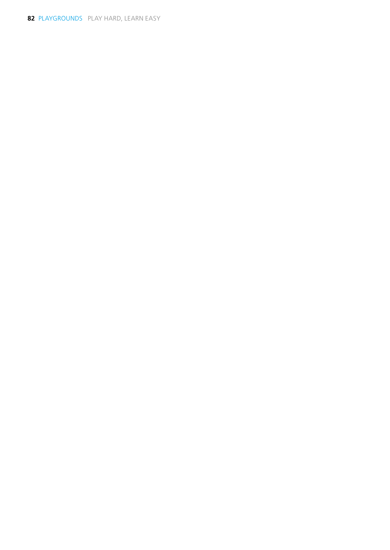# PLAYGROUNDS PLAY HARD, LEARN EASY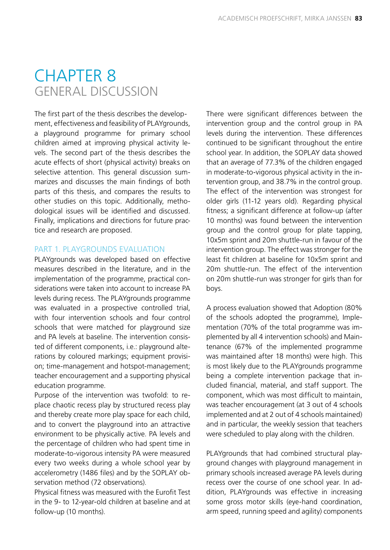# CHAPTER 8 GENERAL DISCUSSION

The first part of the thesis describes the development, effectiveness and feasibility of PLAYgrounds, a playground programme for primary school children aimed at improving physical activity levels. The second part of the thesis describes the acute effects of short (physical activity) breaks on selective attention. This general discussion summarizes and discusses the main findings of both parts of this thesis, and compares the results to other studies on this topic. Additionally, methodological issues will be identified and discussed. Finally, implications and directions for future practice and research are proposed.

## PART 1. PLAYGROUNDS EVALUATION

PLAYgrounds was developed based on effective measures described in the literature, and in the implementation of the programme, practical considerations were taken into account to increase PA levels during recess. The PLAYgrounds programme was evaluated in a prospective controlled trial, with four intervention schools and four control schools that were matched for playground size and PA levels at baseline. The intervention consisted of different components, i.e.: playground alterations by coloured markings; equipment provision; time-management and hotspot-management; teacher encouragement and a supporting physical education programme.

Purpose of the intervention was twofold: to replace chaotic recess play by structured recess play and thereby create more play space for each child, and to convert the playground into an attractive environment to be physically active. PA levels and the percentage of children who had spent time in moderate-to-vigorous intensity PA were measured every two weeks during a whole school year by accelerometry (1486 files) and by the SOPLAY observation method (72 observations).

Physical fitness was measured with the Eurofit Test in the 9- to 12-year-old children at baseline and at follow-up (10 months).

There were significant differences between the intervention group and the control group in PA levels during the intervention. These differences continued to be significant throughout the entire school year. In addition, the SOPLAY data showed that an average of 77.3% of the children engaged in moderate-to-vigorous physical activity in the intervention group, and 38.7% in the control group. The effect of the intervention was strongest for older girls (11-12 years old). Regarding physical fitness; a significant difference at follow-up (after 10 months) was found between the intervention group and the control group for plate tapping, 10x5m sprint and 20m shuttle-run in favour of the intervention group. The effect was stronger for the least fit children at baseline for 10x5m sprint and 20m shuttle-run. The effect of the intervention on 20m shuttle-run was stronger for girls than for boys.

A process evaluation showed that Adoption (80% of the schools adopted the programme), Implementation (70% of the total programme was implemented by all 4 intervention schools) and Maintenance (67% of the implemented programme was maintained after 18 months) were high. This is most likely due to the PLAYgrounds programme being a complete intervention package that included financial, material, and staff support. The component, which was most difficult to maintain, was teacher encouragement (at 3 out of 4 schools implemented and at 2 out of 4 schools maintained) and in particular, the weekly session that teachers were scheduled to play along with the children.

PLAYgrounds that had combined structural playground changes with playground management in primary schools increased average PA levels during recess over the course of one school year. In addition, PLAYgrounds was effective in increasing some gross motor skills (eye-hand coordination, arm speed, running speed and agility) components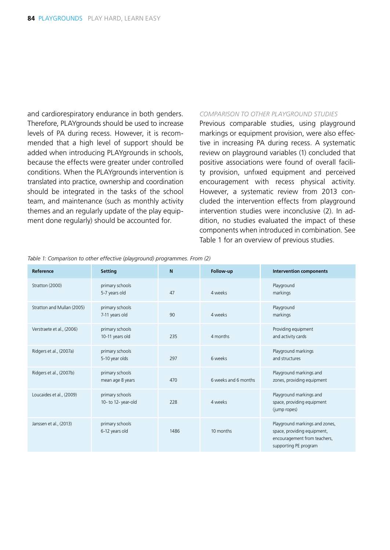and cardiorespiratory endurance in both genders. Therefore, PLAYgrounds should be used to increase levels of PA during recess. However, it is recommended that a high level of support should be added when introducing PLAYgrounds in schools, because the effects were greater under controlled conditions. When the PLAYgrounds intervention is translated into practice, ownership and coordination should be integrated in the tasks of the school team, and maintenance (such as monthly activity themes and an regularly update of the play equipment done regularly) should be accounted for.

#### *COMPARISON TO OTHER PLAYGROUND STUDIES*

Previous comparable studies, using playground markings or equipment provision, were also effective in increasing PA during recess. A systematic review on playground variables (1) concluded that positive associations were found of overall facility provision, unfıxed equipment and perceived encouragement with recess physical activity. However, a systematic review from 2013 concluded the intervention effects from playground intervention studies were inconclusive (2). In addition, no studies evaluated the impact of these components when introduced in combination. See Table 1 for an overview of previous studies.

| Reference                  | <b>Setting</b>                         | N    | Follow-up            | <b>Intervention components</b>                                                                                         |
|----------------------------|----------------------------------------|------|----------------------|------------------------------------------------------------------------------------------------------------------------|
| Stratton (2000)            | primary schools<br>5-7 years old       | 47   | 4 weeks              | Playground<br>markings                                                                                                 |
| Stratton and Mullan (2005) | primary schools<br>7-11 years old      | 90   | 4 weeks              | Playground<br>markings                                                                                                 |
| Verstraete et al., (2006)  | primary schools<br>10-11 years old     | 235  | 4 months             | Providing equipment<br>and activity cards                                                                              |
| Ridgers et al., (2007a)    | primary schools<br>5-10 year olds      | 297  | 6 weeks              | Playground markings<br>and structures                                                                                  |
| Ridgers et al., (2007b)    | primary schools<br>mean age 8 years    | 470  | 6 weeks and 6 months | Playground markings and<br>zones, providing equipment                                                                  |
| Loucaides et al., (2009)   | primary schools<br>10- to 12- year-old | 228  | 4 weeks              | Playground markings and<br>space, providing equipment<br>(jump ropes)                                                  |
| Janssen et al., (2013)     | primary schools<br>6-12 years old      | 1486 | 10 months            | Playground markings and zones,<br>space, providing equipment,<br>encouragement from teachers,<br>supporting PE program |

#### *Table 1: Comparison to other effective (playground) programmes. From (2)*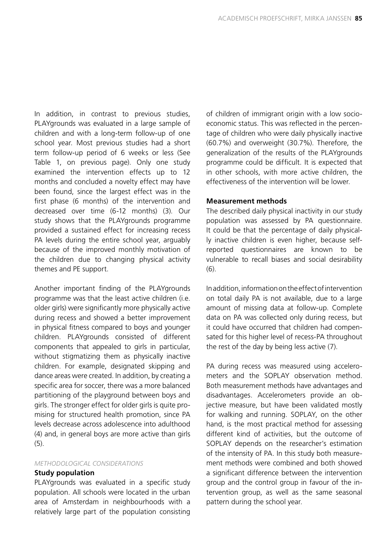In addition, in contrast to previous studies, PLAYgrounds was evaluated in a large sample of children and with a long-term follow-up of one school year. Most previous studies had a short term follow-up period of 6 weeks or less (See Table 1, on previous page). Only one study examined the intervention effects up to 12 months and concluded a novelty effect may have been found, since the largest effect was in the first phase (6 months) of the intervention and decreased over time (6-12 months) (3). Our study shows that the PLAYgrounds programme provided a sustained effect for increasing recess PA levels during the entire school year, arguably because of the improved monthly motivation of the children due to changing physical activity themes and PE support.

Another important finding of the PLAYgrounds programme was that the least active children (i.e. older girls) were significantly more physically active during recess and showed a better improvement in physical fitness compared to boys and younger children. PLAYgrounds consisted of different components that appealed to girls in particular, without stigmatizing them as physically inactive children. For example, designated skipping and dance areas were created. In addition, by creating a specific area for soccer, there was a more balanced partitioning of the playground between boys and girls. The stronger effect for older girls is quite promising for structured health promotion, since PA levels decrease across adolescence into adulthood (4) and, in general boys are more active than girls (5).

## *METHODOLOGICAL CONSIDERATIONS*

## **Study population**

PLAYgrounds was evaluated in a specific study population. All schools were located in the urban area of Amsterdam in neighbourhoods with a relatively large part of the population consisting of children of immigrant origin with a low socioeconomic status. This was reflected in the percentage of children who were daily physically inactive (60.7%) and overweight (30.7%). Therefore, the generalization of the results of the PLAYgrounds programme could be difficult. It is expected that in other schools, with more active children, the effectiveness of the intervention will be lower.

## **Measurement methods**

The described daily physical inactivity in our study population was assessed by PA questionnaire. It could be that the percentage of daily physically inactive children is even higher, because selfreported questionnaires are known to be vulnerable to recall biases and social desirability (6).

In addition, information on the effect of intervention on total daily PA is not available, due to a large amount of missing data at follow-up. Complete data on PA was collected only during recess, but it could have occurred that children had compensated for this higher level of recess-PA throughout the rest of the day by being less active (7).

PA during recess was measured using accelerometers and the SOPLAY observation method. Both measurement methods have advantages and disadvantages. Accelerometers provide an objective measure, but have been validated mostly for walking and running. SOPLAY, on the other hand, is the most practical method for assessing different kind of activities, but the outcome of SOPLAY depends on the researcher's estimation of the intensity of PA. In this study both measurement methods were combined and both showed a significant difference between the intervention group and the control group in favour of the intervention group, as well as the same seasonal pattern during the school year.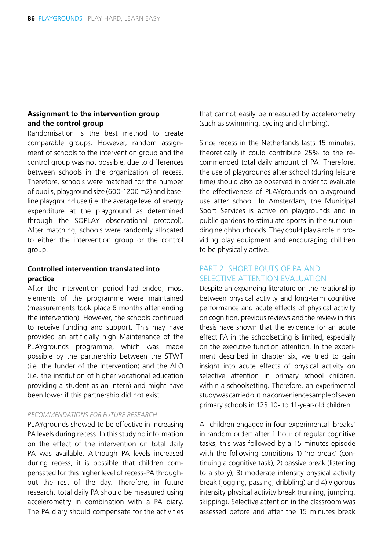## **Assignment to the intervention group and the control group**

Randomisation is the best method to create comparable groups. However, random assignment of schools to the intervention group and the control group was not possible, due to differences between schools in the organization of recess. Therefore, schools were matched for the number of pupils, playground size (600-1200 m2) and baseline playground use (i.e. the average level of energy expenditure at the playground as determined through the SOPLAY observational protocol). After matching, schools were randomly allocated to either the intervention group or the control group.

## **Controlled intervention translated into practice**

After the intervention period had ended, most elements of the programme were maintained (measurements took place 6 months after ending the intervention). However, the schools continued to receive funding and support. This may have provided an artificially high Maintenance of the PLAYgrounds programme, which was made possible by the partnership between the STWT (i.e. the funder of the intervention) and the ALO (i.e. the institution of higher vocational education providing a student as an intern) and might have been lower if this partnership did not exist.

## *RECOMMENDATIONS FOR FUTURE RESEARCH*

PLAYgrounds showed to be effective in increasing PA levels during recess. In this study no information on the effect of the intervention on total daily PA was available. Although PA levels increased during recess, it is possible that children compensated for this higher level of recess-PA throughout the rest of the day. Therefore, in future research, total daily PA should be measured using accelerometry in combination with a PA diary. The PA diary should compensate for the activities that cannot easily be measured by accelerometry (such as swimming, cycling and climbing).

Since recess in the Netherlands lasts 15 minutes, theoretically it could contribute 25% to the recommended total daily amount of PA. Therefore, the use of playgrounds after school (during leisure time) should also be observed in order to evaluate the effectiveness of PLAYgrounds on playground use after school. In Amsterdam, the Municipal Sport Services is active on playgrounds and in public gardens to stimulate sports in the surrounding neighbourhoods. They could play a role in providing play equipment and encouraging children to be physically active.

## PART 2. SHORT BOUTS OF PA AND SELECTIVE ATTENTION EVALUATION

Despite an expanding literature on the relationship between physical activity and long-term cognitive performance and acute effects of physical activity on cognition, previous reviews and the review in this thesis have shown that the evidence for an acute effect PA in the schoolsetting is limited, especially on the executive function attention. In the experiment described in chapter six, we tried to gain insight into acute effects of physical activity on selective attention in primary school children, within a schoolsetting. Therefore, an experimental study was carried out in a convenience sample of seven primary schools in 123 10- to 11-year-old children.

All children engaged in four experimental 'breaks' in random order: after 1 hour of regular cognitive tasks, this was followed by a 15 minutes episode with the following conditions 1) 'no break' (continuing a cognitive task), 2) passive break (listening to a story), 3) moderate intensity physical activity break (jogging, passing, dribbling) and 4) vigorous intensity physical activity break (running, jumping, skipping). Selective attention in the classroom was assessed before and after the 15 minutes break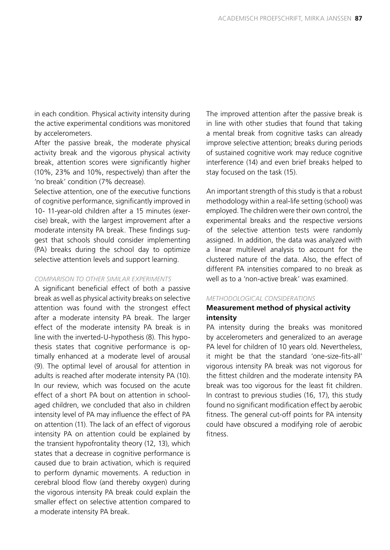in each condition. Physical activity intensity during the active experimental conditions was monitored by accelerometers.

After the passive break, the moderate physical activity break and the vigorous physical activity break, attention scores were significantly higher (10%, 23% and 10%, respectively) than after the 'no break' condition (7% decrease).

Selective attention, one of the executive functions of cognitive performance, significantly improved in 10- 11-year-old children after a 15 minutes (exercise) break, with the largest improvement after a moderate intensity PA break. These findings suggest that schools should consider implementing (PA) breaks during the school day to optimize selective attention levels and support learning.

#### *COMPARISON TO OTHER SIMILAR EXPERIMENTS*

A significant beneficial effect of both a passive break as well as physical activity breaks on selective attention was found with the strongest effect after a moderate intensity PA break. The larger effect of the moderate intensity PA break is in line with the inverted-U-hypothesis (8). This hypothesis states that cognitive performance is optimally enhanced at a moderate level of arousal (9). The optimal level of arousal for attention in adults is reached after moderate intensity PA (10). In our review, which was focused on the acute effect of a short PA bout on attention in schoolaged children, we concluded that also in children intensity level of PA may influence the effect of PA on attention (11). The lack of an effect of vigorous intensity PA on attention could be explained by the transient hypofrontality theory (12, 13), which states that a decrease in cognitive performance is caused due to brain activation, which is required to perform dynamic movements. A reduction in cerebral blood flow (and thereby oxygen) during the vigorous intensity PA break could explain the smaller effect on selective attention compared to a moderate intensity PA break.

The improved attention after the passive break is in line with other studies that found that taking a mental break from cognitive tasks can already improve selective attention; breaks during periods of sustained cognitive work may reduce cognitive interference (14) and even brief breaks helped to stay focused on the task (15).

An important strength of this study is that a robust methodology within a real-life setting (school) was employed. The children were their own control, the experimental breaks and the respective versions of the selective attention tests were randomly assigned. In addition, the data was analyzed with a linear multilevel analysis to account for the clustered nature of the data. Also, the effect of different PA intensities compared to no break as well as to a 'non-active break' was examined.

#### *METHODOLOGICAL CONSIDERATIONS*

## **Measurement method of physical activity intensity**

PA intensity during the breaks was monitored by accelerometers and generalized to an average PA level for children of 10 years old. Nevertheless, it might be that the standard 'one-size-fits-all' vigorous intensity PA break was not vigorous for the fittest children and the moderate intensity PA break was too vigorous for the least fit children. In contrast to previous studies (16, 17), this study found no significant modification effect by aerobic fitness. The general cut-off points for PA intensity could have obscured a modifying role of aerobic fitness.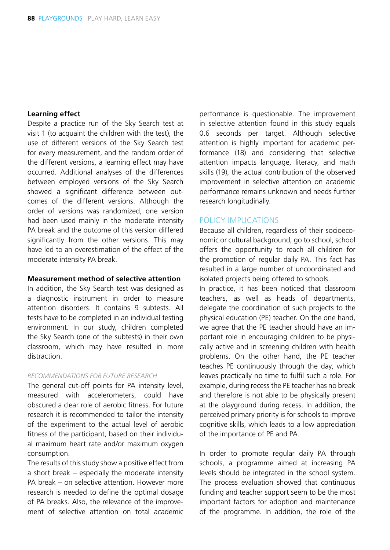## **Learning effect**

Despite a practice run of the Sky Search test at visit 1 (to acquaint the children with the test), the use of different versions of the Sky Search test for every measurement, and the random order of the different versions, a learning effect may have occurred. Additional analyses of the differences between employed versions of the Sky Search showed a significant difference between outcomes of the different versions. Although the order of versions was randomized, one version had been used mainly in the moderate intensity PA break and the outcome of this version differed significantly from the other versions. This may have led to an overestimation of the effect of the moderate intensity PA break.

## **Measurement method of selective attention**

In addition, the Sky Search test was designed as a diagnostic instrument in order to measure attention disorders. It contains 9 subtests. All tests have to be completed in an individual testing environment. In our study, children completed the Sky Search (one of the subtests) in their own classroom, which may have resulted in more distraction.

## *RECOMMENDATIONS FOR FUTURE RESEARCH*

The general cut-off points for PA intensity level, measured with accelerometers, could have obscured a clear role of aerobic fitness. For future research it is recommended to tailor the intensity of the experiment to the actual level of aerobic fitness of the participant, based on their individual maximum heart rate and/or maximum oxygen consumption.

The results of this study show a positive effect from a short break – especially the moderate intensity PA break – on selective attention. However more research is needed to define the optimal dosage of PA breaks. Also, the relevance of the improvement of selective attention on total academic performance is questionable. The improvement in selective attention found in this study equals 0.6 seconds per target. Although selective attention is highly important for academic performance (18) and considering that selective attention impacts language, literacy, and math skills (19), the actual contribution of the observed improvement in selective attention on academic performance remains unknown and needs further research longitudinally.

## POLICY IMPLICATIONS

Because all children, regardless of their socioeconomic or cultural background, go to school, school offers the opportunity to reach all children for the promotion of regular daily PA. This fact has resulted in a large number of uncoordinated and isolated projects being offered to schools.

In practice, it has been noticed that classroom teachers, as well as heads of departments, delegate the coordination of such projects to the physical education (PE) teacher. On the one hand, we agree that the PE teacher should have an important role in encouraging children to be physically active and in screening children with health problems. On the other hand, the PE teacher teaches PE continuously through the day, which leaves practically no time to fulfil such a role. For example, during recess the PE teacher has no break and therefore is not able to be physically present at the playground during recess. In addition, the perceived primary priority is for schools to improve cognitive skills, which leads to a low appreciation of the importance of PE and PA.

In order to promote regular daily PA through schools, a programme aimed at increasing PA levels should be integrated in the school system. The process evaluation showed that continuous funding and teacher support seem to be the most important factors for adoption and maintenance of the programme. In addition, the role of the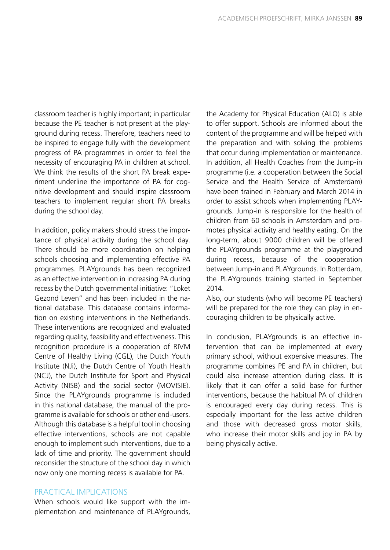classroom teacher is highly important; in particular because the PE teacher is not present at the playground during recess. Therefore, teachers need to be inspired to engage fully with the development progress of PA programmes in order to feel the necessity of encouraging PA in children at school. We think the results of the short PA break experiment underline the importance of PA for cognitive development and should inspire classroom teachers to implement regular short PA breaks during the school day.

In addition, policy makers should stress the importance of physical activity during the school day. There should be more coordination on helping schools choosing and implementing effective PA programmes. PLAYgrounds has been recognized as an effective intervention in increasing PA during recess by the Dutch governmental initiative: "Loket Gezond Leven" and has been included in the national database. This database contains information on existing interventions in the Netherlands. These interventions are recognized and evaluated regarding quality, feasibility and effectiveness. This recognition procedure is a cooperation of RIVM Centre of Healthy Living (CGL), the Dutch Youth Institute (NJi), the Dutch Centre of Youth Health (NCJ), the Dutch Institute for Sport and Physical Activity (NISB) and the social sector (MOVISIE). Since the PLAYgrounds programme is included in this national database, the manual of the programme is available for schools or other end-users. Although this database is a helpful tool in choosing effective interventions, schools are not capable enough to implement such interventions, due to a lack of time and priority. The government should reconsider the structure of the school day in which now only one morning recess is available for PA.

## PRACTICAL IMPLICATIONS

When schools would like support with the implementation and maintenance of PLAYgrounds, the Academy for Physical Education (ALO) is able to offer support. Schools are informed about the content of the programme and will be helped with the preparation and with solving the problems that occur during implementation or maintenance. In addition, all Health Coaches from the Jump-in programme (i.e. a cooperation between the Social Service and the Health Service of Amsterdam) have been trained in February and March 2014 in order to assist schools when implementing PLAYgrounds. Jump-in is responsible for the health of children from 60 schools in Amsterdam and promotes physical activity and healthy eating. On the long-term, about 9000 children will be offered the PLAYgrounds programme at the playground during recess, because of the cooperation between Jump-in and PLAYgrounds. In Rotterdam, the PLAYgrounds training started in September 2014.

Also, our students (who will become PE teachers) will be prepared for the role they can play in encouraging children to be physically active.

In conclusion, PLAYgrounds is an effective intervention that can be implemented at every primary school, without expensive measures. The programme combines PE and PA in children, but could also increase attention during class. It is likely that it can offer a solid base for further interventions, because the habitual PA of children is encouraged every day during recess. This is especially important for the less active children and those with decreased gross motor skills, who increase their motor skills and joy in PA by being physically active.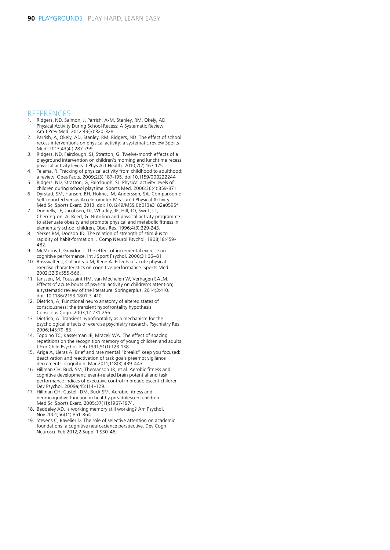#### **REFERENCES**

- Ridgers, ND, Salmon, J, Parrish, A-M, Stanley, RM, Okely, AD. Physical Activity During School Recess: A Systematic Review. Am J Prev Med. 2012;43(3):320-328.
- 2. Parrish, A, Okely, AD, Stanley, RM, Ridgers, ND. The effect of school recess interventions on physical activity: a systematic review Sports Med. 2013;43(4 ):287-299.
- 3. Ridgers, ND, Fairclough, SJ, Stratton, G. Twelve-month effects of a playground intervention on children's morning and lunchtime recess physical activity levels. J Phys Act Health. 2010;7(2):167-175.
- 4. Telama, R. Tracking of physical activity from childhood to adulthood: a review. Obes Facts. 2009;2(3):187-195. doi:10.1159/000222244
- 5. Ridgers, ND, Stratton, G, Fairclough, SJ. Physical activity levels of children during school playtime. Sports Med. 2006;36(4):359-371.
- 6. Dyrstad, SM, Hansen, BH, Holme, IM, Anderssen, SA. Comparison of Self-reported versus Accelerometer-Measured Physical Activity. Med Sci Sports Exerc. 2013. doi: 10.1249/MSS.0b013e3182a0595f
- Donnelly, JE, Jacobsen, DJ, Whatley, JE, Hill, JO, Swift, LL, Cherrington, A, Reed, G. Nutrition and physical activity programme to attenuate obesity and promote physical and metabolic fitness in elementary school children. Obes Res. 1996;4(3):229-243.
- 8. Yerkes RM, Dodson JD. The relation of strength of stimulus to rapidity of habit-formation. J Comp Neurol Psychol. 1908;18:459-482.
- 9. McMorris T, Graydon J. The effect of incremental exercise on cognitive performance. Int J Sport Psychol. 2000;31:66–81.
- 10. Brisswalter J, Collardeau M, Rene A. Effects of acute physical exercise characteristics on cognitive performance. Sports Med. 2002;32(9):555-566.
- 11. Janssen, M, Toussaint HM, van Mechelen W, Verhagen EALM. Effects of acute bouts of psysical activity on children's attention; a systematic review of the literature. Springerplus. 2014;3:410. doi: 10.1186/2193-1801-3-410.
- 12. Dietrich, A, Functional neuro anatomy of altered states of consciousness: the transient hypofrontality hypothesis. Conscious Cogn. 2003;12:231-256.
- 13. Dietrich, A. Transient hypofrontality as a mechanism for the psychological effects of exercise psychiatry research. Psychiatry Res 2006;145:79-83.
- 14. Toppino TC, Kasserman JE, Mracek WA. The effect of spacing repetitions on the recognition memory of young children and adults. J Exp Child Psychol. Feb 1991;51(1):123-138.
- 15. Ariga A, Lleras A. Brief and rare mental "breaks" keep you focused: deactivation and reactivation of task goals preempt vigilance decrements. Cognition. Mar 2011;118(3):439-443.
- 16. Hillman CH, Buck SM, Themanson JR, et al. Aerobic fitness and cognitive development: event-related brain potential and task performance indices of executive control in preadolescent children Dev Psychol. 2009a;45:114–129.
- 17. Hillman CH, Castelli DM, Buck SM. Aerobic fitness and neurocognitive function in healthy preadolescent children. Med Sci Sports Exerc. 2005;37(11):1967-1974.
- 18. Baddeley AD. Is working memory still working? Am Psychol. Nov 2001;56(11):851-864.
- 19. Stevens C, Bavelier D. The role of selective attention on academic foundations: a cognitive neuroscience perspective. Dev Cogn Neurosci. Feb 2012;2 Suppl 1:S30-48.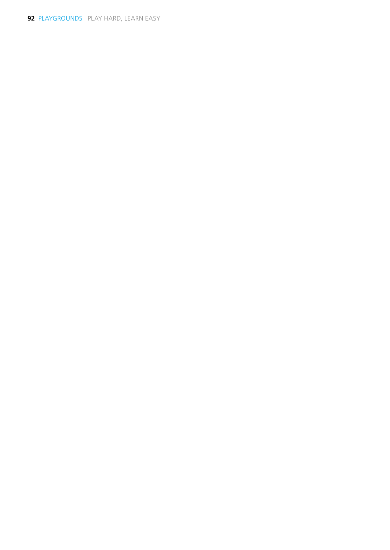# PLAYGROUNDS PLAY HARD, LEARN EASY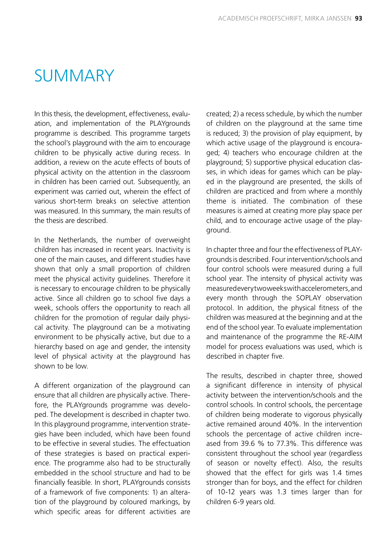# *SUMMARY*

In this thesis, the development, effectiveness, evaluation, and implementation of the PLAYgrounds programme is described. This programme targets the school's playground with the aim to encourage children to be physically active during recess. In addition, a review on the acute effects of bouts of physical activity on the attention in the classroom in children has been carried out. Subsequently, an experiment was carried out, wherein the effect of various short-term breaks on selective attention was measured. In this summary, the main results of the thesis are described.

In the Netherlands, the number of overweight children has increased in recent years. Inactivity is one of the main causes, and different studies have shown that only a small proportion of children meet the physical activity guidelines. Therefore it is necessary to encourage children to be physically active. Since all children go to school five days a week, schools offers the opportunity to reach all children for the promotion of regular daily physical activity. The playground can be a motivating environment to be physically active, but due to a hierarchy based on age and gender, the intensity level of physical activity at the playground has shown to be low.

A different organization of the playground can ensure that all children are physically active. Therefore, the PLAYgrounds programme was developed. The development is described in chapter two. In this playground programme, intervention strategies have been included, which have been found to be effective in several studies. The effectuation of these strategies is based on practical experience. The programme also had to be structurally embedded in the school structure and had to be financially feasible. In short, PLAYgrounds consists of a framework of five components: 1) an alteration of the playground by coloured markings, by which specific areas for different activities are created; 2) a recess schedule, by which the number of children on the playground at the same time is reduced; 3) the provision of play equipment, by which active usage of the playground is encouraged; 4) teachers who encourage children at the playground; 5) supportive physical education classes, in which ideas for games which can be played in the playground are presented, the skills of children are practiced and from where a monthly theme is initiated. The combination of these measures is aimed at creating more play space per child, and to encourage active usage of the playground.

In chapter three and four the effectiveness of PLAYgrounds is described. Four intervention/schools and four control schools were measured during a full school year. The intensity of physical activity was measured every two weeks with accelerometers, and every month through the SOPLAY observation protocol. In addition, the physical fitness of the children was measured at the beginning and at the end of the school year. To evaluate implementation and maintenance of the programme the RE-AIM model for process evaluations was used, which is described in chapter five.

The results, described in chapter three, showed a significant difference in intensity of physical activity between the intervention/schools and the control schools. In control schools, the percentage of children being moderate to vigorous physically active remained around 40%. In the intervention schools the percentage of active children increased from 39.6 % to 77.3%. This difference was consistent throughout the school year (regardless of season or novelty effect). Also, the results showed that the effect for girls was 1.4 times stronger than for boys, and the effect for children of 10-12 years was 1.3 times larger than for children 6-9 years old.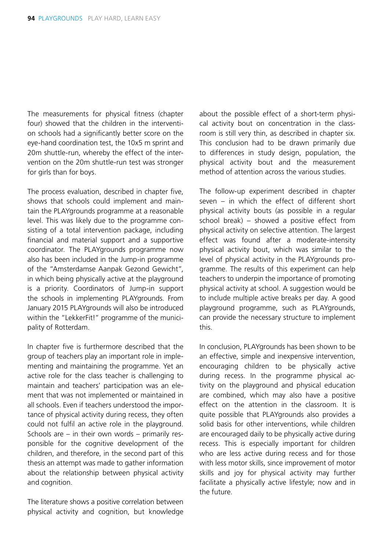The measurements for physical fitness (chapter four) showed that the children in the intervention schools had a significantly better score on the eye-hand coordination test, the 10x5 m sprint and 20m shuttle-run, whereby the effect of the intervention on the 20m shuttle-run test was stronger for girls than for boys.

The process evaluation, described in chapter five, shows that schools could implement and maintain the PLAYgrounds programme at a reasonable level. This was likely due to the programme consisting of a total intervention package, including financial and material support and a supportive coordinator. The PLAYgrounds programme now also has been included in the Jump-in programme of the "Amsterdamse Aanpak Gezond Gewicht", in which being physically active at the playground is a priority. Coordinators of Jump-in support the schools in implementing PLAYgrounds. From January 2015 PLAYgrounds will also be introduced within the "LekkerFit!" programme of the municipality of Rotterdam.

In chapter five is furthermore described that the group of teachers play an important role in implementing and maintaining the programme. Yet an active role for the class teacher is challenging to maintain and teachers' participation was an element that was not implemented or maintained in all schools. Even if teachers understood the importance of physical activity during recess, they often could not fulfil an active role in the playground. Schools are – in their own words – primarily responsible for the cognitive development of the children, and therefore, in the second part of this thesis an attempt was made to gather information about the relationship between physical activity and cognition.

The literature shows a positive correlation between physical activity and cognition, but knowledge about the possible effect of a short-term physical activity bout on concentration in the classroom is still very thin, as described in chapter six. This conclusion had to be drawn primarily due to differences in study design, population, the physical activity bout and the measurement method of attention across the various studies.

The follow-up experiment described in chapter seven – in which the effect of different short physical activity bouts (as possible in a regular school break) – showed a positive effect from physical activity on selective attention. The largest effect was found after a moderate-intensity physical activity bout, which was similar to the level of physical activity in the PLAYgrounds programme. The results of this experiment can help teachers to underpin the importance of promoting physical activity at school. A suggestion would be to include multiple active breaks per day. A good playground programme, such as PLAYgrounds, can provide the necessary structure to implement this.

In conclusion, PLAYgrounds has been shown to be an effective, simple and inexpensive intervention, encouraging children to be physically active during recess. In the programme physical activity on the playground and physical education are combined, which may also have a positive effect on the attention in the classroom. It is quite possible that PLAYgrounds also provides a solid basis for other interventions, while children are encouraged daily to be physically active during recess. This is especially important for children who are less active during recess and for those with less motor skills, since improvement of motor skills and joy for physical activity may further facilitate a physically active lifestyle; now and in the future.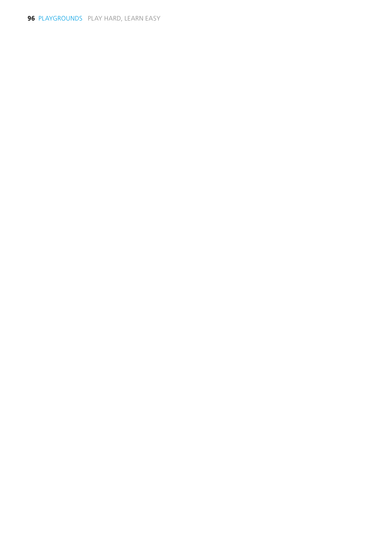# PLAYGROUNDS PLAY HARD, LEARN EASY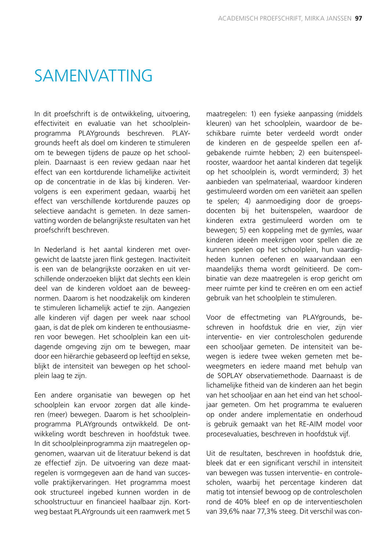# SAMENVATTING

In dit proefschrift is de ontwikkeling, uitvoering, effectiviteit en evaluatie van het schoolpleinprogramma PLAYgrounds beschreven. PLAYgrounds heeft als doel om kinderen te stimuleren om te bewegen tijdens de pauze op het schoolplein. Daarnaast is een review gedaan naar het effect van een kortdurende lichamelijke activiteit op de concentratie in de klas bij kinderen. Vervolgens is een experiment gedaan, waarbij het effect van verschillende kortdurende pauzes op selectieve aandacht is gemeten. In deze samenvatting worden de belangrijkste resultaten van het proefschrift beschreven.

In Nederland is het aantal kinderen met overgewicht de laatste jaren flink gestegen. Inactiviteit is een van de belangrijkste oorzaken en uit verschillende onderzoeken blijkt dat slechts een klein deel van de kinderen voldoet aan de beweegnormen. Daarom is het noodzakelijk om kinderen te stimuleren lichamelijk actief te zijn. Aangezien alle kinderen vijf dagen per week naar school gaan, is dat de plek om kinderen te enthousiasmeren voor bewegen. Het schoolplein kan een uitdagende omgeving zijn om te bewegen, maar door een hiërarchie gebaseerd op leeftijd en sekse, blijkt de intensiteit van bewegen op het schoolplein laag te zijn.

Een andere organisatie van bewegen op het schoolplein kan ervoor zorgen dat alle kinderen (meer) bewegen. Daarom is het schoolpleinprogramma PLAYgrounds ontwikkeld. De ontwikkeling wordt beschreven in hoofdstuk twee. In dit schoolpleinprogramma zijn maatregelen opgenomen, waarvan uit de literatuur bekend is dat ze effectief zijn. De uitvoering van deze maatregelen is vormgegeven aan de hand van succesvolle praktijkervaringen. Het programma moest ook structureel ingebed kunnen worden in de schoolstructuur en financieel haalbaar zijn. Kortweg bestaat PLAYgrounds uit een raamwerk met 5 maatregelen: 1) een fysieke aanpassing (middels kleuren) van het schoolplein, waardoor de beschikbare ruimte beter verdeeld wordt onder de kinderen en de gespeelde spellen een afgebakende ruimte hebben; 2) een buitenspeelrooster, waardoor het aantal kinderen dat tegelijk op het schoolplein is, wordt verminderd; 3) het aanbieden van spelmateriaal, waardoor kinderen gestimuleerd worden om een variëteit aan spellen te spelen; 4) aanmoediging door de groepsdocenten bij het buitenspelen, waardoor de kinderen extra gestimuleerd worden om te bewegen; 5) een koppeling met de gymles, waar kinderen ideeën meekrijgen voor spellen die ze kunnen spelen op het schoolplein, hun vaardigheden kunnen oefenen en waarvandaan een maandelijks thema wordt geïnitieerd. De combinatie van deze maatregelen is erop gericht om meer ruimte per kind te creëren en om een actief gebruik van het schoolplein te stimuleren.

Voor de effectmeting van PLAYgrounds, beschreven in hoofdstuk drie en vier, zijn vier interventie- en vier controlescholen gedurende een schooljaar gemeten. De intensiteit van bewegen is iedere twee weken gemeten met beweegmeters en iedere maand met behulp van de SOPLAY observatiemethode. Daarnaast is de lichamelijke fitheid van de kinderen aan het begin van het schooljaar en aan het eind van het schooljaar gemeten. Om het programma te evalueren op onder andere implementatie en onderhoud is gebruik gemaakt van het RE-AIM model voor procesevaluaties, beschreven in hoofdstuk vijf.

Uit de resultaten, beschreven in hoofdstuk drie, bleek dat er een significant verschil in intensiteit van bewegen was tussen interventie- en controlescholen, waarbij het percentage kinderen dat matig tot intensief bewoog op de controlescholen rond de 40% bleef en op de interventiescholen van 39,6% naar 77,3% steeg. Dit verschil was con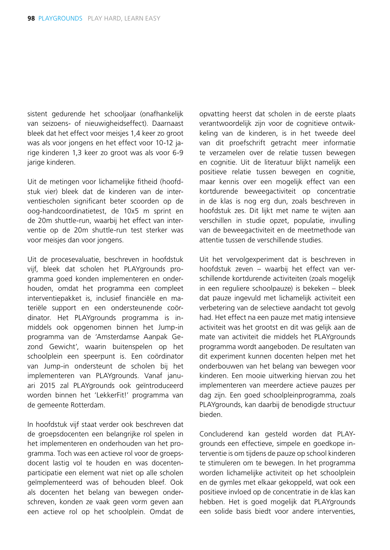sistent gedurende het schooljaar (onafhankelijk van seizoens- of nieuwigheidseffect). Daarnaast bleek dat het effect voor meisjes 1,4 keer zo groot was als voor jongens en het effect voor 10-12 jarige kinderen 1,3 keer zo groot was als voor 6-9 jarige kinderen.

Uit de metingen voor lichamelijke fitheid (hoofdstuk vier) bleek dat de kinderen van de interventiescholen significant beter scoorden op de oog-handcoordinatietest, de 10x5 m sprint en de 20m shuttle-run, waarbij het effect van interventie op de 20m shuttle-run test sterker was voor meisjes dan voor jongens.

Uit de procesevaluatie, beschreven in hoofdstuk vijf, bleek dat scholen het PLAYgrounds programma goed konden implementeren en onderhouden, omdat het programma een compleet interventiepakket is, inclusief financiële en materiële support en een ondersteunende coördinator. Het PLAYgrounds programma is inmiddels ook opgenomen binnen het Jump-in programma van de 'Amsterdamse Aanpak Gezond Gewicht', waarin buitenspelen op het schoolplein een speerpunt is. Een coördinator van Jump-in ondersteunt de scholen bij het implementeren van PLAYgrounds. Vanaf januari 2015 zal PLAYgrounds ook geïntroduceerd worden binnen het 'LekkerFit!' programma van de gemeente Rotterdam.

In hoofdstuk vijf staat verder ook beschreven dat de groepsdocenten een belangrijke rol spelen in het implementeren en onderhouden van het programma. Toch was een actieve rol voor de groepsdocent lastig vol te houden en was docentenparticipatie een element wat niet op alle scholen geïmplementeerd was of behouden bleef. Ook als docenten het belang van bewegen onderschreven, konden ze vaak geen vorm geven aan een actieve rol op het schoolplein. Omdat de opvatting heerst dat scholen in de eerste plaats verantwoordelijk zijn voor de cognitieve ontwikkeling van de kinderen, is in het tweede deel van dit proefschrift getracht meer informatie te verzamelen over de relatie tussen bewegen en cognitie. Uit de literatuur blijkt namelijk een positieve relatie tussen bewegen en cognitie, maar kennis over een mogelijk effect van een kortdurende beweegactiviteit op concentratie in de klas is nog erg dun, zoals beschreven in hoofdstuk zes. Dit lijkt met name te wijten aan verschillen in studie opzet, populatie, invulling van de beweegactiviteit en de meetmethode van attentie tussen de verschillende studies.

Uit het vervolgexperiment dat is beschreven in hoofdstuk zeven – waarbij het effect van verschillende kortdurende activiteiten (zoals mogelijk in een reguliere schoolpauze) is bekeken – bleek dat pauze ingevuld met lichamelijk activiteit een verbetering van de selectieve aandacht tot gevolg had. Het effect na een pauze met matig intensieve activiteit was het grootst en dit was gelijk aan de mate van activiteit die middels het PLAYgrounds programma wordt aangeboden. De resultaten van dit experiment kunnen docenten helpen met het onderbouwen van het belang van bewegen voor kinderen. Een mooie uitwerking hiervan zou het implementeren van meerdere actieve pauzes per dag zijn. Een goed schoolpleinprogramma, zoals PLAYgrounds, kan daarbij de benodigde structuur bieden.

Concluderend kan gesteld worden dat PLAYgrounds een effectieve, simpele en goedkope interventie is om tijdens de pauze op school kinderen te stimuleren om te bewegen. In het programma worden lichamelijke activiteit op het schoolplein en de gymles met elkaar gekoppeld, wat ook een positieve invloed op de concentratie in de klas kan hebben. Het is goed mogelijk dat PLAYgrounds een solide basis biedt voor andere interventies,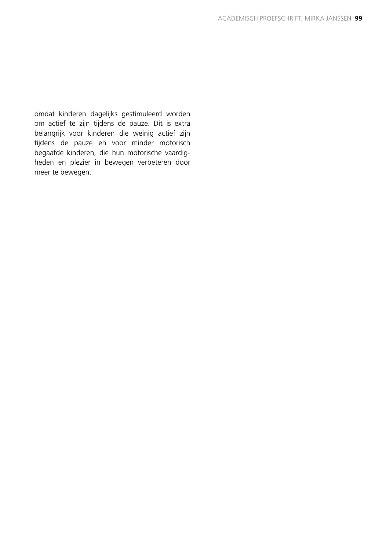omdat kinderen dagelijks gestimuleerd worden om actief te zijn tijdens de pauze. Dit is extra belangrijk voor kinderen die weinig actief zijn tijdens de pauze en voor minder motorisch begaafde kinderen, die hun motorische vaardigheden en plezier in bewegen verbeteren door meer te bewegen.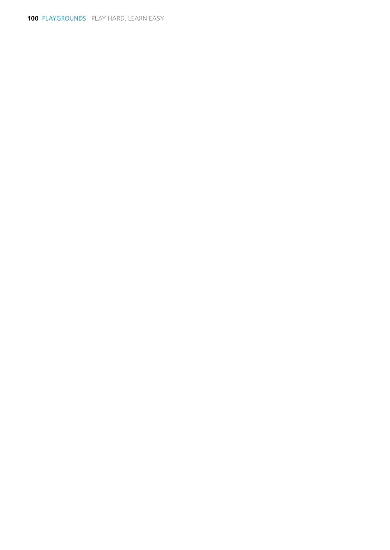# PLAYGROUNDS PLAY HARD, LEARN EASY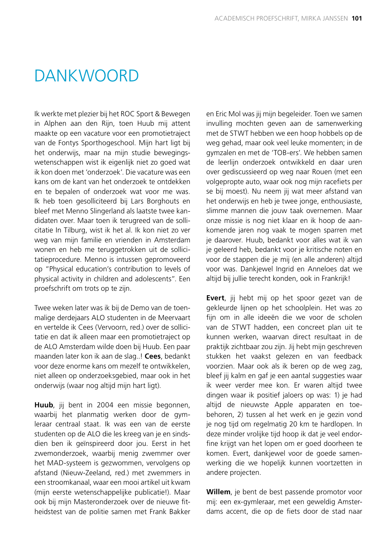# DANKWOORD

Ik werkte met plezier bij het ROC Sport & Bewegen in Alphen aan den Rijn, toen Huub mij attent maakte op een vacature voor een promotietraject van de Fontys Sporthogeschool. Mijn hart ligt bij het onderwijs, maar na mijn studie bewegingswetenschappen wist ik eigenlijk niet zo goed wat ik kon doen met 'onderzoek'. Die vacature was een kans om de kant van het onderzoek te ontdekken en te bepalen of onderzoek wat voor me was. Ik heb toen gesolliciteerd bij Lars Borghouts en bleef met Menno Slingerland als laatste twee kandidaten over. Maar toen ik terugreed van de sollicitatie In Tilburg, wist ik het al. Ik kon niet zo ver weg van mijn familie en vrienden in Amsterdam wonen en heb me teruggetrokken uit de sollicitatieprocedure. Menno is intussen gepromoveerd op "Physical education's contribution to levels of physical activity in children and adolescents". Een proefschrift om trots op te zijn.

Twee weken later was ik bij de Demo van de toenmalige derdejaars ALO studenten in de Meervaart en vertelde ik Cees (Vervoorn, red.) over de sollicitatie en dat ik alleen maar een promotietraject op de ALO Amsterdam wilde doen bij Huub. Een paar maanden later kon ik aan de slag..! **Cees**, bedankt voor deze enorme kans om mezelf te ontwikkelen, niet alleen op onderzoeksgebied, maar ook in het onderwijs (waar nog altijd mijn hart ligt).

**Huub**, jij bent in 2004 een missie begonnen, waarbij het planmatig werken door de gymleraar centraal staat. Ik was een van de eerste studenten op de ALO die les kreeg van je en sindsdien ben ik geïnspireerd door jou. Eerst in het zwemonderzoek, waarbij menig zwemmer over het MAD-systeem is gezwommen, vervolgens op afstand (Nieuw-Zeeland, red.) met zwemmers in een stroomkanaal, waar een mooi artikel uit kwam (mijn eerste wetenschappelijke publicatie!). Maar ook bij mijn Masteronderzoek over de nieuwe fitheidstest van de politie samen met Frank Bakker en Eric Mol was jij mijn begeleider. Toen we samen invulling mochten geven aan de samenwerking met de STWT hebben we een hoop hobbels op de weg gehad, maar ook veel leuke momenten; in de gymzalen en met de 'TOB-ers'. We hebben samen de leerlijn onderzoek ontwikkeld en daar uren over gediscussieerd op weg naar Rouen (met een volgepropte auto, waar ook nog mijn racefiets per se bij moest). Nu neem jij wat meer afstand van het onderwijs en heb je twee jonge, enthousiaste, slimme mannen die jouw taak overnemen. Maar onze missie is nog niet klaar en ik hoop de aankomende jaren nog vaak te mogen sparren met je daarover. Huub, bedankt voor alles wat ik van je geleerd heb, bedankt voor je kritische noten en voor de stappen die je mij (en alle anderen) altijd voor was. Dankjewel Ingrid en Anneloes dat we altijd bij jullie terecht konden, ook in Frankrijk!

**Evert**, jij hebt mij op het spoor gezet van de gekleurde lijnen op het schoolplein. Het was zo fijn om in alle ideeën die we voor de scholen van de STWT hadden, een concreet plan uit te kunnen werken, waarvan direct resultaat in de praktijk zichtbaar zou zijn. Jij hebt mijn geschreven stukken het vaakst gelezen en van feedback voorzien. Maar ook als ik beren op de weg zag, bleef jij kalm en gaf je een aantal suggesties waar ik weer verder mee kon. Er waren altijd twee dingen waar ik positief jaloers op was: 1) je had altijd de nieuwste Apple apparaten en toebehoren, 2) tussen al het werk en je gezin vond je nog tijd om regelmatig 20 km te hardlopen. In deze minder vrolijke tijd hoop ik dat je veel endorfine krijgt van het lopen om er goed doorheen te komen. Evert, dankjewel voor de goede samenwerking die we hopelijk kunnen voortzetten in andere projecten.

**Willem**, je bent de best passende promotor voor mij: een ex-gymleraar, met een geweldig Amsterdams accent, die op de fiets door de stad naar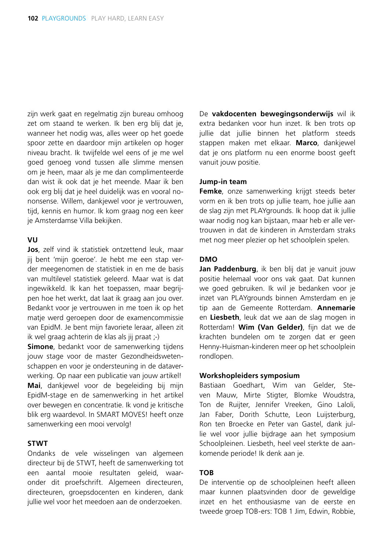zijn werk gaat en regelmatig zijn bureau omhoog zet om staand te werken. Ik ben erg blij dat je, wanneer het nodig was, alles weer op het goede spoor zette en daardoor mijn artikelen op hoger niveau bracht. Ik twijfelde wel eens of je me wel goed genoeg vond tussen alle slimme mensen om je heen, maar als je me dan complimenteerde dan wist ik ook dat je het meende. Maar ik ben ook erg blij dat je heel duidelijk was en vooral nononsense. Willem, dankjewel voor je vertrouwen, tijd, kennis en humor. Ik kom graag nog een keer je Amsterdamse Villa bekijken.

## **VU**

**Jos**, zelf vind ik statistiek ontzettend leuk, maar jij bent 'mijn goeroe'. Je hebt me een stap verder meegenomen de statistiek in en me de basis van multilevel statistiek geleerd. Maar wat is dat ingewikkeld. Ik kan het toepassen, maar begrijpen hoe het werkt, dat laat ik graag aan jou over. Bedankt voor je vertrouwen in me toen ik op het matje werd geroepen door de examencommissie van EpidM. Je bent mijn favoriete leraar, alleen zit ik wel graag achterin de klas als jij praat ;-)

**Simone**, bedankt voor de samenwerking tijdens jouw stage voor de master Gezondheidswetenschappen en voor je ondersteuning in de dataverwerking. Op naar een publicatie van jouw artikel! **Mai**, dankjewel voor de begeleiding bij mijn EpidM-stage en de samenwerking in het artikel over bewegen en concentratie. Ik vond je kritische blik erg waardevol. In SMART MOVES! heeft onze samenwerking een mooi vervolg!

## **STWT**

Ondanks de vele wisselingen van algemeen directeur bij de STWT, heeft de samenwerking tot een aantal mooie resultaten geleid, waaronder dit proefschrift. Algemeen directeuren, directeuren, groepsdocenten en kinderen, dank jullie wel voor het meedoen aan de onderzoeken.

De **vakdocenten bewegingsonderwijs** wil ik extra bedanken voor hun inzet. Ik ben trots op jullie dat jullie binnen het platform steeds stappen maken met elkaar. **Marco**, dankjewel dat je ons platform nu een enorme boost geeft vanuit jouw positie.

### **Jump-in team**

**Femke**, onze samenwerking krijgt steeds beter vorm en ik ben trots op jullie team, hoe jullie aan de slag zijn met PLAYgrounds. Ik hoop dat ik jullie waar nodig nog kan bijstaan, maar heb er alle vertrouwen in dat de kinderen in Amsterdam straks met nog meer plezier op het schoolplein spelen.

## **DMO**

**Jan Paddenburg**, ik ben blij dat je vanuit jouw positie helemaal voor ons vak gaat. Dat kunnen we goed gebruiken. Ik wil je bedanken voor je inzet van PLAYgrounds binnen Amsterdam en je tip aan de Gemeente Rotterdam. **Annemarie** en **Liesbeth**, leuk dat we aan de slag mogen in Rotterdam! **Wim (Van Gelder)**, fijn dat we de krachten bundelen om te zorgen dat er geen Henny-Huisman-kinderen meer op het schoolplein rondlopen.

### **Workshopleiders symposium**

Bastiaan Goedhart, Wim van Gelder, Steven Mauw, Mirte Stigter, Blomke Woudstra, Ton de Ruijter, Jennifer Vreeken, Gino Laloli, Jan Faber, Dorith Schutte, Leon Luijsterburg, Ron ten Broecke en Peter van Gastel, dank jullie wel voor jullie bijdrage aan het symposium Schoolpleinen. Liesbeth, heel veel sterkte de aankomende periode! Ik denk aan je.

## **TOB**

De interventie op de schoolpleinen heeft alleen maar kunnen plaatsvinden door de geweldige inzet en het enthousiasme van de eerste en tweede groep TOB-ers: TOB 1 Jim, Edwin, Robbie,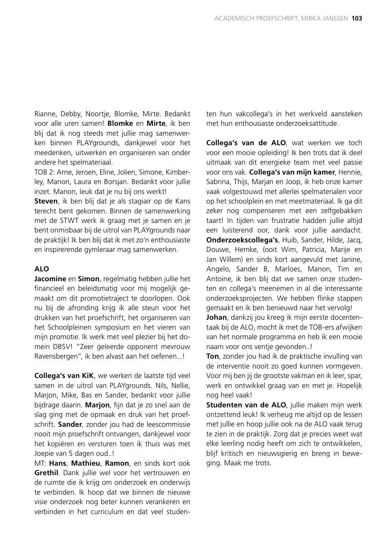Rianne, Debby, Noortje, Blomke, Mirte. Bedankt voor alle uren samen! **Blomke** en **Mirte**, ik ben blij dat ik nog steeds met jullie mag samenwerken binnen PLAYgrounds, dankjewel voor het meedenken, uitwerken en organiseren van onder andere het spelmateriaal.

TOB 2: Arne, Jeroen, Eline, Jolien, Simone, Kimberley, Manon, Laura en Borsjan. Bedankt voor jullie inzet. Manon, leuk dat je nu bij ons werkt!

**Steven**, ik ben blij dat je als stagiair op de Kans terecht bent gekomen. Binnen de samenwerking met de STWT werk ik graag met je samen en je bent onmisbaar bij de uitrol van PLAYgrounds naar de praktijk! Ik ben blij dat ik met zo'n enthousiaste en inspirerende gymleraar mag samenwerken.

## **ALO**

**Jacomine** en **Simon**, regelmatig hebben jullie het financieel en beleidsmatig voor mij mogelijk gemaakt om dit promotietraject te doorlopen. Ook nu bij de afronding krijg ik alle steun voor het drukken van het proefschrift, het organiseren van het Schoolpleinen symposium en het vieren van mijn promotie. Ik werk met veel plezier bij het domein DBSV! "Zeer geleerde opponent mevrouw Ravensbergen", ik ben alvast aan het oefenen...!

**Collega's van KiK**, we werken de laatste tijd veel samen in de uitrol van PLAYgrounds. Nils, Nellie, Marjon, Mike, Bas en Sander, bedankt voor jullie bijdrage daarin. **Marjon**, fijn dat je zo snel aan de slag ging met de opmaak en druk van het proefschrift. **Sander**, zonder jou had de leescommissie nooit mijn proefschrift ontvangen, dankjewel voor het kopiëren en versturen toen ik thuis was met Joepie van 5 dagen oud..!

MT: **Hans**, **Mathieu**, **Ramon**, en sinds kort ook **Grethil**. Dank jullie wel voor het vertrouwen en de ruimte die ik krijg om onderzoek en onderwijs te verbinden. Ik hoop dat we binnen de nieuwe visie onderzoek nog beter kunnen verankeren en verbinden in het curriculum en dat veel studenten hun vakcollega's in het werkveld aansteken met hun enthousiaste onderzoeksattitude.

**Collega's van de ALO**, wat werken we toch voor een mooie opleiding! Ik ben trots dat ik deel uitmaak van dit energieke team met veel passie voor ons vak. **Collega's van mijn kamer**, Hennie, Sabrina, Thijs, Marjan en Joop, ik heb onze kamer vaak volgestouwd met allerlei spelmaterialen voor op het schoolplein en met meetmateriaal. Ik ga dit zeker nog compenseren met een zelfgebakken taart! In tijden van frustratie hadden jullie altijd een luisterend oor, dank voor jullie aandacht. **Onderzoekscollega's**, Huib, Sander, Hilde, Jacq, Douwe, Hemke, (ooit Wim, Patricia, Marije en Jan Willem) en sinds kort aangevuld met Janine, Angelo, Sander B, Marloes, Manon, Tim en Antoine, ik ben blij dat we samen onze studenten en collega's meenemen in al die interessante onderzoeksprojecten. We hebben flinke stappen gemaakt en ik ben benieuwd naar het vervolg!

**Johan**, dankzij jou kreeg ik mijn eerste docententaak bij de ALO, mocht ik met de TOB-ers afwijken van het normale programma en heb ik een mooie naam voor ons ventje gevonden..!

**Ton**, zonder jou had ik de praktische invulling van de interventie nooit zo goed kunnen vormgeven. Voor mij ben jij de grootste vakman en ik leer, spar, werk en ontwikkel graag van en met je. Hopelijk nog heel vaak!

**Studenten van de ALO**, jullie maken mijn werk ontzettend leuk! Ik verheug me altijd op de lessen met jullie en hoop jullie ook na de ALO vaak terug te zien in de praktijk. Zorg dat je precies weet wat elke leerling nodig heeft om zich te ontwikkelen, blijf kritisch en nieuwsgierig en breng in beweging. Maak me trots.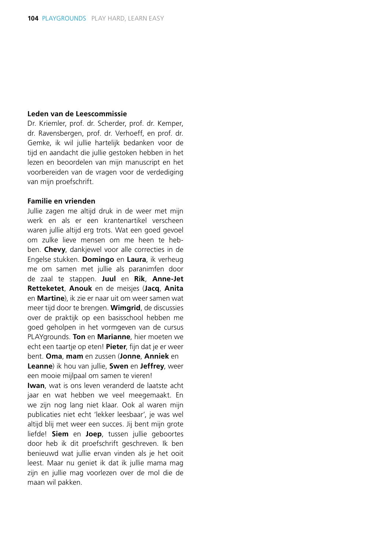## **Leden van de Leescommissie**

Dr. Kriemler, prof. dr. Scherder, prof. dr. Kemper, dr. Ravensbergen, prof. dr. Verhoeff, en prof. dr. Gemke, ik wil jullie hartelijk bedanken voor de tijd en aandacht die jullie gestoken hebben in het lezen en beoordelen van mijn manuscript en het voorbereiden van de vragen voor de verdediging van mijn proefschrift.

## **Familie en vrienden**

Jullie zagen me altijd druk in de weer met mijn werk en als er een krantenartikel verscheen waren jullie altijd erg trots. Wat een goed gevoel om zulke lieve mensen om me heen te hebben. **Chevy**, dankjewel voor alle correcties in de Engelse stukken. **Domingo** en **Laura**, ik verheug me om samen met jullie als paranimfen door de zaal te stappen. **Juul** en **Rik**, **Anne-Jet Retteketet**, **Anouk** en de meisjes (**Jacq**, **Anita** en **Martine**), ik zie er naar uit om weer samen wat meer tijd door te brengen. **Wimgrid**, de discussies over de praktijk op een basisschool hebben me goed geholpen in het vormgeven van de cursus PLAYgrounds. **Ton** en **Marianne**, hier moeten we echt een taartje op eten! **Pieter**, fijn dat je er weer

bent. **Oma**, **mam** en zussen (**Jonne**, **Anniek** en **Leanne**) ik hou van jullie, **Swen** en **Jeffrey**, weer een mooie mijlpaal om samen te vieren!

**Iwan**, wat is ons leven veranderd de laatste acht jaar en wat hebben we veel meegemaakt. En we zijn nog lang niet klaar. Ook al waren mijn publicaties niet echt 'lekker leesbaar', je was wel altijd blij met weer een succes. Jij bent mijn grote liefde! **Siem** en **Joep**, tussen jullie geboortes door heb ik dit proefschrift geschreven. Ik ben benieuwd wat jullie ervan vinden als je het ooit leest. Maar nu geniet ik dat ik jullie mama mag zijn en jullie mag voorlezen over de mol die de maan wil pakken.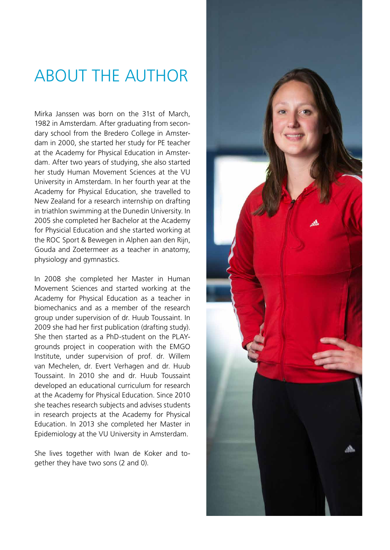# ABOUT THE AUTHOR

Mirka Janssen was born on the 31st of March, 1982 in Amsterdam. After graduating from secondary school from the Bredero College in Amsterdam in 2000, she started her study for PE teacher at the Academy for Physical Education in Amsterdam. After two years of studying, she also started her study Human Movement Sciences at the VU University in Amsterdam. In her fourth year at the Academy for Physical Education, she travelled to New Zealand for a research internship on drafting in triathlon swimming at the Dunedin University. In 2005 she completed her Bachelor at the Academy for Physicial Education and she started working at the ROC Sport & Bewegen in Alphen aan den Rijn, Gouda and Zoetermeer as a teacher in anatomy, physiology and gymnastics.

In 2008 she completed her Master in Human Movement Sciences and started working at the Academy for Physical Education as a teacher in biomechanics and as a member of the research group under supervision of dr. Huub Toussaint. In 2009 she had her first publication (drafting study). She then started as a PhD-student on the PLAYgrounds project in cooperation with the EMGO Institute, under supervision of prof. dr. Willem van Mechelen, dr. Evert Verhagen and dr. Huub Toussaint. In 2010 she and dr. Huub Toussaint developed an educational curriculum for research at the Academy for Physical Education. Since 2010 she teaches research subjects and advises students in research projects at the Academy for Physical Education. In 2013 she completed her Master in Epidemiology at the VU University in Amsterdam.

She lives together with Iwan de Koker and together they have two sons (2 and 0).

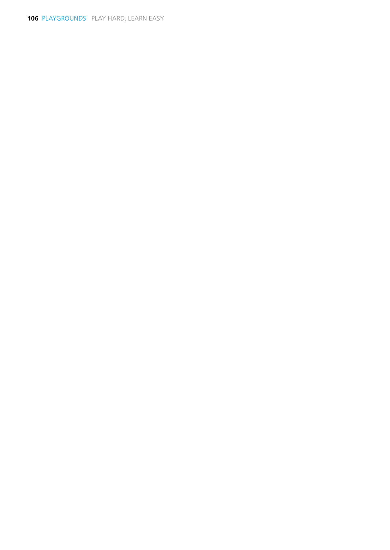# PLAYGROUNDS PLAY HARD, LEARN EASY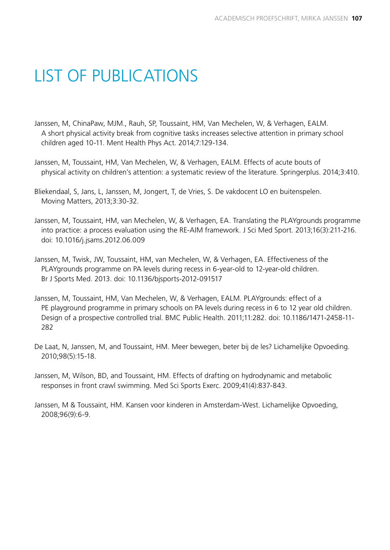# LIST OF PUBLICATIONS

- Janssen, M, ChinaPaw, MJM., Rauh, SP, Toussaint, HM, Van Mechelen, W, & Verhagen, EALM. A short physical activity break from cognitive tasks increases selective attention in primary school children aged 10-11. Ment Health Phys Act. 2014;7:129-134.
- Janssen, M, Toussaint, HM, Van Mechelen, W, & Verhagen, EALM. Effects of acute bouts of physical activity on children's attention: a systematic review of the literature. Springerplus. 2014;3:410.
- Bliekendaal, S, Jans, L, Janssen, M, Jongert, T, de Vries, S. De vakdocent LO en buitenspelen. Moving Matters, 2013;3:30-32.
- Janssen, M, Toussaint, HM, van Mechelen, W, & Verhagen, EA. Translating the PLAYgrounds programme into practice: a process evaluation using the RE-AIM framework. J Sci Med Sport. 2013;16(3):211-216. doi: 10.1016/j.jsams.2012.06.009
- Janssen, M, Twisk, JW, Toussaint, HM, van Mechelen, W, & Verhagen, EA. Effectiveness of the PLAYgrounds programme on PA levels during recess in 6-year-old to 12-year-old children. Br J Sports Med. 2013. doi: 10.1136/bjsports-2012-091517
- Janssen, M, Toussaint, HM, Van Mechelen, W, & Verhagen, EALM. PLAYgrounds: effect of a PE playground programme in primary schools on PA levels during recess in 6 to 12 year old children. Design of a prospective controlled trial. BMC Public Health. 2011;11:282. doi: 10.1186/1471-2458-11- 282
- De Laat, N, Janssen, M, and Toussaint, HM. Meer bewegen, beter bij de les? Lichamelijke Opvoeding. 2010;98(5):15-18.
- Janssen, M, Wilson, BD, and Toussaint, HM. Effects of drafting on hydrodynamic and metabolic responses in front crawl swimming. Med Sci Sports Exerc. 2009;41(4):837-843.
- Janssen, M & Toussaint, HM. Kansen voor kinderen in Amsterdam-West. Lichamelijke Opvoeding, 2008;96(9):6-9.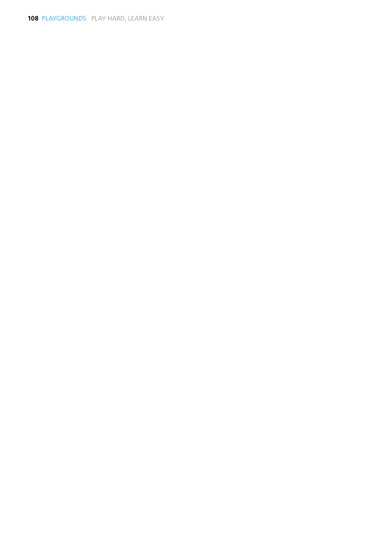# PLAYGROUNDS PLAY HARD, LEARN EASY